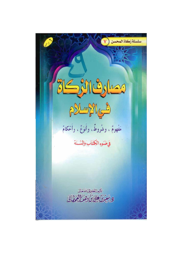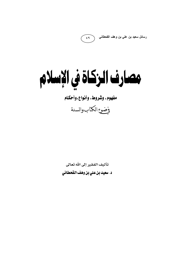رسائل سعيد بن علي بن وهف القحطاني



 $69$ 

مفهوم، وشروط، وأنواع،وأحكام

وضوع الكتاب والسنة

تأليف الفقير إلى الله تعالى د. سعيد بن علي بن وهف القحطاني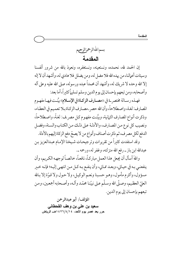بسماللهالرحمزالرحيم المقدمة

إن الحمد لله، نحمده، ونستعينه، ونستغفره، ونعوذ بالله من شرور أنفسنا وسيئات أعمالنا، من يهده الله فلا مضل له، ومن يضلل فلا هادي له، وأشهد أن لا إله إلا الله وحده لا شريك له، وأشهد أن محمداً عبده ورسوله، صلى الله عليه وعلى آله وأصحابه، ومن تبعهم بإحسان إلى يوم الدين وسلم تسليماً كثيراً، أما بعد:

فهـذه رسـالة مختصر ـة في ((مصـارف الزكـاة في الإسـلام)) بيَّنـت فيهـا مفهـوم المصارف: لغة، واصطلاحاً، وأن الله حصر ـ مصـارف الزكـاة بـلا تعميم في العطـاء، وذكرت أنواع المصارف الثمانية، وبيَّنت مفهـوم كـل مصر\_ف: لغـةً، واصـطلاحاً، ونصيب كل نوع من المصارف، والأدلـة عـلى ذلك مـن الكتـاب والسـنة، وفضـل الدفع لكل مصرف، ثم ذكرت أصناف وأنواع من لا يصحّ دفع الزكاة إليهم بالأدلة.

وقد استفدت كثيراً من تقريرات وترجيحات شيخنا الإمام عبدالعزيز بن عبدالله ابن باز ــ رفع الله منزلته، وغفر له، ورحمه ــ.

واللهَ أسأل أن يجعل هذا العمل مباركـاً، نافعـاً، خالصـاً لوجهـه الكـريم، وأن ينفعني بـه في حيـاتي، وبعـد ممـاتي، وأن ينفـع بـه كـل مـن انتهـي إليـه؛ فإنـه خـير مسؤول، وأكرم مأمول، وهـو حسـبنا ونعـم الوكيـل، ولا حـول ولا قـوّة إلا بـالله العليّ العظيم، وصلَّى الله وسلَّم على نبيَّنا محمَّد وآلـه، وأصـحابه أجمعين، ومـن تبعهم بإحسان إلى يوم الدين.

المؤلف/ أبو عبدالرحمن سعيد بن علي بن وهف القحطانى حرر بعد عصر يوم الأحد، ١٤/١٤/٢٦/٤ هـــ الرياض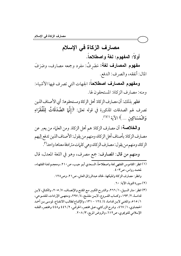# مصارف الزكاة في الإسلام

أولاً: المفهوم: لغة واصطلاحاً.

مفهوم المصارف لغة: مَصْرِفُ: مفرد وجمعه مصارف، وصَرَفَ المال: أنفقه، والصرف: الدفع.

ومفهوم المصارف اصطلاحاً: الجهات التي تصرف فيها الأشياء: ومنه: مصارف الزكاة: المستحقون لها.

فظهر بذلك: أن مصارف الزكاة: أهل الزكاة ومستحقوها: أي الأصناف الذين تصرف لهم الصدقات المذكورة في قوله تعالى: ﴿إِنَّمَا الصَّدَقَاتُ لِلْفُقَرَاءِ وَالْمَسَاكِينِ ... ﴾ الآية (')(').

و الخلاصة: أن مصارف الزكاة: هم أهل الزكاة. ومن العلماء من يعبر عن مصارف الزكاة: بأصناف أهل الزكاة، ومنهم من يقول: الأصناف الذين تدفع إليهم الزكاة، ومنهم من يقول: مصارف الزكاة، وهي كلمات مترادفة معناها واحد<sup>(٣)</sup>.

ومنهم من قال: المصارف: جمع مصرف، وهو في اللغة المعدل، قال

- (١) انظر: القاموس الفقهي لغة واصطلاحاً، السعدي أبـو جيب، ص٢١٠، ومعجـم لغـة الفقهـاء، لحمد رواس، ص۳۰۳ . وانظر : مصارف الزكاة وتمليكها، لخالد عبدالرزاق العاني، ص ٢١، وص١٢٨.
	- (٢) سورة التوبة، الآية: ٦٠.
- (٣) انظر : منار السبيل، ١ / ٢٦٦، والشر ح الكبير مـع المقنـع والإنصـاف، ٧/ ٢٠٥، والكـافي، لابـن قدامـة، ٢/ ١٩٣، وكتـاب الفـروع، لابـن مفلـح، ٤/ ٢٩٧، ومنتهـى الإرادات، للفتـوحى، ١/ ٥١٥، والمغنى لابن قدامة، ٤/ ١٢٤ - ١٣١، والإقناع لطالب الانتفاع، لموسى بن أحمد الحجباوي، ١/ ٤٦٧، وشرح الزركشي على مختصر ـ الخرقبي، ٢/ ٤٤٦ و٤٤٨ ومختصر ـ الفقـه الإسلامي للتويجري، ص٦١٢، والروض المربع، ٢٠٨/٣.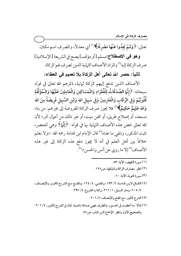تعالى: ﴿وَلَمْ يَجِدُوا عَنْهَا مَصْرِفًا﴾''' أي معدلاً، والمصرف اسم مكان.

وهو في الاصطلاح:مسلم [أو مؤلف] يصح في الشريعة [الإسلامية] صر ف الزكاة إليه'') والمراد:الأصناف الثمانية الذين تصر ف لهم الزكاة.

## ثانياً: حصر الله تعالى أهل الزكاة بلا تعميم في العطاء:

الأصناف الذين تدفع إليهم الزكاة ثمانية، ذكرهم الله تعالى في قوله سبحانه: ﴿إِنَّمَا الصَّدَقَاتُ لِلْفُقَرَاءِ وَالْمَسَاكِينِ وَالْعَامِلِينَ عَلَيْهَا وَالْمُؤَلَّفَةِ قُلُوبُهُمْ وَفِي الرِّقَابِ وَالْغَارِمِينَ وَفِي سَبِيلِ الله وَابْنِ السَّبِيلِ فَرِيضَةً مِنَ الله وَالله عَلِيمٌ حَكِيمٌ﴾''' فلا يجوز صرف الزكاة المفروضة إلى غيرهم: من بناء مسجد، أو إصلاح طريق، أو كفن ميت، أو غير ذلك من أعمال البر؛ لأن الله تعالى خص هذه الأصناف الثيانية بها في قوله: ﴿إِنَّمَا﴾ وهي للحصر ، تثبت المذكور، وتنفي ما عداه<sup>(؛)</sup> قال الإمام ابن قدامة رحمه الله: «ولا نعلم خلافاً بين أهل العلم في أنه لا يجوز دفع هذه الزكاة إلى غير هذه الأصناف<sup>(٥)</sup> إلا ما روى عن أنس والحسن)ا<sup>(٦)</sup>.

- (١) سورة الكهف، الآية: ٥٣. (٢) انظر : مصارف الزكاة وتمليكها، ص١٢٨. (٣) سورة التوبة، الآية: ٦٠. (٤) الكـافي لابـن قدامـة، ٢/ ١٩٣، والمغنـى، ٤/ ١٢٤، والمقنـع مـع الشر-ح الكبـير والإنصـاف، ٧/ ٢٠٥، ومنار السبيل، ١/ ٢٦٦، وكتاب الفروع، ٤/ ٢٩٧. (٥) الشرح الكبير، مع المقنع والإنصاف، ٧/ ٢٠٦. (٦) قـالا: مـا أعطيت في الجسـور، والطـرق، فهـي صـدقة ماضـية، قـال في الشر-ح الكبـير، ٧/ ٢٠٢:
	- والصحيح الأول وانظر: الإجماع لابن المنذر، ص٧٥.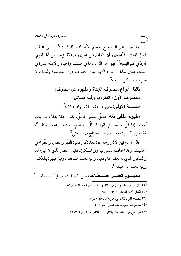ولا يجب على الصحيح تعميم الأصناف بالزكاة؛ لأن النبي ۞ قال لمعاذٍ رِّيُّ ((...فأعلمهم أن الله افترض عليهم صدقة تؤخذ من أغنيائهم، فتردّ في فقرائهم››'') فهو أمر ﷺ بردها في صنفٍ واحدٍ، والأدلة كثيرة في السنة، فتبيَّن بهذا أن مراد الآية: بيان الصرف دون التعميم؛ ولذلك لا يجب تعميم كل صنف<sup>(٢)</sup>.

> ثالثاً: أنواع مصارف الزكاة ومفهوم كل مصرف: المصرف الأول: الفقراء، وفيه مسائل: المسألة الأولى: مفهوم الفقير: لغة، واصطلاحاً.

مفهوم الفقير لغة: فعيلٌ بمعنى فاعلٌ، يقال: فَقِرَ يَفْقَرُ، من باب تَعِبَ: إذا قلَّ مالُه، ولم يقولوا: فَقُر بالضم، استغنوا عنه: بافتقر"ً، فالفقير بالكسر: جمعه: فقراء: المحتاج ضد الغني('').

قال الإمام ابن الأثير رحمه الله: «قد تكرر ذكر : الفَقْرِ والفقير، والفُقَر اء في الحديث)) وقد اختلف الناس فيه وفي المسكين، فقيل: الفقير الذي لا شيء له، والمسكين الذي له بعض ما يكفيه، وإليه ذهب الشافعي، وقيل فيهما: بالعكس وإليه ذهب أبو حنيفة<sup>(٥</sup>).

مفهـوم الفقــر اصــطلاحاً: من لا يملك نصـاباً نامياً فائضـاً (١) متفق عليه: البخاري، برقم ٣٩٥، ومسلم، برقم ١٩، وتقدم تخريجه. (٢) الكافي، لابن قدامة، ٢/ ١٩٣ - ١٩٤. (٣) المصباح المنر، للفيومي، ص٨٧٨، مادة (فقر). (٤) معجم لغة الفقهاء، مادة (فقير)، ص١٧. (٥) النهاية في غريب الحديث والأثر، لابن الأثير، مادة (فقر)، ٣/ ٤٦٢.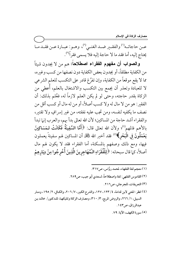مصارف الزكاة في الإسلام

عــن حاجاتــه<sup>(١)</sup> والفقــير ضــد الغنــي<sup>(٢)</sup>، وهــو: عبــارة عــن فقــد مــا يحتاج إليه، أما فقد ما لا حاجة إليه فلا يسمى فقراًًا".

والصواب أن مفهوم الفقراء اصطلاحاً: هم من لا يجدون شيئاً من الكفاية مطلقاً، أو يجدون بعض الكفاية دون نصفها من كسب وغيره، مما لا يقع موقعاً من الكفاية، وإن تفرَّغ قادر على التكسب للعلم الشرعي لا للعبادة وتعذر أن يجمع بين التكسب والاشتغال بالعلم، أُعطي من الزكاة بقدر حاجته، وحتى لو لم يكن العلم لازماً له، فعُلم بذلك: أن الفقىر: هو من لا مال له ولا كسب أصلاً، أو من له مال أو كسب أقل من نصف ما يكفيه لنفسه، ومن تجب عليه نفقته، من غير إسر افٍ ولا تقتير، والفقراء أشد حاجة من المساكين؛ لأن الله تعالى بدأ بهم، والعرب إنها تبدأ بالأهم فالمهم''؛ ولأن الله تعالى قال: ﴿أَمَّا السَّفِينَةُ فَكَانَتْ لـمَسَاكِينَ يَعْمَلُونَ فِي الْبَحْرِ﴾۞ فقد أخبر الله ﷺ أن المساكين لهم سفينةً يعملون فيها، ومع ذلك وصفهم بالمسكنة، أما الفقراء فقد لا يكون لهم مال أصلاً، كما قال سبحانه: ﴿لِلْفُقَرَاءِ الْمُهَاجِرِينَ الَّذِينَ أَخْرِجُوا مِنْ دِيَارِهِمْ

- (١) معجم لغة الفقهاء، لمحمد روَّاس، ص١٧. (٢) القاموس الفقهي: لغة واصطلاحاً، لسعدي أبو جيب، ص٢٨٩. (٣) التعريفات، للجرجاني، ص٢١٦. (٤) انظر : المغني لابن قدامة، ٤/ ١٢٣، ١٢٧، والشرح الكبير، ٧/ ٢٠٦، والكـافي، ٢/ ١٩٥، ومنـار
- السبيل، ١/ ٢٦٦، والروض المربع، ٣/ ٣١٠، ومصارف الزكاة وتمليكها، للدكتور/ خالد بن عبدالرزاق، ص٣٤٣.
	- (٥) سورة الكهف، الآية: ٧٩.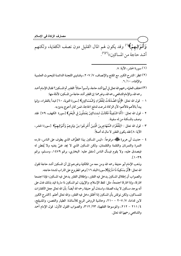وَأَمْوَالِـهِمْ﴾''' وقد يكون لهم المال القليل دون نصف الكفاية، ولكنهم أشد حاجة من المساكين))<sup>(٣)(٣)</sup>.

- (١) سورة الحشر، الآية: ٨.
- (٢) انظر : الشرح الكبير مع المقنع والإنصاف، ٧/ ٢٠٧، وفتاوى اللجنة الدائمة للبحوث العلمية والإفتاء، ١١/ ٦.
- (٣) اختلف العلماء رحمهم الله تعالى في أيهما أشد حاجة، وأسـوأ حـالاً: الفقـر أم المسكين؟ فقـال الإمـام أحمد رحمه الله، والإمام الشافعي رحمه الله، وغيرهما: إن الفقير أشد حاجة من المسكين؛ لأدلة منها:
- ١ قول الله تعالى: ﴿إِنَّمَا الصَّدَقَاتُ لِلْفُقَرَاءِ وَالْمَسَاكِينِ﴾ [سورة التوبة، ٦٠] فبدأ بالفقراء، وإنما يبدأ بالأهم فالأهم؛ لأن الزكاة شرعت لدفع الحاجة، فمن كان أحوج بدئ به.
- ٢ قول الله تعالى: ﴿أَمَّا السَّفِينَةُ فَكَانَتْ لـمَسَاكِينَ يَعْمَلُونَ فِي الْبَحْرِ﴾ [سورة الكهف، ٧٩] فقد وصف بالمسكنة من له سفينة.
- ٣ قول الله تعالى : ﴿لِلْفُقَرَاءِ الْـمُهَاجِرِينَ الَّذِينَ أُخْرِجُوا مِنْ دِيَارِهِمْ وَأَمْوَالِهِمْ﴾ [سورة الحشر، الآية: ٨] فقد يكون الفقبر لا مال له أصلاً.
- ٤ حديث أبي هريرة ﷺ» مرفوعاً: ‹‹ليس المسكين بهذا الطوَّاف الذي يطوف على الناس، فترده التمرة والتمرتان واللقمة واللقمتان، ولكن المسكين الذي لا يجد غنيَّ يغنيه ولا يُفطن له فيتصدق عليه، ولا يقوم فيسأل الناس [متفق عليه: البخاري، برقم ١٤٧٩، ومسلم، برقم  $\Gamma$

وذهب الإمام أبو حنيفة رحمه الله ومن معه من المالكية وغيرهم إلى أن المسكين أشد حاجة لقول الله تعالى: ﴿أَوْ مِسْكِينًا ذَا مَتْرَبَةٍ﴾[سورة البلد ١٦] وهو المطروح على التراب لشدة حاجته. والصواب أن إطلاق المسكين يدخل فيه الفقر، وإطلاق الفقير يدخل فيه المسكين؛ فإذا اجتمعا افترقا، وإذا افترقا اجتمعاً، مثل: لفظ الإسلام، والإيهان، ثم المسكين ذا متربة قيد بذلك فدل على أنه يوجد مسكين لا بهذه الصفة، واستدل أبو حنيفة رحمه الله أيضاً: بأن الله تعالى جعل الكفارات للمساكين، ولكن نوقش بأن المسكين إذا أطلق دخل فيه الفقير، والله تعالى أعلم. [الشرح الكبير لابن قدامة، ٧/ ٢٠٧ – ٢١٠، وحاشية الروض المربع للأساتذة: الطيار والغصن، والمشيقح، ٤/ ٢١١ – ٢١٢، والموسوعة الفقهية، ٣١٢/ ٣١٢، والصواب القول الأول: قول الإمام أحمد والشافعي رحمهما الله تعالى.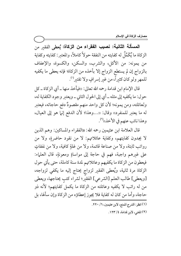المسألة الثانية: نصيب الفقراء من الزكاة: يُعطى الفقير من الزكاة ما يُكَمِّلُ له كفايته من النفقة حو لاً كاملاً، والمعتبن كفايته وكفاية من يمونه: من الأكل، والشرب، والسكن، والكسوة، والإعفاف بالزواج إن لم يستطع الزواج إلا بأخذه من الزكاة؛ فإنه يعطى ما يكفيه للمهر ولو كان كثيراً، من غير إسر افٍ ولا تقتير'').

قال الإمام ابن قدامة رحمه الله تعالى: «فيأخذ منها ــ أي الزكاة ــ كل حول: ما يكفيه إلى مثله \_ أي إلى الحول الثاني \_ ويعتبر وجود الكفاية له، ولعائلته، ومن يمونه؛ لأن كل واحد منهم مقصودٌ دفع حاجاته، فيعتبر له ما يعتبر للمنفرد» وقال: «…وهذا؛ لأن الدفع إنها هو إلى العيال، وهذا نائب عنهم في الأخذ))'".

قال العلامة ابن عثيمين رحمه الله: «الفقراء والمساكين: وهم الذين لا يجدون كفايتهم، وكفاية عائلاتهم: لا من نقود حاضرةٍ، ولا من رواتب ثابتة، ولا من صناعة قائمة، ولا من غلةٍ كافية، ولا من نفقاتٍ على غيرهم واجبة، فهم في حاجة إلى مواساةٍ ومعونةٍ، قال العلماء: فيعطون من الزكاة ما يكفيهم وعائلاتهم لمدة سنة كاملة، حتى يأتي حول الزكاة مرة ثانية، ويُعطى الفقير لزواج يحتاج إليه ما يكفي لزواجه، [ويعطي] طالب العلم [الشرعي] الفقير؛ لشراء كتب يحتاجها، ويعطي من له راتب لا يكفيه وعائلته من الزكاة ما يكمل كفايتهم؛ لأنه ذو حاجة، وأما من كان له كفاية فلا يجوز إعطاؤه من الزكاة وإن سألها، بل

(٢) المغنى، لابن قدامة، ٤/ ١٢٣.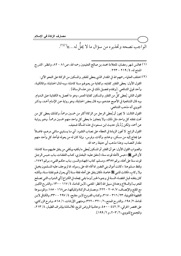الواجب نصحه وتحذيره من سؤال ما لا يحلُّ له....»(')ا".

(١) مجالس شهر رمضان، للعلامة محمد بن صالح العثيمين رحمه الله، ص ٨١ - ٨٢، وانظر : الشرح الممتع له، ٤ / ٢١٩- ٢٢٣.

(٢) اختلف العلماء رحمهم الله في المقدار الذي يعطى للفقير والمسكين من الزكاة على النحو الآتي: القول الأول: يعطي الفقير كفايته، وكفاية من يعولهم سنة كاملة، وبه قال الحنابلة، والمالكية، وأحد قولي الشافعي. [وتقدم تفصيل ذلك في متن هذه الرسالة] . القول الثاني: يُعطى كلٌّ من الفقبر والمسكين كفاية العمر ، وهو ما تحصل به الكفايـة عـلى الـدوام. وبه قال الشافعية في الأصح عندهم، وبه قال بعض الحنابلة، وهو رواية عـن الإمـام أحمـد، وذكـر النووي أنه مذهب الشافعي. القول الثالث: لا يجوز أن يُعطي الرجل من الزكاة أكثر من خمسين درهماً، وكذلك يعطي كل من تحت نفقته كل واحد مثل ذلك، ولا يتجاوز ما يعطي كل واحد منهم خمسين درهماً. وهـو روايـة عن أحمد، ولكن رُدَّ بأن حديث ابن مسعود في هذه المسألة ضعيف. القول الرابع: لا تجوز الزيادة في العطاء على نصاب النقـود: أي مـا يسـاوي مـائتي درهـم، فاضـلاً عما يحتاج إليه من مسكن، وخادم، وأثاث، وفرس، وإذا كان له من يعوله فيأخذ كل وأحد منهم مقدار النصاب، وهذا مذهب أبي حنيفة رحمه الله. والصواب القول الأول: هو أن الفقير أو المسكين يُعطى ما يكفيه ويكفى من ينفق عليهم سنة كاملة؛ لأن النبي ﷺ((حبس لأهله قوت سنة)) [متفق عليـه: البخـاري، كتـاب النفقـات، بـاب حـبس الرجـل قوت سنة على أهله، برقم ٥٣٥٧ه، ومسلم، كتاب الجهاد والسير، بـاب حكـم الفـيء، بـرقم ١٧٥٦، ولفظ مسلم هنا: «كانت أموال بني النضير مما أفاء الله على رسوله، مما لم يوجف عليه المسلمون بخيل ولا ركاب، فكانت للنبي ﷺ خاصة، فكان ينفق على أهله نفقة سـنة [أي يعـزل لهـم نفقـة سـنة، ولكنـهُ كان ينفقه قبل انقضاء السنة في وجوه الخير ] وما بقى يجعله في الكراع [أى الدواب التي تصلح للحرب] والسلاح وعدة في سبيل الله [انظر : المغنى، لابن قدامـة، ٤ / ١١٧ - ١٣٠، والشرح الكبير مع المقنع والإنصـاف، ٧/ ٢٠٥ - ٢٢٢، ومصـارف الزكـاة وتمليكهـا، ص١٦٨ - ١٨٥، والموسـوعة الفقهية الكويتية، ٢٣/ ٣١٦ – ٣١٧، وكتاب الفروع لابن مفلح، ٤/ ٢٩٧ – ٣٣٠، والكـافي لابن قدامة، ٢/ ١٩٥، والشرح الممتع، ٦/ ٣٢٠-٣٢٢، ومنتهى الإرادات، ١/ ٥١٥، وشرح الزركشي-على مختصر الخرقي، ٢/ ٤٤٢ - ٤٥٠، وحاشية الروض المربع، للأساتذة بإشراف الطيار، ٤/ ٢١٣، والمجموع للنووي، ٦/ ٢٠٣، و ٦/ ١٩٩].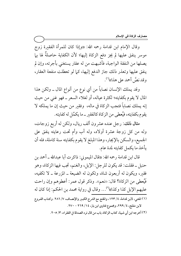وقال الإمام ابن قدامة رحمه الله: «وإذا كان للمرأة الفقيرة زوج موسر ينفق عليها لم يجز دفع الزكاة إليها؛ لأن الكفاية حاصلةٌ لها بها يصلها من النفقة الواجبة، فأشبهت من له عقار يستغنى بأجرته، وإن لم ينفق عليها وتعذر ذلك جاز الدفع إليها، كما لو تعطلت منفعة العقار، وقد نصَّ أحمد على هذا»<sup>(י)</sup>.

وقد يملك الإنسان نصاباً من أي نوع من أنواع المال ـ ولكن هذا المال لا يقوم بكفايته؛ لكثرة عياله، أو لغلاء السعر ــ فهو غني من حيث إنه يملك نصاباً فتجب الزكاة في ماله، ۖ وفقيرٍ من حيث إن ما يملكه لا يقوم بِكفايته، فيُعطى من الزِ كاة كالفقس ــ ما يكمِّل له كفايته.

مثال ذلك: رجل عنده عشرون ألف ريال، ولكن له أربع زوجات، وله من كل زوجة عشرة أولاد، وله أب وأم تحت رعايته ينفق على الجميع، والسكن بالإيجار، وهذا المبلغ لا يقوم بكفايته سنة كاملة، فله أن يأخذ ما يكمل كفايته لمدة عام.

قال ابن قدامة رحمه الله: «قال الميموني: ذاكرت أبا عبدالله ـ أحمد بن حنبل \_ فقلت: قد يكون للرجل: الإبل، والغنم، تجب فيها الزكاة، وهو فقير، ويكون له أربعون شاة، وتكون له الضيعة ـ المزرعة ـ لا تكفيه، فَيُعطي من الزكاة؟ قال: «نعم». وذكر قول عمر: أعطوهم وإن راحت عليهم الإبل كذا وكذا»<sup>(٢)</sup>... وقال في رواية محمد بن الحكم: إذا كان له (١) المغنى، لابن قدامة، ٤/ ١٢٣، والمقنع مع الشرح الكبير والإنصـاف، ٧/ ٢٨٦. وكتـاب الفـروع لابن مفلح، ٤/ ٢٩٩، ومجموع فتاوى ابن باز، ١٤/ ٢٦٩ – ٢٧٠.

(٢) أخرجه ابن أي شيبة، كتاب الزكاة، باب من قال ترد الصدقة في الفقراء، ٣/ ٢٠٥.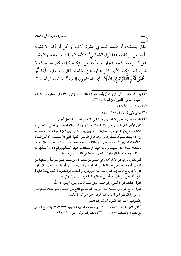عقار يستغله، أو ضيعة تساوى عشرة آلاف أو أقل أو أكثر لا تقيمه يأخذ من الزكاة، وهذا قول الشافعي(''؛ لأنه لا يملك ما يغنيه، ولا يقدر على كسب ما يكفيه، فجاز له الأخذ من الزكاة، كما لو كان ما يملكه لا تجب فيه الزكاة؛ لأن الفقر عبارة عن الحاجة، قال الله تعالى: ﴿يَا أَيُّهَا النَّاسُ أَنْتُمُ الْفُقَرَاءُ إِلَى الله ﴾ (") أي المحتاجون إليه)) (")، والله تعالى أعلم (').

- (١) وقال أصحاب الرأي: ليس له أن يأخذ منها إذا ملك نصاباً زكوياً؛ لأنـه تجب عليـه الزكـاة فلـم تجب له، للخبر [المغنى لابن قدامة، ٤/ ١٢٢].
	- (٢) سورة فاطر، الآية: ١٥.
	- (٣) المغنى لابن قدامة، ٤/ ١٢١ ١٢٢.
- (٤) اختلف العلماء رحمهم الله تعالى في حدِّ الغني المانع من أخذ الزكاة على أقوال: القول الأول: قول الجمهور: من المالكية، والشـافعية، وروايـة عـن الإمـام أحمـد: أن الغني مـا تحصـل بـه الكفاية، فإذا لم يكن محتاجاً حرمت عليه الصدقة، وإن لم يملك شـيئاً، وإن كـان محتاجـاً حلَّـت لـه الصـدقة وإن كان يملك نصاباً أو نُصُباً، والأثيان وغيرها في هذا سواء؛ لقـول النبـي ﷺ لقبيصـة: ((لا تحـل المسألة إلا لأحد ثلاثة: رجل أصابته فاقة حتى يقول ثلاثـة مـن ذوى الحجـا مـن قومـه: قـد أصـابت فلانـاً فاقـة، فحلت له المسألة، حتى يصيب قواماً من عيش أو سـداداً مـن عـيش [مسـلم، بـرقم ٢٠٤٤] فمـدَّ إباحـة المسألة إلى وجود إصابة القوام أو السداد؛ لأن الحاجة هي الفقر، والغني ضدها. القول الثاني: رواية عن الإمام أحمد وهي الظاهر من مذهبه: أن من ملك خمسين درهماً أو قيمتهـا مـن الذهب، أو وجد ما تحصل به الكفاية على الدوام: من كسب، أو تجارة أو عقار، أو نحو ذلك، فهـو غني لا يحل دفع الزكاة إليه. أما إذا ملك من العروض، أو السائمة، أو العقار ما لا تحصل بـه الكفايـة لم يكن غنيًّا، حتى ولو ملك نصباً، ففي هذه الرواية: التفريق بين الأثمان وغيرها. القول الثالث: قول الحسن، وأبي عبيد: الغِني ملك أوقية، وهي: أربعون درهماً. القول الرابع: قول أبي حنيفة: الغني الموجب للزكاة هو المانع من أخذها، فمـن ملك نصـاباً مـن أي أنواع المال فهو غني لا تدفع إليه الزكاة حتى ولو كان لا يكفيه. والصواب إن شاء الله: القول الأول، والله أعلم. [المغنى لابن قدامة، ٤/ ١١٨ – ١٢١، والموسوعة الفقهية الكويتية، ٢٣/ ٣١٣، والشرح الكبير مع المقنع والإنصاف، ٧/ ٢١٦ - ٢٢١، ومصارف الزكاة، ص١٦٦ - ١٩١.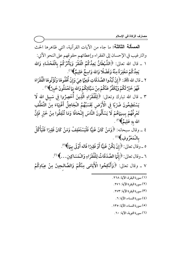المصالة الثالثة: ما جاء من الآيات القرآنية، التي ظاهرها الحث والترغيب في الإحسان إلى الفقراء وإعطائهم حقوقهم على النحو الآتي: ١ \_ قال الله تعالى: ﴿الشَّيْطَانُ يَعِدُكُمُ الْفَقْرَ وَيَأْمُرُكُمْ بِالْفَحْشَاءِ وَالله يَعِدُكُمْ مَغْفِرَةً مِنْهُ وَفَضْلًا وَالله وَاسِعٌ عَلِيمٌ﴾ (''.

- ٢ \_ قال الله ﷺ: ﴿ إِنْ تُبْدُوا الصَّدَقَاتِ فَنِعِهَا هِىَ وَإِنْ ثُخْفُوهَا وَتُؤْتُوهَا الْفُقَرَاءَ فَهْوَ خَيْرٌ لَكُمْ وَيُكَفِّرُ عَنْكُمْ مِنْ سَيِّئَاتِكُمْ وَالله بِمَا تَعْمَلُونَ خَبِيرٌ ﴾(`' .
- ٣ \_ قال الله تبارك وتعالى: ﴿لِلْفُقَرَاءِ الَّذِينَ أُحْصِرُوا فِي سَبِيلِ الله لَا يَسْتَطِيعُونَ ضَرْبًا فِي الْأَرْضِ يَحْسَبُهُمُ الْجَاهِلُ أَغْنِيَاءَ مِنَ التَّعَفُّفِ تَعْرِفُهُمْ بِسِيهَاهُمْ لَا يَسْأَلُونَ النَّاسَ إِلْحَافًا وَمَا تُنْفِقُوا مِنْ خَيْرٍ فَإِنَّ الله بهِ عَلِيمٌ﴾(") .
- ٤ \_ وقال سبحانه: ﴿وَمَنْ كَانَ غَنِيًّا فَلْيَسْتَعْفِفْ وَمَنْ كَانَ فَقِيرًا فَلْيَأْكُلْ بِالْمَعْرُوفِ﴾(''.
	- ه \_وقال تعالى: ﴿إِنْ يَكُنْ غَنِيًّا أَوْ فَقِيرًا فَاله أَوْلَى بِهَا﴾'').
	- ٦ ـ وقال تعالى: ﴿ إِنَّهَا الصَّدَقَاتُ لِلْفُقَرَاءِ وَالْمَسَاكِينِ...﴾ (").

٧ ـ وقال تعالى: ﴿وَأَنْكِحُوا الْأَيَامَى مِنْكُمْ وَالصَّالحِينَ مِنْ عِبَادِكُمْ

- (١) سورة البقرة، الآية: ٢٦٨.
	- (٢) سورة البقرة الآية: ٢٧١.
	- (٣) سورة البقرة الآية: ٢٧٣.
	- (٤) سورة النساء، الآية: ٦.
- (٥) سورة النساء، الآية: ١٣٥.
	- (٦) سورة التوبة، الآية: ٦٠.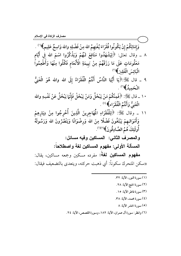وَإِمَائِكُمْ إِنْ يَكُونُوا فُقَرَاءَ يُغْنِهِمُ الله مِنْ فَضْلِهِ والله وَاسِعٌ عَلِيمٍ﴾ ('' .

- ٨ \_ وقال تعالى: ﴿لِيَشْهَدُوا مَنَافِعَ لَـهُمْ وَيَذْكُرُوا اسْمَ الله فِي أَيَّامِ مَعْلُومَاتٍ عَلَى مَا رَزَقَهُمْ مِنْ بَهِيمَةِ الْأَنْعَامِ فَكُلُوا مِنْهَا وَأَطْعِمُواً الْبَائِيَ الْفَقِيرَ ﴾ (")
- ٩ \_ قال ﷺ:﴿يَا أَيُّهَا النَّاسُ أَنْتُمُ الْفُقَرَاءُ إِلَى الله والله هُوَ الْغَنِيُّ الْحَمِيدُ﴾ (٣).
- ١٠ \_ قال ﷺ: ﴿فَمِنْكُمْ مَنْ يَبْخَلُ وَمَنْ يَبْخَلْ فَإِنَّهَا يَبْخَلُ عَنْ نَفْسِهِ والله الْغَنِيُّ وَأَنْتُمُ الْفُقَرَاءِ﴾ (\*) .
- ١١ \_ وقال ﷺ: ﴿لِلْفُقَرَاءِ الْمُهَاجِرِينَ الَّذِينَ أُخْرِجُوا مِنْ دِيَارِهِمْ وَأَمْوَالـهِمْ يَبْتَغُونَ فَضْلًا مِنَ الله وَرِضْوَانًا وَيَنْصُرُونَ الله وَرَسُولَهُ أُولَئِكَ هُمُ الصَّادِقُونَ﴾(15). والمصرف الثاني: المساكين وفيه مسائل:

المسألة الأولى: مفهوم المساكين لغة واصطلاحاً:

**مفهوم المساكين لغةً:** مفرده مسكين وجمعه مساكين، يقال: ((سكن المتحرك سكوناً: أي ذهبت حركته، ويتعدى بالتضعيف فيقال:

- (١) سورة النور، الآية: ٣٢. (٢) سورة الحج الآية: ٢٨. (٣) سورة فاطر الآية: ١٥. (٤) سورة محمد، الآية: ٣٨. (٥) سورة الحشر الآية: ٨
- (٦) وانظر: سورة آل عمران، الآية: ١٨٢، وسورة القصص، الآية: ٢٤.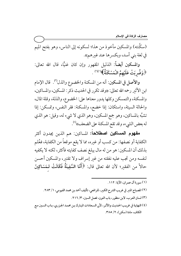<u>مصارف الز</u>كاة ف*ي* الإسلام

(سكَّنته) والمسكين مأخوذ من هذا؛ لسكونه إلى الناس، وهو بفتح الميم في لغة بني أسد، وبكسر ها عند غيرهم».

والمسكين أيضاً: الذليل المقهور وإن كان غنيًّا، قال الله تعالى: ﴿وَضُرِبَتْ عَلَيْهِمُ الْمَسْكَنَةُ﴾ (')(') .

والأصل في المسكين: أنه من المسكنة والخضوع والذل"). قال الإمام ابن الأثير رحمه الله تعالى: «وقد تكرر في الحديث ذكر : المسكين، والمساكين، والمسكنة، والتمسكن وكلها يدور معناها على: الخضوع، والذلة، وقلة المال، والحالة السيئة، واستكان: إذا خضع، والمسكنة: فقر النفس، وتمسكن: إذا تشبَّه بالمساكين، وهو جمع المسكين، وهو الذي لا شيء له، وقيل: هو الذي له بعض الشيء، وقد تقع المسكنة على الضعف))(<sup>٤)</sup>.

**مفهوم المساكين اصطلاحاً:** المساكين: هم الذين يجدون أكثر الكفاية أو نصفها: من كسب أو غيره، مما لا يقع موقعاً من الكفاية، فعُلم بذلك أن المسكين: هو من له مال يبلغ نصف كفايته فأكثر، لكنه لا يكفيه لنفسه ومن تجب عليه نفقته من غير إسراف ولا تقتير، والمسكين أحسن حالاً من الفقير؛ لأن الله تعالى قال: ﴿أَمَّا السَّفِينَةُ فَكَانَتْ لـمَسَاكِينَ

- (٢) المصباح المنير في غريب الشرح الكبير، للرافعي، تأليف أحمد بن محمد الفيومي، ١/ ٢٨٣.
	- (٣) لسان العرب، لابن منظور، باب النون، فصل السين، ٣/ ٢١٦.
- (٤) النهايـة في غريب الحـديث والأثـر، لأبي السـعادات المبارك بـن محمـد الجـزري، بـاب السـين مـع الكاف، مادة (سكن)، ٢/ ٣٨٥.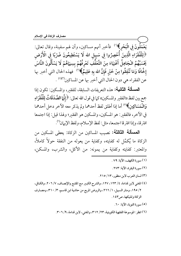يَعْمَلُونَ في الْبَحْرِ﴾''' فأخبر أنهم مساكين، وأن لهم سفينة، وقال تعالى: ﴿لِلْفُقَرَاءِ الَّذِينَ أُحْصِرُوا فِي سَبِيلِ الله لَا يَسْتَطِيعُونَ ضَرْبًا فِي الْأَرْضِ يَحْسَبُهُمُ الْجَاهِلُ أَغْنِيَاءَ مِنَ التَّعَفَّفِ تَعْرِفُهُمْ بِسِيَماهُمْ لَا يَسْأَلُونَ النَّاسَ إِخَّافًا وَمَا تُنْفِقُوا مِنْ خَيْرٍ فَإِنَّ الله بِهِ عَلِيمٌ﴾(`') فهذه الحال التي أخبر بها عن الفقراء هي دون الحال التي أخبر بها عن المساكين'')) .

المصالة الثانية: هذه التعريفات السابقة، للفقير، والمسكين: تكون إذا جمع بين لفظ ((الفقير والمسكين)) كما في قول الله تعالى: ﴿ إِنَّمَا الصَّدَقَاتُ لِلْفُقَرَاءِ وَالْمَسَاكِينَ﴾ (°) أما إذا أطلق لفظ أحدهما ولم يذكر معه الآخر دخل أحدهما في الآخر، فالفقير: هو المسكين، والمسكين هو الفقير؛ ولهذا قيل: إذا اجتمعا افترقا، وإذا افترقا اجتمعا، مثل: لفظ الإسلام، ولفظ الإيهان(٦).

**المسألة الثالثة:** نصيب المساكين من الزكاة: يعطي المسكين من الزكاة ما يُكمِّل له كفايته، وكفاية من يعوله من النفقة حولاً كاملاً، والمعتبر: كفايته وكفاية من يمونه: من الأكل، والشرب، والمسكن،

- (١) سورة الكهف، الآية: ٧٩ .
- (٢) سورة البقرة، الآية: ٢٧٣.
- (۳) لسان العرب لابن منظور، ۱۳/ ۲۱۰.
- (٤) المغنى لابن قدامة، ٤/ ١٢٣، ١٢٧، والشرح الكبير مع المقنع والإنصاف، ٧/ ٢٠٦، والكافي، ٢/ ١٩٥، ومنار السبيل، ١/ ٢٦٦، والروض المربع من حاشية ابن قاسم، ٣/ ٣١٠، ومصـارف الزكاة وتمليكها، ص١٤٣.
	- (٥) سورة التوبة، الآية: ٦٠.
	- (٦) انظر : الموسوعة الفقهية الكويتية، ٢٣/ ٣١٢، والمغنى، لابن قدامة، ٩/ ٣٠٦.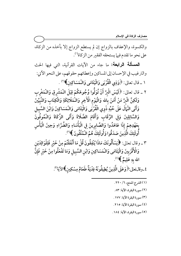والكسوة، والإعفاف بالزواج إن لم يستطع الزواج إلا بأخذه من الزكاة، على نحو ما تقدم فيها يستحقه الفقير من الزكاة'').

**المسألة الرابعة:** ما جاء من الآيات القرآنية، التي فيها الحث والترغيب في الإحسان إلى المساكين وإعطائهم حقوقهم، على النحو الآتي: ١ ـ قال تعالى: ﴿وَذِي الْقُرْبَى وَالْيَتَامَى وَالْمَسَاكِينَ﴾''' . ٢ \_ قال تعالى: ﴿لَيْسَ الْبِرَّ أَنْ تُوَلُّوا وُجُوهَكُمْ قِبَلَ الْمَشْرِقِ وَالْمَغْرِبِ وَلَكِنَّ الْبِرَّ مَنْ آَمَنَ بِالله وَالْيَوْمِ الْآَخِرِ وَالْـمَلَائِكَةِ وَالْكِتَابِ وَالنَّبَيِّينَ وَآَتَى الْـمَالَ عَلَى حُبِّهِ ذَوى الْقُرْبَى وَالْيَتَامَى وَالْـمَسَاكِينَ وَابْنَ السَّبِيل وَالسَّائِلِينَ وَفِي الرِّقَابِ وَأَقَامَ الصَّلَاةَ وَآَتَى الزَّكَاةَ وَالْمُوفُونَ بِعَهْدِهِمْ إِذَا عَاهَدُوا وَالصَّابِرِينَ فِي الْبَأْسَاءِ وَالضَّرَّاءِ وَحِينَ الْبَأْس أُولَئِكَ الَّذِينَ صَدَقُوا وَأُولَئِكَ هُمُ الْمُتَّقُونَ ﴾ (").

٣ \_ وقال تعالى: ﴿يَسْأَلُونَكَ مَاذَا يُنْفِقُونَ قُلْ مَا أَنْفَقْتُمْ مِنْ خَيْرٍ فَلِلْوَالِدَيْنِ وَالْأَقْرَبِينَ وَالْيَتَامَى وَالْمَسَاكِينِ وَابْنِ السَّبِيلِ وَمَا تَفْعَلُوا مِنْ خَيْرٍ فَإِنَّ الله بهِ عَلِيمٌ ﴾(''.

٤\_وقالتعالى:﴿وَعَلَى الَّذِينَ يُطِيقُونَهُ فِدْيَةٌ طَعَامُ مِسْكِينِ﴾الآية'؟.

- (١) الشرح الممتع، ٦/ ٢٢٠. (٢) سورة البقرة، الآية: ٨٣. (٣) سورة البقرة الآية: ١٧٧. (٤) سورة البقرة الآية: ٢١٥.
- (٥) سورة البقرة، الآية: ١٨٤.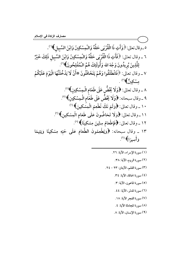٥\_وقال تعالى: ﴿ وَآَتِ ذَا الْقُرْبَى حَقَّهُ وَالْمِسْكِينَ وَابْنَ السَّبِيلِ﴾ (''. ٦ ــ وقال تعالى: ﴿فَآَتِ ذَا الْقُرْبَى حَقَّهُ وَالْمِسْكِينَ وَابْنَ السَّبِيلِ ذَلِكَ خَيْرٌ لِلَّذِينَ يُرِيدُونَ وَجْهَ الله وَأُولَئِكَ هُمُ الْمُفْلِحُونَ﴾ (''. ٧ \_ وقال تعالى: ﴿فَانْطَلَقُوا وَهُمْ يَتَخَافَتُونَ \*أَنْ لَا يَدْخُلَنَّهَا الْيَوْمَ عَلَيْكُمْ مِسْكِينٌ ﴾(٣) . ٨ \_ وقال تعالى: ﴿وَلَا يَحْضُّ عَلَى طَعَامِ الْـمِسْكِينِ﴾''. ٩ \_وقال سبحانه: ﴿وَلَا يَحْضُّ عَلَى طَعَامِ الْمِسْكِينِ﴾ (°). ١٠ ـ وقال تعالى: ﴿وَلَمْ نَكُ نُطْعِمُ الْمِشْكِينَ﴾ <sup>(٢)</sup> ١١ ـ وقال تعالى: ﴿وَلَا تَحَاضُّونَ عَلَى طَعَامِ الْمِسْكِينِ﴾'''. ١٢ ـ وقال تعالى: ﴿فَإِطْعَامُ سِتِّينَ مِسْكِينًا﴾ (^). ١٣ ـ وقال سبحانه: ﴿وَيُطْعِمُونَ الطَّعَامَ عَلَى حُبّهِ مِسْكِينًا وَيَتِيمًا وَ أُسبرًا ﴾ (°).

- (١) سورة الإسراء، الآية: ٢٦.
	- (٢) سورة الروم، الآية: ٣٨.
- (٣) سورة القلم، الآيتان: ٢٣ ٢٤.
	- (٤) سورة الحاقة، الآية: ٣٤.
		- (٥) سورة الماعون، الآية: ٣.
		- (٦) سورة المدثر، الآية: ٤٤.
		- (٧) سورة الفجر الآية: ١٨.
		- (٨) سورة المجادلة الآية: ٤.
		- (٩) سورة الإنسان، الآية: ٨.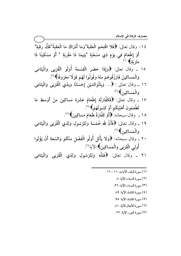- ١٤ وقال تعالى: ﴿فَلَا اقْتَحَمَ الْعَقَبَةَ\*وَمَا أَدْرَاكَ مَا الْعَقَبَةُ\*فَكُّ رَقَبَةٌ\* أَوْ إِطْعَامٌ فِي يَوْمٍ ذِي مَسْغَبَةٍ \*يَتِيمًا ذَا مَقْرَبَةٍ \* أَوْ مِسْكِينًا ذَا<br>مَتْرَبَةٍ﴾ (')
- ١٥ \_ وقال تعالى: ﴿وَإِذَا حَضَرَ الْقِسْمَةَ أُولُو الْقُرْبَى وَالْيَتَامَى وَالْمَسَاكِينُ فَارْزُقُوهُمْ مِنْهُ وَقُولُوا لَهُمْ قَوْلًا مَعْرُوفًا﴾ (").
- ١٦ ــ وقال تعالى : ﴿... وَبِالْوَالِدَيْنِ إِحْسَانًا وَبِذِي الْقُرْبَى وَالْيَتَامَى وَالْمَسَاكِينَ﴾ (٣)
- ١٧ ـ وقال تعَالى: ﴿فَكَفَّارَتُهُ إِطْعَامُ عَشَرَةِ مَسَاكِينَ مِنْ أَوْسَطِ مَا تُطْعِمُونَ أَهْلِيكُمْ أَوْ كِسْوَتُهُمْ﴾ (''.
	- ١٨ \_ وقال سبحانه: ﴿أَوْ كَفَّارَةٌ طَعَامُ مَسَاكِينَ﴾ (°).
- ١٩ ـ وقال تعالى: ﴿فَأَنَّ لِلَّهِ خُمُسَهُ وَلِلرَّسُولِ وَلِذِي الْقُرْبَى وَالْيَتَامَى وَالْمَسَاكِينِ﴾ (٦)
- ٢٠ \_ وقال سبَحانه: ﴿وَلَا يَأْتَل أُولُو الْفَضْلِ مِنْكُمْ وَالسَّعَةِ أَنْ يُؤْتُوا أُولِي الْقُرْبَى وَالْمَسَاكِينَ﴾ الآية'''.
- ٢١ \_ وقال تعالى: ﴿فَلِلَّهِ وَلِلرَّسُولِ وَلِذِى الْقُرْبَى وَالْيَتَامَى

#### (١) سورة البلد، الآيات: ١١ - ١٦.

- (٢) سورة النساء، الآية: ٨.
- (٣) سورة النساء، الآية: ٣٦.
- (٤) سورة المائدة، الآية: ٨٩.
- (٥) سورة المائدة، الآية: ٩٥.
- (٦) سورة الأنفال الآية: ٤١.
- (٧) سورة النور، الآية: ٢٢.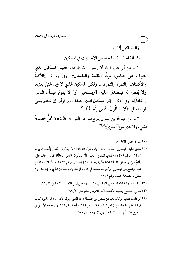وَالْمَسَاكِينِ﴾ (''.

المسألة الخامسة: ما جاء من الأحاديث في المسكين.

١ \_ عن أبي هريرة ﷺ أن رسول الله ﷺ قال: «ليس المسكين الذي يطوف على الناس، تردُّه اللقمة واللقمتان». وفي رواية: «الأكلةُ والأكلتان، والتمرة والتمرتان، ولكن المسكين الذي لا يجد غنيٍّ يغنيه، ولا يُفطنُ له فيتصدق عليه، [ويستحيى أو] لا يقومُ فيسأل الناس [إلحافاً]». وفي لفظٍ: «إنـما المسكين الذي يتعفف، واقرأوا إن شئتم يعني قوله تعالى: ﴿لَا يَسْأَلُونَ النَّاسَ إِلْحَافًا﴾ ('' .

٢ ــ عن عبدالله بن عمرو رض<sub>ي</sub>للهءِها عن النبي ﷺ قال: «لا تحلُّ **الصدقةُ** لغني، ولا لذي مرةٍ<sup>(٣)</sup> سويٌّ))<sup>(٥)</sup>.

### .<br>(١) سورة الحشر، الآية: ٧.

(٢) متفق عليه: البخاري، كتاب الزكاة، باب قول الله گلة: ﴿لَا يَسْأَلُونَ النَّاسَ إِلْحَافًا﴾، برقم ١٤٧٦، ورقم ١٤٧٩، وكتاب التفسير، بابٌ، ﴿لَا يَسْأَلُونَ النَّاسَ إِلْحَافًا﴾ يقال: ألحف عليَّ، وألحَّ عليَّ، وأحفاني بالمسألة ﴿فَيُحْفِكُمْ﴾ [محمد: ٣٧] يجهدكم، برقم ٤٥٣٩، والألفاظ ملفقة من هذه المواضع من البخاري، وأخرجه مسلم، في كتاب الزكاة، باب المسكين الذي لا يجد غني ولا يفطن له فيتصدق عليه، برقم ١٠٣٩.

(٣) المرة: القوة وشدة العقد، وهي القوة على الكسب والعمل [نيل الأوطار للشوكاني، ٣/ ٢٩].

- (٤) سوى: صحيح وسليم الأعضاء [نيل الأوطار للشوكاني، ٣/ ٢٩].
- (٥) أبو داود، كتاب الزكاة، باب من يعطي من الصدقة وحد الغني، برقم ١٦٣٤، والترمذي، كتاب الزكاة، باب ما جاء من لا تحل له الصدقة، برقم ٢٥٢، وأحمد، ٢/ ١٩٢، وصححه الألباني في صحيح سنن أبي داود، ١/ ٥٤٥٤، وفي الإرواء، برقم ٨٧٧.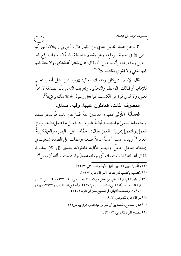٣ ــ عن عبيد الله بن عدي بن الخيار قال: أخبرنى رجلان أنهما أتيا النبي ﷺ في حجة الوداع، وهو يقسم الصدقة، فسألاه منها، فرفع فينا البصر وخفضه، فرآنا جلدين'')، فقال: «إن شئتما أعطيتكما، ولا حظّ فيها فيها لغني ولا لقوى مكتسب»(٦) .

قال الإمام الشوكاني رحمه الله تعالى: «وفيه دليل على أنه يستحب للإمام، أو المالك: الوعظ، والتحذير، وتعريف الناس بأن الصدقة لا تحلُّ إ لغني، ولا لذي قوة على الكسب، كما فعل رسول الله ﷺ ذلك برفقِ» ".

المصرف الثالث: العاملون عليها، وفيه: مسائل:

**المصالة الأولى:**مفهوم العاملين لغةً:عَمِلَ،من باب طَربَ،وأعمله، واستعمله، بمعنىً،واستعمله أيضاً:طلب إليه العمل،واعتمل،اضطرب في العمل،والتعميل:تولية العمل،يقال: عمَّله على البصرة،والعمالة:رزقُ العامل (°) ويقال:عملته أعملُهُ عملاً:صنعته،وعملت على الصدقة:سعيت في جمعها،والفاعل عاملٌ والجمع:عُمَّال،وعاملون،ويتعدى إلى ثانٍ بالهمزة، فيقال:أعملته كذا واستعملته:أي جعلته عاملاً،واستعملته:سألته أن يعمل'').

(١) جلْدَين: قويين شديدين، [نيل الأوطار للشوكاني، ٣/ ٢٩]. (٢) مكتسب: يكتسب قدر كفايته. [نيل الأوطار، ٣/ ٦٩]. (٣) أبو داود كتاب الزكاة، باب من يعطي من الصدقة وحد الغني، برقم: ١٦٣٣، والنسائي، كتـاب الزكـاة، بـاب مسـألة القـوي المكتسـب، بـرقم: ٢٥٩٧، وأحمـد في المسـند، بـرقم ١٧٩٧٢، ورقـم ١٧٩٧٣، وصححه الألباني، في صحيح سنن أبي داود، ١/ ٤٥٤. (٤) نيل الأوطار، للشوكاني، ٦٣. (٥) مختار الصحاح، لمحمد بن أبي بكر بن عبدالقادر، الرازي، ص١٩١. (٦) المصباح المنير، للفيومي، ٢/ ٤٣٠.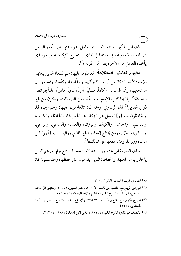قال ابن الأثير \_ رحمه الله \_: «والعامل: هو الذي يتولى أمور الرجل في ماله وملكه، وعَمَلِهِ، ومنه قيل للذي يستخرج الزكاة: عامل، والذي يأخذه العامل من الأجرة يقال له: عُمالة»(''.

مفهوم العاملين اصطلاحاً: العاملون عليها: هم السعاة الذين يبعثهم الإمام؛ لأخذ الزكاة من أربابها: كجبَّائها، وحفَّاظها، وكتَّابها، وقسامها بين مستحقيها، وشُرط كونه: مكلفاً، مسلماً، أميناً، كافياً، قادراً، عالماً بفرائض الصدقة''). إلا إذا كتب الإمام له ما يأخذ من الصدقات، ويكون من غبر ذوى القربي<sup>(٣)</sup> قال المرداوي: رحمه الله: «العاملون عليها: وهم الجباة لها، والحافظون لها، [و] العامل على الزكاة: هو الجابي لها، والحافظ، والكاتب، والقاسم، والحاشر، والكيَّال، والوزَّان، والعدَّاد، والساعي، والراعي، والسائق، والحّمّال، ومن يحتاج إليه فيها، غير قاض ووالٍ …. [و] أجرة كيل الزكاة ووزنها، ومؤنة دفعها على المالك»<sup>(؛)</sup>.

وقال العلامة ابن عثيمين \_ رحمه الله \_: ((الجباة: جمع جابي، وهم الذين يأخذونها من أهلها، والحفاظ: الذين يقومون على حفظها، والقاسمون لها:

- (١) النهاية في غريب الحديث والأثر ، ٣/ ٣٠٠.
- (٢) الروض المربع مع حاشية ابن قاسم، ٣/ ٣١٢، ومنار السبيل، ١/ ٢٦٧، ومنتهى الإرادات، للفتوحي، ١/ ٥١٥، والشرح الكبير مع المقنع والإنصاف، ٧/ ٢٢٢ - ٢٢٦.
- (٣) الشر-ح الكبير مـع المقنـع والإنصـاف، ٧/ ٢٢٥، والإقنـاع لطالـب الانتفـاع، لموسـى بـن أحمـد الحجَّاوي، ١/ ٢٩٩.
	- (٤) الإنصاف مع المقنع والشرح الكبير، ٧/ ٢٢٢، والمغنى لابن قدامة، ١٠٨/٤، و٩/ ٣١٢.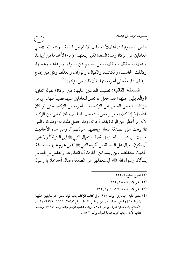الذين يقسمونها في أهلها»<sup>(י)</sup>، وقال الإمام ابن قدامة ــ رحمه الله: «يعني العاملين على الزكاة وهم: السعاة الذين يبعثهم الإمام؛ لأخذها من أربابها، وجمعها، وحفظها، ونقلها، ومن يعينهم ممن يسوقها ويرعاها، ويحملها، وكذلك الحاسب، والكاتب، والكيَّال، والوزَّان، والعدَّاد، وكل من يحتاج إليه فيها؛ فإنه يُعطى أجرته منها؛ لأن ذلك من مؤنتها»(").

**المسألة الثانية:** نصيب العاملين عليها: من الزكاة؛ لقوله تعالى: ﴿وَالْعَامِلِينَ عَلَيْهَا﴾ فقد جعل الله تعالى للعاملين عليها نصيباً منها ـ أي من الزكاة ــ فيعطى العامل على الزكاة بقدر أجرته من الزكاة، حتى لو كان غنيًّا، إلا إذا كان له مرتب من بيت مال المسلمين، فلا يُعطى من الزكاة؛ لأنه إنها أُعطي من الزكاة بقدر أجرته، وقد حصل ذلك له؛ وقد كان النبي ﷺ يبعث على الصدقة سعاة ويعطيهم عمالتهم<sup>(٣)</sup>. ومن هذه الأحاديث حديث أبي حميد الساعدي في قصة استعمال النبي ﷺ ابن اللتبية<sup>(؛)</sup> ولا يجوز أن يكون العمال على الصدقة من أقرباء النبي ﷺ الذين تحرم عليهم الصدقة؛ لحديث عبدالمطلب بن ربيعة ابن الحارث أنه انطلق هو والفضل بن العباس يسألان رسول الله ﷺ؛ ليستعملهما على الصدقة، فقال أحدهما: يا رسول

- (١) الشرح الممتع، ٦/ ٢٢٥.
- (٢) المغنى لابن قدامة، ٩/ ٣١٢.
- (٣) المغنى لابن قدامة ، ٤/ ١٠٧، و٩/ ٣١٢.
- (٤) متفق عليه: البخاري، برقم ٩٢٥، وفي كتاب الزكاة، باب قوله تعالى: ﴿وَالْعَامِلِينَ عَلَيْهَا﴾ [التوبة ٦٠] وكتاب الهبة، باب من لم يقبل الهدية، برقم ٢٥٩٧، ٢٦٣٦، ٢٩٧٩، وكتاب الأحكام، باب هدايا العمال، برقم: ٧١٧٤، وباب محاسبة الإمام عماله، برقم: ٧١٩٧، ومسلم، كتاب الإمارة، باب تحريم هدايا العمال، برقم: ١٨٣٢.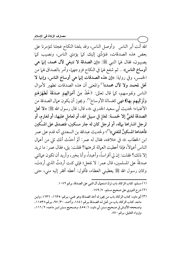الله أنت أبر الناس وأوصل الناس، وقد بلغنا النكاح فجئنا لتؤمرنا على بعض هذه الصدقات، فنؤدِّي إليك كما يؤدي الناس، ونصيب كما يصيبون، فقال لهما النبي ﷺ: «إن الصدقة لا تنبغي لآل محمد، إنما هي أوساخ الناس» .. ثم شفع لها في النكاح فزوجهما، وأمر بالصداق لهما من الخمس، وفي رواية: «إن هذه الصدقات إنها هي أوساخ الناس، وإنها لا تحل لمحمد ولا لآل محمد»'' والمعنى أن هذه الصدقات تطهير لأموال الناس ونفوسهم، كما قال تعالى: ﴿خُذْ مِنْ أَمْوَالِهِمْ صَدَقَةً تُطَهِّرُهُمْ وَتُزَكِّيهِمْ بِهَا﴾ فهي كغسالة الأوساخ''). ويجوز أن يكون عمال الصدقة من الأغنياء؛ لحديث أبي سعيد الخدري ﷺ: ((لا تحال: قال رسول الله ﷺ: ((لا تحل الصدقة لغنيٍّ إلا لخمسة: لغازٍ في سبيل الله، أو لعامل عليها، أو لغارم، أو لرجل اشتراها بهاله، أو لرجل كان له جار مسكين، فتصدق على المسِّكين فأهداها المسكينُ للغني)،''')؛ ولحديث عبدالله بن السعدي أنه قدم على عمر ابن الخطاب ﷺ في خلافته، فقال له عمر: ألم أحدَّث أنك تلى من أعمال الناس أعمالاً، فإذا أعطيت العمالة كرهتها؟ فقلت: بلي، فقال عمر: ما تريد إلا ذلك؟ فقلت: إن لي أفراساً، وأعبداً، وأنا بخير، وأريد أن تكون عمالتي صدقةً على المسلمين، قال عمر : لا تفعل؛ فإني كنت أردتُ الذي أردتَ، وكان رسول الله ﷺ يعطيني العطاء، فأقول: أعطه أفقر إليه مني، حتى

(١) مسلم، كتاب الزكاة، باب ترك استعمال آل النبي على الصدقة، برقم ١٠٧٢.

(٣) أبو داود، كتاب الزكاة، باب من يجوز له أخذ الصدقة وهو غني، بـرقم: ١٦٣٥، ١٦٣٦، وابـن ماجه، كتاب الزكاة، باب من تحل لـه الصـدقة برقم ١٨٤١، وأحمـد، ٣٠/ ٩٧، برقم ١١٥٣٨. وصححه الألباني في صحيح سنن أبي داود، ١/ ٤٥٥، وصحيح سنن ابن ماجه، ٢/ ١١٦، وإرواء الغليل، برقم ٨٧٠.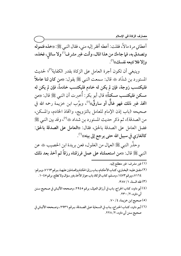أعطاني مرة مالاً، فقلت: أعطه أفقر إليه مني، فقال النبي ﷺ: «خذه فتموله وتصدق به، فما جاءك من هذا المال، وأنت غير مشرف'') ولا سائلٍ، فخذه، وإلا فلا تتبعه نفسك))<sup>(٢)</sup>.

وينبغي أن تكون أجرة العامل على الزكاة بقدر الكفاية<sup>(٣)</sup>؛ لحديث المستورد بن شدّاد یه قال: سمعت النبي ﷺ يقول: «من كان لنا عاملاً فليكتسب زوجة، فإن لم يكن له خادم فليكتسب خادماً، فإن لم يكن له مسكن فليكتسب مسكناً)، قال أبو بكر : أُخبرت أن النبي ﷺ قال: «من اتخذ غير ذلك فهو غالّ أو سارقٌ»<sup>(؛)</sup>، وبوَّب ابن خزيمة رحمه الله في صحيحه (باب إذن الإمام للعامل بالتزويج، واتخاذ الخادم، والمسكن، من الصدقة)، ثم ذكر حديث المستورد بن شداد یهه (°)، وقد بين النبي ﷺ فضل العامل على الصدقة بالحق، فقال: «العامل على الصدقة بالحق: كالغازي في سبيل الله حتى يرجع إلى بيته»<sup>(٦)</sup>.

وحذَّر النبي ﷺ العمال من الغلول، فعن بريدة ابن الحصيب ﷺ عن النبي ﷺ قال: «من استعملناه على عمل فرزقناه رزقاً ثم أخذ بعد ذلك

ــــــــــــــــــــــــــــــــــــــــــــــــــــــــــــــــــــــــــــ (١) غير مشرف: غير متطلع إليه. (٢) متفـق عليـه: البخـاري، كتـاب الأحكـام، بـاب رزق الحكـام والعـاملين عليهـا، بـرقم ٧١٦٣، وبـرقم: 7١٦٤، وبرقم ١٤٧٣، ومسلم، كتاب الزكاة، باب جواز الأخذ بغير سؤال ولا تطلع، برقم ١٠٤٥. . (۳) فقه السنة، ۱ / ۳۸۷. (٤) أبو داود، كتاب الخراج، باب في أرزاق العمال، برقم ٢٩٤٥، وصححه الألبـاني في صـحيح سـنن آبي داود، ۲ / ۲۳۰ . (٥) صحيح ابن خزيمة، ٧٠ / ٧٠. (٦) أبـو داود، كتـاب الخـراج، بـاب في السـعاية عـلى الصـدقة، بـرقم ٢٩٣٦، وصـححه الألبـاني في صحيح سنن أبي داود، ٢ / ٢٢٨ .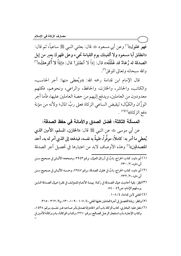فهو غلول»'' وعن أبي مسعود ٢٠٠٠ قال: بعثني النبي ﷺ ساعياً، ثم قال: ((انطلق أبا مسعود ولا ألفينك يوم القيامة تجيء وعلى ظهرك بعير من إبل الصدقة له رُغاءٌ قد غَلَلْتَه)، قال: إذاً لا أنطلق! قال: ((إذاً لا أَكرهكَ))(") والله سبحانه وتعالى الموفق'".

قال الإمام ابن قدامة رحمه الله: «ويُعطى منها: أجر الحاسب، والكاتب، والحاشر، والخازن، والحافظ، والراعي، ونحوهم، فكلهم معدودون من العاملين، ويدفع إليهم من حصة العاملين عليها، فأما أجر الوزَّان والكيَّال؛ ليقبض الساعي الزكاة فعلى ربِّ المال؛ ولأنه من مؤنة دفع الزكاة))(0).

المسألة الثالثة: فضل الصدق والأمانة في حفظ الصدقة:

عن أبي موسى ﷺ عن النبي ﷺ قال: «الخازن، المسلم، الأمين الذي يُعطي ما أمر به: كاملاً، موفَّراً، طيبةً به نفسه، فيدفعه إلى الذي أمر له به، أحد المتصدقين»<sup>(٦)</sup> وهذه الأوصاف لابد من اعتبارها في تحصيل أجر الصدقة

- (١) أبو داود، كتاب الخراج، بابٌ في أرزاق العمال، برقم ٢٩٤٣، وصححه الألبـاني في صـحيح سـنن أبي داود، ٢/ ٢٣٠.
- (٢) أبو داود، كتاب الخراج، بابٌ في غلول الصدقة، برقم ٢٩٤٧، وحسنه الألباني في صـحيح سـنن أبي داود ٢/ ٢٣٢ .
- (٣)انظر : بقية أحاديث عمال الصدقة في زكـاة بهيمـة الأنعـام للمؤلـف في فقـرة عـمال الصـدقة الـذين يرسلهم الإمام، ص٩٤ -٤٥.
	- (٤) المغنى لابن قدامة، ١٠٨/٤.
	- (٥) وانظر : زيادة التفصيل في أجرة العاملين عليها المغنى، ١٤/ ١٠٧ ١٠٩، ١٣٠، و٩/ ٣١٢ ٣١٥.

(٦) متفق عليه: البخاري، كتاب الزكاة، باب أجر الخادم إذا تصدق بأمر صـاحبه غـير مفسـلٍ، بـرقم: ١٤٣٨، وكتاب الإجارة، باب استئجار الرجل الصـالح، بـرقم ٢٢٦٠، وكتـاب الوكالـة، بـاب وكالـة الأمـين في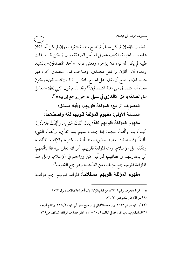للخازن؛ فإنه إن لم يكن مسلماً لم تصح منه نية التقرب، وإن لم يكن أميناً كان عليه وزر الخيانة، فكيف يحصل له أجر الصدقة، وإن لم تكن نفسه بذلك طيبة لم يكن له نية، فلا يؤجر، ومعنى قوله: «أحد المتصدقين» بالتثنية، ومعناه أن الخازن بها فعل متصدق، وصاحب المال متصدق اخر، فهما متصدقان، ويصح أن يقال: على الجمع، فتكسر القاف «المتصدقين» ويكون معناه أنه متصدق من جملة المتصدقين<sup>(١)</sup> وقد تقدم قول النبي ﷺ: «ا**لعا**مل على الصدقة بالحق: كالغازي في سبيل الله حتى يرجع إلى بيته»<sup>(٢)</sup>.

المصرف الرابع: المؤلفة قلوبهم، وفيه مسائل:

المسألة الأولى: مفهوم المؤلفة قلوبهم لغة واصطلاحاً:

مفهوم الموالفة قلوبهم لغة: يقال ألفتُ الشيء، وألِفْتُ فلاناً: إذا تَ به، وألفتَ ب أنسِتُ به، وألَّفتُ بينهم: إذا جمعت بينهم بعد تفرُّقٍ، وألَّفتُ الشيء تأليفاً: إذا وصلت بعضه ببعض، ومنه تأليف الكتب، والإلف: الأليف، وتألفه على الإسلام، ومنه المؤلفة قلوبهم، أمر الله تعالى نبيه ﷺ بتألفهم: أي بمقاربتهم وإعطائهم؛ ليرغبوا مَنْ وراءهم في الإسلام، وعلى هذا فالمؤلفة قلوبهم جمع مؤلف، من التأليف، وهو جمع القلوب''".

م**فهوم المؤلفة قلوبهم اصطلاحاً:** المؤلفة قلوبهم: جمع مؤلف:

= الخزانة ونحوها، برقم ٢٣١٩، ومن كتاب الزكاة، باب أجر الخازن الأمين، برقم ١٠٢٣. (١) نيل الأوطار للشوكاني، ٣/ ٧٦. (٢) أبو داود، برقم ٢٩٣٦، وصححه الألباني في صحيح سنن أبي داود، ٢ / ٢٢٨، وتقدم تخريجه. (٣) لسان العرب، باب الفاء، فصل الألف، ٩/ ١٠ – ١١، وانظر : مصارف الزكاة، وتمليكها، ص٣٣٩.

ــــــــــــــــــــــــــــــــــــــــــــــــــــــــــــــــــــــــــــ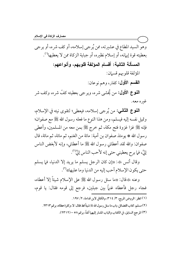وهو السيد المطاع في عشيرته، ممن يُرجى إسلامه، أو كف شر ه، أو يرجى بعطيته قوة إيهانه، أو إسلام نظيره، أو جباية الزكاة ممن لا يعطيها'''. المسألة الثانية: أقسام المؤلفة قلوبهم، وأنواعهم: المؤلفة قلوبهم قسمان: القسم الأول: كفار، وهم نوعان:

**النـْـوع الأول:** من يُخشى شره، ويرجى بعطيته كفَّ شره، وكف شر غيره معه.

**النوع الثاني:** من يُرجى إسلامه، فيعطي؛ لتقوى نيته في الإسلام، وتميل نفسه إليه فيسلم، ومن هذا النوع ما فعله رسول الله ﷺ مع صفوان؛ فإنه ﷺ غزا غزوة فتح مكة، ثم خرج ﷺ بمن معه من المسلمين، وأعطى رسول الله \* يومئذ صفوان بن أمية: مائة من الغنم، ثم مائة، ثم مائة، قال صفوان: والله لقد أعطاني رسول الله ﷺ ما أعطاني، وإنه لأبغض الناس إليَّ، فما برح يعطيني حتى إنه لأحب الناس إليَّ".

وقال أنس ﷺ: «إن كان الرجل يسلم ما يريد إلا الدنيا، فما يسلم حتى يكون الإسلام أحب إليه من الدنيا وما عليها»(").

وعنه ﷺقال: ((ما سئل رسول الله ﷺ على الإسلام شيئاً إلا أعطاه، فجاء رجل فأعطاه غنماً بين جبلين، فرجع إلى قومه فقال: يا قوم،

(١) انظر: الروض المربع، ٣/ ٣١٤، والكافي لابن قدامة، ٢/ ١٩٧.

(٢) مسلم، كتاب الفضائل، باب ما سئل رسول الله ﷺ شيئاً قط فقال: لا، وكثرة عطائه، برقم ٢٣١٣.

(٣) المرجع السابق، في الكتاب والباب المشار إليهما آنفاً، برقم ٥٨ –(٢٣١٢).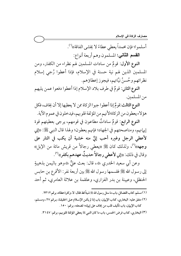مصارف الزكاة في الإسلام

أسلموا؛ فإن محمداً يعطي عطاءً لا يخشى الفاقة))''. ا**لقسم الثاني:** المسلمون وهم أربعة أنواع:

النوع الأول: قومٌ من سادات المسلمين لهم نظراء من الكفار، ومن المسلمين الذين لهم نية حسنة في الإسلام، فإذا أعطوا رُجى إسلام نظرائهم وحَسنَ نيَّاتهم، فيجوز إعطاؤهم.

النوع الثاني: قومٌ في طرف بلاد الإسلام إذا أعطوا دفعوا عمن يليهم من المسلمين.

النوع الثالث:قومٌ إذا أعطوا جبوا الزكاة ممن لا يعطيها إلا أن يخاف، فكل هؤلاء يعطون من الزكاة؛لأنهم من المؤلفة قلوبهم، فيدخلون في عموم الآية.

النوع الرابع: قومٌ ساداتٌ مطاعونٌ في قومهم، يرجى بعطيتهم قوة إيهانهم، ومناصحتهم في الجهاد؛ فإنهم يعطون؛ ولهذا قال النبي ﷺ: «إني لأعطي الرجل وغيره أحب إليَّ منه خشية أن يكب في النار على وجهه»<sup>(٢)</sup>، ولذلك كان ﷺ «يعطي رجالاً من قريش مائة من الإبل» وقال في ذلك: «إني لأعطي رجالاً حديثٌ عهدهم بكفر»<sup>(٣)</sup>.

وعن أبي سعيد الخدري ﷺ، قال: بعث عليٌّ ﷺوهو باليمن بذهيبةٍ إلى رسول الله صلى الله عليه عليه عليه عليه الله عليه بين حابس الحنظلي، وعيينة بن بدر الفزاري، وعلقمة بن علاثة العامرى، ثم أحد

(١) مسلم، كتاب الفضائل، باب ما سئل رسول الله ﷺ شيئاً قط فقال: لا، وكثرة عطائه، برقم ٢٣١٢.

ــــــــــــــــــــــــــــــــــــــــــــــــــــــــــــــــــــــــــــ

(٢) متفق عليه: البخاري، كتاب الإيهان، باب إذا لم يكـن الإسـلام عـلى الحقيقـة، بـرقم ٢٧، ومسـلم، كتاب الإيمان، باب تأليف قلب من يُخاف على إيمانه؛ لضعفه، برقم: ١٥٠.

٣٦) البخاري، كتاب فرض الخمس، باب ما كان النبي ﷺ يعطي المؤلفة قلوبهم، برقم: ٣١٤٧.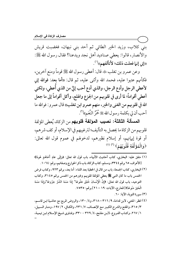بني كلاب، وزيد الخير الطائي ثم أحد بني نبهان، فغضبت قريش والأنصار، قالوا: يعطي صناديد أهل نجد ويدعنا؟ فقال رسول الله ﷺ: ((إني إنما فعلت ذلك؛ لأتألفهم))(').

وعن عمرو بن تغلب ﷺ قال: أعطي رسول الله ﷺ قوماً ومنع آخرين، فكأنهم عتبوا عليه، فحمد الله وأثنى عليه، ثم قال: «أما بعد: فوالله إني لأعطى الرجل وأدع الرجل، والذي أدع أحب إليَّ من الذي أُعطى، ولكني أعطي أقواماً؛ لما أرى في قلوبهم من الجزع والهلع، وأكل أقواماً إلى ما جعل الله في قلوبهم من الغني والخير، منهم عمرو ابن تغلب» قال عمرو: فوالله ما أحب أن لي بكلمة رسول الله ﷺ حُمْرُ النَّعَمِ» (").

المسألة الثالثة: نصيب المؤلفة قلوبهم من الزكاة، يُعطى المؤلفة قلوبهم من الزكاة ما يحصل به التأليف؛ لترغيبهم في الإسلام، أو كف شرهم، أو قوة إيهانهم، أو إسلام نظيرهم، لدخولهم في عموم قول الله تعالى: ﴿وَالْمُؤَلَّفَةِ قُلُوبُهُمْ﴾ (٣) (٤).

- (١) متفق عليه: البخاري، كتاب أحاديث الأنبياء، باب قول الله تعالى: ﴿وَإِلَى عَادٍ أَخَاهُمْ هُودًا﴾ [الأعراف، ٦٥ برقم ٢٣٤٤، ومسلم، كتاب الزكاة، باب ذكر الخوارج وصفاتهم، برقم: ١٠٦٤.
- (٢) البخاري، كتاب الجمعة، باب من قال في الخطبة بعد الثناء: أما بعد، برقم ٩٢٣، وكتاب فرض الخمس باب ما كان النبي ﷺ يعطى المؤلفة قلوبهم وغيرهم من الخمس برقم ٣١٤٥، وكتاب التوحيد، باب قول الله تعالى: ﴿إِنَّ الْإِنْسَانَ خُلِقَ هَلُوعًا ۗ إِذَا مَسَّهُ الشَّرُّ جَزُوعًا ۗوَإِذَا مَسَّهُ الْخَيْرُ مَنُوعًا﴾[المعارج، الآيات: ١٩ – ٢١] برقم: ٧٥٣٥. (٣) سورة التوبة، الآية: ٦٠.

(٤) انظر : المغنى، لابن قدامة، ٩/ ٣١٦ – ٣١٨، و٤/ ١٣٠، والروض المربع مع حاشية ابن قاسم، ٣/ ٣١٥، والمقنع والشرح الكبير مع الإنصاف، ٧/ ٢٣١، والكافي، ٢/ ١٩٧، ومنار السبيل، ١ / ٢٦٧، وكتـاب الفـروع، لابـن مفلـح، ٤ / ٣٢٩ - ٣٣٠، وفتـاوى شـيخ الإسـلام ابـن تيميـة،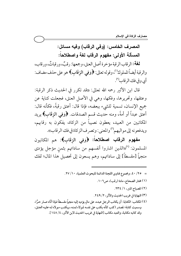# المصرف الخامس: (وفى الرقاب) وفيه مسائل: المسألة الأولى: مفهوم الرقاب لغة واصطلاحاً:

لغة: الرقاب الرقبة مؤخرة أصل العنق، وجمعها: رقبٌ، ورقباتٌ، ورقاب، والرقبة أيضاً المملوك ''، وقوله تعالى: ﴿وَفِي الرِّقَابِ﴾ هو على حذف مضاف: أي وفي فك الرقاب (٢).

قال ابن الأثير رحمه الله تعالى: «قد تكرر في الحديث ذكر الرقبة: وعتقها، وتحريرها، وفكها، وهي في الأصل العنق، فجعلت كناية عن جميع الإنسان، تسمية للشيء ببعضه، فإذا قال: أعتق رقبةً، فكأنه قال: أعتق عبداً أو أمةً، ومنه حديث قسم الصدقات. ﴿وَفِي الرِّقَابِ﴾ يريد المكاتبين من العبيد، يعطون نصيباً من الزكاة، يفكون به رقابهم، ويدفعونه إلى مواليهم") والمعنى: وتصر ف الزكاة في فك الرقاب)).

**مفهوم الرقاب اصطلاحاً: ﴿**وَفِي الرِّقَابِ﴾: هم المكاتبون المسلمون: <sup>(٤)</sup>«الذين اشتروا أنفسهم من ساداتهم بثمنِ مؤجل يؤدى منجماً [مقسطاً] إلى ساداتهم، وهم يسعون إلى تحصيل هذا المال؛ لفك

- = ٢٥/ ٤٠، ومجموع فتاوى اللجنة الدائمة للبحوث العلمية، ٢٧/ ٢٧.
	- (١) مختار الصحاح، مادة (رقب)، ص٦٠٦.
		- (٢) المصباح المنير، ١/ ٢٣٤.
	- (٣) النهاية في غريب الحديث والأثر، ٢/ ٢٤٩.
- (٤) المكاتب: الكتابة: أن يكاتب الرجل عبده، على مالٍ يؤديه إليه منجماً مقسطاً فإذا أدَّاه صـار حرًّا، وسميت كتابة؛ لمصدر (كتب كأنه يكتب على نفسه لمولاه ثمنـه، ويكتـب مـولاه لـه عليـه العتـق، وقد كاتبه مكاتبة، والعبد مكاتب [النهاية في غريب الحديث لابن الأثير، ٤/ ١٤٨].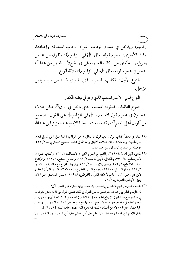رقابهم، ويدخل في عموم الرقاب: شراء الرقاب المملوكة وإعتاقها، وفك الأسرى؛ لعموم قوله تعالى: ﴿وَفِي الرِّقَابِ﴾؛ ولقول ابن عباس رضوالله عنهما: ((يُعتقُ من زكاة ماله، ويعطى في الحج))'''. فظهر من هذا أنه يدخل في عموم قوله تعالى: ﴿وَفِي الرِّقَابِ﴾، ثلاثة أنواع:

النوع الأول: المكاتب المسلم، الذي اشترى نفسه من سيده بدين مؤجل.

النوع الثاني: الأسير المسلم، الذي وقع في قبضة الكفار.

النوع الثالث: المملوك المسلم، الذي دخل في الرق<sup>(٢)</sup>، فكل هؤلاء يدخلون في عموم قول الله تعالى: ﴿وَفِي الرِّقَابِ﴾ على القول الصحيح من أقوال أهل العلم'')، وقد سمعت شيخنا الإمام عبدالعزيز ابن عبدالله

- (١) البخاري معلقاً، كتاب الزكاة، باب قول الله تعالى: ﴿وَفِي الرِّقَابِ وَالْغَارِمِينَ وَفِي سَبِيلِ اللَّهِ﴾، قبل الحديث رقم ١٤٦٨، قال العلامة الألباني رحمه الله في مختصر صحيح البخاري له، ١/ ٤٣٣: ((وصله أبو عبيد في الأموال بسندٍ جيد عنه)).
- (٢) المغنى، لابن قدامة ٩، ٩/ ٣١٩، والمقنع مع الشرح الكبير والإنصـاف، ٧/ ٢٣٦، وكتـاب الفـروع، لابـنْ مفلـح، ٤/ ٣٣٠، والكـافي، لآبـنّ قدامـة، ٢/ ١٦٩، والشر-ح الممتـع، ٦/ ٣٣١، والإقنـاع لطالب الانتفاع، ١/ ٤٧٢، ومنتهى الإرادات، ١/ ٥١٩، والروض المربع مع حاشية ابن قاسم، ٣/ ٣١٥، ومنار السبيل، ١/ ٢٦٨، وجامع البيان، للطبري، ٢١٧/١٤، وتفسير القـرآن العظـيم لابن كثير، ص٢١٦، الجامع لأحكام القرآن، للقرطبي، ٨/ ١٦٩، وتفسير السعدي، ص٢٤١، ونيل الأوطار، الشوكاني، ٧/ ٧٨.

(٣) اختلف العلماء رحمهم الله تعالى في المقصود بالرقاب، بينها العلماء على النحو الآتي: قال الإمام الطبري رحمه الله: «والصواب من القول في ذلك عندي، قول من قال: «عني بالرقاب في هذا الموضع، المكاتبون؛ لإجماع الحجة على ذلك؛ فإن الله جعَّل الزكاة حقاً واجباً على من أوجبها عليه في ماله يخرجها منه، لا يرجع إليه منها نفع مـن عـرض الـدنيا، ولا عِـوض، والمعتق رقبة منها راجع إليه ولاء من أعتقه، وذلكَّ نفع يعود إلَّيه منها» [جامع البيان ١٤ / ٣١٧]. وقال الإمام ابن قدامة رحمه الله: «لا نعلم بين أهل العلم خلافاً في ثبوت سهم الرقاب، ولا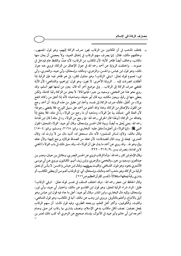= يختلف المذهب في أن المكاتبين من الرقاب يجوز صرف الزكاة إليهم، وهو قول الجمهور، وخالفهم مالك، فقال: إنها يصرف سهم الرقاب في إعتاق العبيد، ولا يعجبني أن يعان منها مكاتب، وخالف أيضاً ظاهر الآية؛ لأن المكاتب من الرقاب؛ لأنه عبدٌ، واللفظ عام فيدخل في عمومه… واختلفت الرواية عن أحمد رحمه الله في جواز الإعتاق من الزكاة، فروى عنه جواز ذلك، وهو قول ابن عباس، والحسن، والزهري، ومالك، وإسحاق، وأبي عبيد، والعنبري، وأبي ثور؛ لعموم قوله تعالى: ﴿وَفِي الرِّقَابِ﴾ وهو متناول للقن، بل هو ظاهر فيه؛ فإن الرقبة إذا أطلقت انصرفت إليه … الرواية الأخرى: لا يجوز، وهو قول: إبراهيم، والشافعي؛ لأن الآية تقتضي صرف الزكاة إلى الرقاب... وفي موضع آخر أنه قال: يعين من ثمنها فهو أسلم، وقد روى نحو هذا عن النخعي، وسعيد بن جبير؛ فإنها قالا: لا يعتق من الزكاة رقبة كاملة، ولكن يعطي منها في رقبةٍ، ويعين مكاتبه، وبه قال أبو حنيفة، وصاحباه؛ لأنه إذا أعتق من زكاته انتفع بولاءِ من أعْتقَ، فكأنه صرف الزكاة إلى نفسه، وأخذ ابن عقيل من هذه الرواية: أن أحمد رجع عن القول بالإعتاق من الزكاة، وهذا والله أعلم من أحمد على سبيل الورع، فلا يقتضي رجوعاً؛ لأن العلة التي تتملَّك بها جرٍّ الولاء، ومذهبه أن ما رجع من الولاء ردٍّ في مثله، فلاَّ ينتفع إذاً بإعتاقه من الزكاة؛ [ولهذا قال الخرقي رحمه الله: فيما رجع من الولاء رد في مثله] قال ابن قدامة رحمه الله: يعني يُعتق به أيضاً، وبهذا قال الحسن وإسحاقٌّ، وقال أبو عبيد: الولاء للمعتق؛ لقول النبي ﷺ: «إنها الولاء لمن أعتق» [متفق عليه: البخاري، برقم: ٢١٦٨، ومسلم، برقم: ١٥٠٤] وقال مالك: ولاؤه لسائر المسلمين؛ لأنه مال مستحق له، أشبه مال من لا وارث له، وقال العنبري: يجعله في بيت المال للصدقات؛ لأن عتقه من الصدقة فولاؤه يرجع إليها؛ ولأن عتقه بيالٍ وهو لله . . وقد روى عن أحمد ما يدل على أن الولاء له، وقد سبق ذلك في باب الولاء [المغنى لابن قدامة، بتصرف يسير ،٩/ ٣١٩ - ٣٢٢.

وقال الإمام ابن كثير رحمه الله: «وأما الرقاب فروي عن الحسن البصر ـي، ومقاتـل بـن حيـان، وعمـر بـن عبدالعزيز، وسعيدبن جبير، والنخعي، والزهري، وابن زيد، أنهم: المكاتبون، وروي عـن أبي موسـى الأشعري نحوه، وهو قول: الشـافعي، والليـث رضـاِشعيها، وقـال ابـن عبـاس والحسـن: لا بـأس أن تعتق الرقبة من الزكاة، وهو مذهب أحمد ومالك، وإسـحاق، أي: إن الرقـاب أعـم مـن أن يعطـي المكاتـب، أو يشتري رقبةً فيعتقها استقلالاً» [تفسير القرآن العظيم ص٢١٦].

وقال الحافظ ابن حجر رحمه الله: «وقد اختلف السلف في تفسير قوله تعالى: ﴿وَفِي الرِّقَابِ﴾ فقيل: المراد شراء الرقبة لتعتق، وهو قول ابن القاسم عن مالك، واختيار أبي عبيد، وأبي ثور، وإسحاق، وإليه مال البخاري، وابن المنذر، وقال أبو عبيد: أعلى ما جاء فيه قول ابن عباسٌ وهو أولى بالاتباع، وأعلم بالتأويل، وروى ابن وهب عن مالك: أنها في المكاتب، وهو قول الشافعي، والليث، والكوفيين، وأكثر أهل العلم، ورجحه الطبري، وفيه قول ثالث: أن سهم الرقاب يجعل نصفين: نصف لكل مكاتب يدعى الإسلام، ونصف يشتري بها رقاب ممن صلى وصام أخرجه ابن أبي حاتم وأبو عبيد في الأموال، بإسناد صحيح عن الزهري أنه كتب ذلك لعمر بن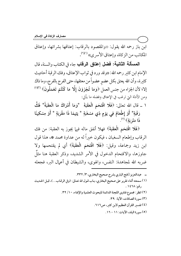ابن باز رحمه الله يقول: «والمقصود بالرقاب: إعتاقها بشرائها، وإعتاق المكاتب من الزكاة، وإعتاق الأسر ي» <sup>(י)(</sup>").

المسألة الثانية: فضل إعتاق الرقاب جاء في الكتاب والسنة، قال الإمام ابن كثير رحمه الله: «وقد ورد في ثواب الإعتاق، وفك الرقبة أحاديث كثيرة، وأن الله يعتق بكل عضوٍ عضواً من معتقها، حتى الفرج بالفرج، وما ذاك إلا؛ لأن الجزاء من جنس العمل ﴿وَمَا تُجْزَوْنَ إِلَّا مَا كُنْتُمْ تَعْمَلُونَ﴾ ا $^{\text{\tiny{(\%)}}^{(1)(3)}}$ ومن الأدلة التي ترغب في الإعتاق وفضله ما يأتي:

١ \_ قال الله تعالى: ﴿فَلَا اقْتَحَمَ الْعَقَبَةَ ۚ \*وَمَا أَدْرَاكَ مَا الْعَقَبَةُ\* فَكُّ رَقَبَةٍ \* أَوْ إِطْعَامٌ فِي يَوْمٍ ذِي مَسْغَبَةٍ \* يَتِيمًا ذَا مَقْرَبَةٍ \* أَوْ مِسْكِينًا ذَا مَتْرَ بَةٍ﴾ <sup>(٥)</sup>.

﴿فَلَا اقْتَحَمَ الْعَقَبَةَ﴾ فهلا أنفق ماله فيها يجوز به العقبة: من فك الرقاب وإطعام السغبان ، فيكون خيراً له من عداوة محمد ۞، هذا قول ابن زيد وجماعة، وقيل: ﴿فَلَا اقْتَحَمَ الْعَقَبَةَ﴾ أي لم يقتحمها ولا جاوزها، والاقتحام الدخول في الأمر الشديد، وذكر العقبة هنا مثلٌ ضربه الله لمجاهدة: النفس، والهوى، والشيطان في أعمال البر، فجعله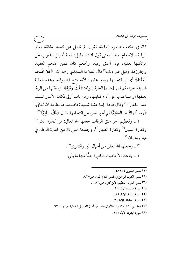كالذي يتكلف صعود العقبة، تقول: لم يحمل على نفسه المشقة، بعتق الرقبة والإطعام، وهذا معنى قول قتادة، وقيل: إنه شبَّه ثِقل الذنوب على مرتكبها بعقبة، فإذا أعتق رقبة، وأطعم كان كمن اقتحم العقبة، وجاوزها، وقيل غير ذلك'' قال العلامة السعدي رحمه الله: ﴿فَلَا اقْتَحَمَ الْعَقَبَةَ﴾ أي لم يقتحمها ويعبر عليها؛ لأنه متبع لشهواته، وهذه العقبة شديدة عليه، ثم فسر [هذه] العقبة بقوله: ﴿فَكُّ رَقَبَةٍ﴾ أي فكها من الرقي بعتقها أو مساعدتها على أداء كتابتها، ومن باب أولى فكاك الأسير المسلم عند الكفار)'') وقال قتادة: إنها عقبة شديدة فاقتحموها بطاعة الله تعالى: ﴿وَمَا أَدْرَاكَ مَا الْعَقَبَةُ﴾ ثم أخبر تعالى عن اقتحامها، فقال:﴿فَكُّ رَقَبَةٍ﴾''ْ).

٢ \_ ولعظيم أجر عتق الرقاب جعلها الله تعالى: من كفارة القتل (') وكفارة اليمين° وكفارة الظهار<sup>٦</sup>". وجعلها النبي ﷺ من كفارة الوطء في نهار رمضان<sup>(۷)</sup>.

> ٣ \_ وجعلها الله تعالى من أعمال البر والتقوى(^). ٤ ـ جاءت الأحاديث الكثيرة جدًّا منها ما يأتي: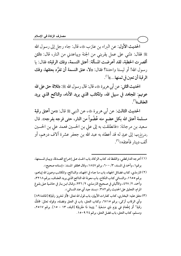الحديث الأول: عن البراء بن عازب ﷺ، قال: جاء رجل إلى رسول الله ﷺ فقال: دلني على عمل يقربني من الجنة ويباعدني من النار، قال: «لئن أقصر ت الخطبة، لقد أعرضت المسألة: أعتق النسمة، وفك الرقبة)، فقال: يا رسول الله! أو ليستا واحدة؟ فقال: «لا، عتق النسمة أن تفرَّد بعتقها، وفك الرقبة أن تعين في ثمنها...»''.

الحديث الثاني: عن أبي هريرة ﷺ، قال: قال رسول الله ﷺ: ((ثلاثة حق على الله عونهم: المجاهد في سبيل الله، والمكاتب الذي يريد الأداء، والناكح الذي يريد العفاف»<sup>(۲)</sup>.

الحديث الثالث: عن أبي هريرة ﷺ، عن النبي ﷺ قال: «من أعتق رقبة مسلمة أعتق الله بكل عضو منه عُضْواً من النار، حتى فرجه بفرجه». قال سعيد بن مرجانة: «فانطلقت به إلى على بن الحسين فعمد على بن الحسين رضراللهعنهما إلى عبدٍ له قد أعطاه به عبد الله بن جعفر عشرة آلاف درهم، أو ألف دينار فأعتقه»<sup>(۳)</sup>.

- (١) أخرجه الدارقطني، واللفظ له، كتاب الزكاة، باب الحث على إخراج الصدقة، وبيان قسمتها، برقم١، وأحمد في المسند، ٣/ ٢٠٠، برقم ١٨٤٧، وقال محققو المسند: «إسناده صحيح».
- (٢) الترمذي، كتاب فضائل الجهاد، باب ما جاء في الجهاد، والناكح، والمكاتب وعـون الله إيـاهـم، برقم ١٦٥٥، والنسائي كتاب النكاح، باب معونة الله الناكح الذي يريد العفـاف، بـرقم ٣٢١٨، وأحمد، ٢/ ٤٢٧، والألباني في صحيح الترمذي، ٢/ ٢٣٦، وقـال ابـن بـاز في حاشـية عـلى بلـوغ المرام، التعليق على الحديث رقم ٣٨٢: ((بسند جيد أي عند النسائي)).
- (٣) متفق عليه: البخاري، كتابٍ كفارات الأيهان، باب قول الله تعالى: ﴿أَوْ تَحْرِيرُ رَقَبَةٍ﴾ [المائدة ٨٩] وأي الرقاب أزكي، برقم ٦٧١٥، وكتاب العتق، باب في العتق وفضله، وقوله تعالى: ﴿فَكَّ رَقَبَةٍ \* أَوْ إطْعَامٌ فِي يَوْمٍ ذِي مَسْغَبَةٍ \* يَتِيمًا ذَا مَقْرَبَةٍ﴾ [البلد، ١٣ – ١٥]. برقم ٢٥١٧، ومسلم، كتاب العتق، باب فضل العتق، برقم ٢٤ ٢٠٩٩.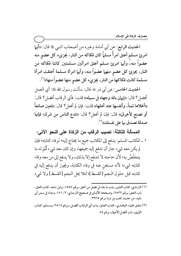الحديث الرابع: عن أبي أمامة وغيره من أصحاب النبي ﷺ قال: «أيها امرئ مسلم أعتق امرأً مسلماً كان فكاكه من النار، يجزىء كل عضوٍ منه عضواً منه،َ وأيها امرئ مسلم أعتق امرأتين مسلمتين كانتا فكاكه من النار، يجزئ كل عضوٍ منهما عضواً منه، وأيها امرأة مسلمة أعتقت امرأة مسلمة كانت فكاكها من النار، يجزيء كل عضوِ منها عضواً منها»<sup>(י)</sup>.

الحديث الخامس: عن أبي ذر ١٤٠٠ قال: سألت رسول الله ﷺ: أي العمل أفضل؟ قال: «إيهان بالله وجهاد في سبيله» قلت: فأى الرقاب أفضل؟ قال: «أغلاها ثمناً، وأنفسها عند أهلها» قلت: فإن لم أفعل؟ قال: «تعين صانعاً أو تصنع لأخرق» قال: فإن لم أفعل؟ قال: «تدع الناس من شرك؛ فإنها صدقة تصدق بها على نفسك))'<sup>')</sup>.

المسألة الثالثة: نصيب الرقاب من الزكاة على النحو الآتي: ١ \_المكاتب المسلم: يدفع إلى المكاتب جميع ما يحتاج إليه؛ لوفاء كتابته؛ فإن لم يكن معه شيء جاز أن تدفع إليه جميعها، وإن كان معه شيء تُمَّمَ له ما يتخلَّصُ به؛ لأن حاجته لا تندفع إلا بذلك، ولا يدفع إلى من معه وفاء كتابته شيء؛ لأنه مستغنٍ عنه في وفاء الكتابة، ويجوز أن يدفع إليه في كتابته قبل حلول النجم [القسط]؛ لئلا يحل النجم [القسط] ولا شيء

- (١) الترمذي، كتاب النذور، باب ما جاء في فضل من أعتق، برقم ١٥٤٧، وابن ماجه، كتاب العتق، باب العتق، برقم ٢٥٢٢، وصححه الألباني في صحيح الترمـذي، ٢/ ١٨١، وجـاء في سـنن أبي داود، من حديث كعب بن مرة، برقم ٣٩٦٧.
- (٢) متفـق عليـه، البخـاري، كتـاب العتـق، بـاب أي الرقـاب أفضـل، بـرقم ٢٥١٨، ومسـلم، كتـاب الإيان، باب أفضل الأعمال، برقم ٨٤.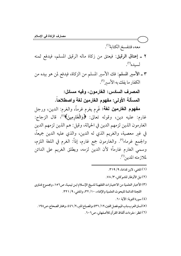معه، فتنفسخ الكتابة''. ٢ ـ إعتاق الرقيق: فيعتق من زكاة ماله الرقيق المسلم، فيدفع ثمنه لسيده<sup>(٢)</sup>.

٣ ـ الأسير المسلم: فك الأسير المسلم من الزكاة، فيدفع لمن هو بيده من الكفار ما يفك به الأسىر (").

> المصرف السادس: الغارمون، وفيه مسائل: المسألة الأولى: مفهوم الغارمين لغة واصطلاحاً.

**مفهوم الغارمين لغة:** غَرم يغرم غرماً، والغرم: الدين، ورجل غارم: عليه دين، وقوله تعالى: ﴿وَالْغَارِمِينَ﴾ (أ)، قال الزجاج: الغارمون الذين لزمهم الدين في الحمالة، وقيل: هم الذين لزمهم الدين في غير معصية، والغريم الذي له الدين، والذي عليه الدين جميعاً، والجمع غرماء<sup>(٥)</sup>. والغارمون جمع غارم، إذاً: الغرم في اللغة اللزم، وسمى الغارم غارماً؛ لأن الدين لزمه، ويطلق الغريم على الدائن لملازمته المدين''.

- (١) المغنى، لابن قدامة، ٢١٩/ ٣١٩.
- (٢) نيل الأوطار للشوكاني، ٣/ ٧٨.
- (٣) الأخبار العلمية من الاختيارات الفقهية لشيخ الإسلام ابن تيمية، ص١٥٦، ومجموع فتاوى اللجنة الدائمة للبحوث العلمية والإفتاء، ١٠/ ٣٢، والمغنى، ٩/ ٣٢١.
	- (٤) سورة التوبة: الآية ٢٠.
	- (٥) لسان العرب،باب الميم،فصل الغين،١٢/ ٤٣٦،والمصباح المنير،٢/ ٤٤٦، ومختار الصحاح، ص١٩٨. (٦) انظر : مفردات ألفاظ القر آن للأصفهاني، ص٢٠٦.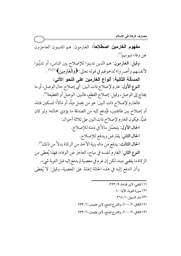مفهوم الغارمين اصطلاحاً: الغارمون: هم المدينون العاجزون عن وفاء ديونهم<sup>(١)</sup>.

وقيل: الغارمون: هم الذين تدينوا للإصلاح بين الناس، أو تديّنوا لأنفسهم وأعسروا؛ لدخولهم في قوله تعالى: ﴿وَالْغَارِمِينَ﴾ (١٢ (٣) . ֦ ì ا<br>ا ، المسألة الثانية: أنواع الغارمين على النحو الاتي: النوع الأول: غارم لإصلاح ذات البين: أي إصلاح حال الوصل، أو ما يحتاج إلى الوصل، وقيل: إصلاح القطع، فالبين: الوصل أو القطيعة(<sup>؛)</sup>. فالغارم لإصلاح ذات البين: هو من يحمل ديةً، أو مالاً؛ لتسكين فتنة، أو إصلاح بين طائفتين، فيُدفع إليه من الصدقة ما يؤدي حمالته؛ ولو كان غنيًّا. فيكون الغارم لإصلاح ذات البين على ثلاثة أحوال: الحال الأول: يتحمَّل مالاً في ذمته للإصلاح.

الحال الثاني: يقترض ويدفع للإصلاح. الحال الثالث: يدفع من ماله بنية الأخذ من الزكاة بدلاً من ذلك<sup>(٥)</sup>. النوع الثاني: الغارم لنفسه في مباح، العاجز عن الوفاء، فهذا يَعطى من الزكاة ما يقضي دينه، لكن إن غرم في معصية لم يدفع إليه قبل التوبة شيء. وأن الدفع إليه في هذه الحالة إعانة على المعصية، وقيل: لا يُعطى

ــــــــــــــــــــــــــــــــــــــــــــــــــــــــــــــــــــــــــــ 3 OJOc ,F \* b ,H7G -9 ZK3 :FXY ,FW  -J 3 JZV9 ,[>1 7 -O 3 JOOZ ,02>¡ b ,\W2 ^\_ / ,JKKJ ,T -N 3 JOOZ ,02>¡ b ,\W2 ^\_ / ,JKKJ ,T a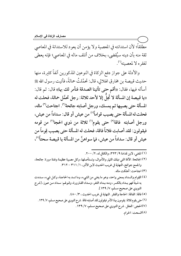مطلقاً؛ لأن استدانته في المعصية ولا يؤمن أن يعود للاستدانة في المعاصي ثقة منه بأن دينه سيُقضى، بخلاف من أتلف ماله في المعاصي؛ فإنه يعطي لفقره لا لمعصيته".

والأدلة على جواز دفع الزكاة في النوعين المذكورين آنفاً كثيرة، منها حديث قبيصة بن مخارق الهلالي، قال: تحمَّلتُ حمالةً، فأتيت رسول الله ﷺ أسأله فيها، فقال: «أقم حتى تأتينا الصدقة فنأمر لك بها» قال: ثم قال: «يا قبيصة إن المسألة لا تَحِلُّ إلا لأحد ثلاثة: رجل تحمَّل حمالة، فحلت له المسألة حتى يصيبها ثم يمسك، ورجل أصابته جائحة<sup>(٢)</sup>. اجتاحت<sup>(٣)</sup> ماله، فحلت له المسألة حتى يصيب قواماً<sup>(؛)</sup> من عيش أو قال: سداداً من عيش، ورجل أصابته فاقة<sup>(٥)</sup> حتى يقوم<sup>(٦)</sup> ثلاثة من ذوى الحجا<sup>(٧)</sup> من قومه فيقولون: لقد أصابت فلاناً فاقة، فحلت له المسألة حتى يصيب قِوماً من عيش أو قال: سداداً من عيش، فما سواهنَّ من المسألة يا قبيصة سحتاً''')،

- (٣) احتاحت: أهلكت ماله.
- (٤) القِوام والسداد بمعنى واحد، وهو ما يغني من الشيء، وما تسد به الحاجة، وكل شيء، سـددت به شيئاً فهو سِداد بالكسر، ومنه سِداد الثغر، وسداد القـارورة، وقـولهم: سـداد مـن عـوز، [شرح النووي على صحيح مسلم، ٧/ ١٣٩]. (٥) فاقة: الفاقة: الحاجة والفقر . النهاية في غريب الحديث ، ٣/ ٤٨٠ . (٦) حتى يقوم ثلاثة: يقومون بهذا الأمر فيقولون لقد أصابته فاقة. شرح النووي على صحيح مسلم، ٧/ ١٣٩. (٧)الحجي: العقل. شرح النووي على صحيح مسلم، ٧/ ١٣٩. (٨)السحت: الحرام.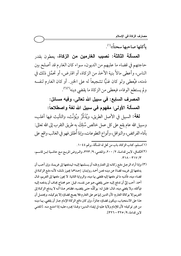بأكلها صاحبها سحتاً»(١).

المسألة الثالثة: نصيب الغارمين من الزكاة، يعطون بقدر حاجتهم في قضاء ما عليهم من الديون، سواء كان الغارم قد أصلح بين الناس، وأعطى مالاً بنية الأخذ من الزكاة، أو اقترض، أو تحمَّل ذلك في ذمته، فيُعطى ولو كان غنيًّا تشجيعاً له على الخير. أو كان الغارم لنفسه ولم يستطع الوفاء، فيعطي من الزكاة ما يقضي دينه'')".

> المصرف السابع: في سبيل الله تعالى، وفيه مسائل: المسألة الأولى: مفهوم في سبيل الله لغة واصطلاحاً:

**لـغة:** السبيل في الأصل الطريق، ويُذَكَّرُ ويُؤنَّث، والتأنيث فيها أغلب، وسبيل الله عام يقع على كل عمل خالص سُلِكَ به طريق التقرب إلى الله تعالى: بأداء الفرائض، والنوافل، وأنواع التطوعات، وإذا أُطلق فهو في الغالب واقع على

- (١)مسلم، كتاب الزكاة، باب من تحل له المسألة، برقم ٤٤٠١.
- (٢)الكـافي، لابـن قدامـة، ٢/ ٢٠٠، والمغنـى، ٩/ ٣٢٣، والـروض المربـع مـع حاشـية ابـن قاسـم،  $.$ ۳۱۸ - ۳۱۷/۳

(٣) وإذا أراد الرجل دفع زكاته إلى الغارم فله أن يسلمها إليه؛ ليدفعها إلى غريمة، وإن أحب أن يدفعها إلى غريمه قضاءً عن دينه فعن أحمد روايتان: إحداهما يجوز ذلك؛ لأنه دفع الزكاة في قضاء دينه، فأشبه ما لو دفعها إليه فقضي بها دينه، والرواية الثانية: لا يجوز دفعها إلى الغريم، قـال أحمد: أحب إليَّ أن تدفع إليه حتى يقضي. هـو عـن نفسـه، قيـل: هـو محتـاج يُخـاف أن يدفعـه إليـه فيأكله، ولا يقضي دينه، قـال: فقـل لـه: يوكِّلُـه حتـى يقضـيه، فظـاهر هـذا أنـه لا يـدفع الزكـاة إلى الغريم إلا بوكالة الغارم؛ لأن الدين إنها هو على الغارم فلا يصح قضاؤه إلا بتوكيله، ويحتمل أن هذا على الاستحباب، ويكون قضاؤه جائزاً، وإن كان دافع الزكاة الإمام جاز أن يقضي بها دينه من غير توكيله؛ لأن للإمام ولاية عليه في إيفـاء الـدين؛ ولهـذا يجـبره عليـه إذا امتنـع منـه. [المغنـي لاين قدامة، ٩/ ٢٢٥- ٣٢٦].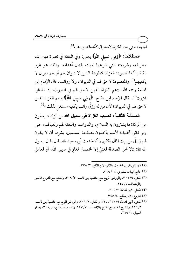الجهاد، حتى صار لكثرة الاستعمال كأنه مقصور عليه<sup>(١</sup>).

اصطلاحاً: ﴿وَفِي سَبِيلِ اللَّهِ﴾ يعني: وفي النفقة في نصرة دين الله، وطريقه، وشريعته التي شرعها لعباده بقتال أعدائه، وذلك هو غزو الكفار<sup>(٢)</sup> فالمقصود: الغزاة المتطوعة الذين لا ديوان لهم أو لهم ديوان لا يكفيهم'"). والمقصود: لاحق لهم في الديوان، ولا رواتب. قال الإمام ابن قدامة رحمه الله: «هم الغزاة الذين لاحق لهم في الديوان، إذا نشطوا غزوا»<sup>(٤)</sup>. قال الإمام ابن مفلح: ﴿وَفِي سَبِيلِ اللَّهِ﴾ وهم الغزاة الذين لاحق لهم في الديوان؛ لأن من له رَزقٌ راتب يكفيه مستغن بذلك»<sup>(٥)</sup>.

المسألة الثانية: نصيب الغزاة في سبيل الله من الزكاة: يعطون من الزكاة ما يشترون به السلاح، والدواب، والنفقة لهم ولعيالهم، حتى ولو كانوا أغنياء؛ لأنهم يأخذون لمصلحة المسلمين، بشرط أن لا يكون لهم رَزقٌ من بيت المال يكفيهم لذا؛ لحديث أبي سعيد ﷺ، قال: قال رسول الله ﷺ: «لا تحل الصدقة لغنيٍّ إلا لخمسة: لغازٍ في سبيل الله، أو لعامل

- (١) النهاية في غريب الحديث والأثر، لابن الأثير، ٢/ ٣٣٨. (٢) جامع البيان، للطبري، ١٤/ ٣١٩.
- (٣) المغني، ٩/ ٣٢٦، والروض المربع مع حاشية ابـن قاسـم، ٣/ ٣١٩، والمقنـع مـع الشر-ح الكبـير والإنصاف، ٢٤٧/٧
	- (٤) الكافي، لابن قدامة، ٢/ ٢٠١.
	- (٥) الفروع، لابن مفلح، ٤/ ٣٤٥.
- (٦) المغني، لابن قدامة، ٩/ ٣٢٦، ٣٢٧، والكافي، ٢/ ٢٠١، والروض المربع مع حاشية ابـن قاسـم، ٣/ ٣١٩، والشرح الكبير مع المقنع والإنصاف، ٧/ ٢٤٧، وتفسير السعدي، ص٢٤١، ومنار السبيل، ١/ ٢٦٩.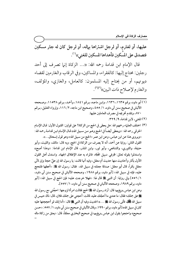مصارف الزكاة في الإسلام

عليها، أو لغارم، أو لرجل اشتراها بهاله، أو لرجل كان له جار مسكين فتصدق على المسكين فأهداها المسكين للغني»<sup>(י)</sup>.

قال الإمام ابن قدامة رحمه الله: «... الزكاة إنها تصرف إلى أحد رجلين: محتاج إليها: كالفقراء، والمساكين، وفي الرقاب والغارمين لقضاء ديونهم، أو من يحتاج إليه المسلمون: كالعامل، والغازي، والمؤلف، والغارم لإصلاح ذات البين»(٢)(٣).

- (۱) أبو داود، برقم ۱۳۳۵، ۱۳۳۲، وابن ماجه، برقم ۱۸٤۱، وأحمد، برقم ۱۱۵۳۸، وصححه الألباني في صحيح سنن أبي داود، ١/ ٤٥٥، وصحيح ابن ماجه، ٢/ ١١٦، وإرواء الغليل، بـرقم ٨٧٠، وتقدم تخريجه في مصرف العاملين عليها.
	- (٢) المغنى، لابن قدامة، ٩/ ٣٢٩.
- (٣) اختلف العلماء رحمهم الله: هل يعطي في الحج من الزكاة؟ على قولين: القـول الأول: قـال الإمـام الخرقي رحمه الله: «ويعطي أيضـاً في الحـج وهـو مـن سـبيل الله» قـال الإمـام ابـن قدامـة رحمـه الله: ۖ ((ويروى هذا عن ابن عباس، وعن ابن عمر ((الحج من سبيل الله)) وهو قول إسحاق...)). القول الثاني: رواية عن أحمد، أنه لا يصرف من الزكاة في الحج، وبه قال: مالك، والليث، وأبو حنيفة، والثوري، والشافعي، وأبو ثور، وابن المنذر، قال الإمام ابن قدامة: «وهذا أصح» واستدلوا بقوله تعالى: ﴿وَفِي سَبِيلِ اللَّهِ﴾، فالمراد به عند الإطلاق الجهاد. واستدل أهل القول الأول بآثار وأحاديث منها حديث أم معقل، وفيه أنها قالت: يا رسول الله إن عليَّ حجة وإن لأبي معقل بكراً، قال أبو معقل: صدقة جعلته في سبيل الله، فقال: رسول الله ﷺ: «أعطها فلتحج عليه،َ فإنه في سبيل الله» [أبو داود، برقم ١٩٨٨، وصححه الألباني في صحيح سنن أبي داود، ١/ ٥٥٦] وفي رواية: أن النبي ﷺ قال لها: «فهلا خرجت عليه؛ فإن الحج في سبيل الله» [أبو داود، برقم ١٩٨٩، وصححه الألباني في صحيح سنن أبي داود، ١ / ٥٥٧]. وعن ابن عباس رضٍلفهما قال: أراد رسول الله ﷺ الحج فقالت امرأة لزوجها: احجَّني مع رسول الله ﴾ على جملك؛ فقال: ما عندي ما أحجّك عليه، قالت: أحجني على جملك فلان، قال: ذاك حبيس في سبيل الله كَيْلُ فأتى رسول الله ، ....» الحديث وفيه أن النبي صلى الله عليه الله عليه الله عنه الله م كان في سبيل الله» [أبو داود، برقم ١٩٩٠، وقال الألباني في صحيح سنن أبي داود، ١ / ٥٥٧: «حسن
- صحيح» واحتجوا بقول ابن عباس <sub>ى</sub>ض<sub>ل</sub>ىفىهما في صحيح البخاري معلقاً، قال: «يعتق من زكاة ماله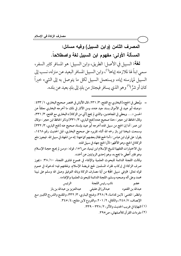## المصرف الثامن (وابن السبيل) وفيه مسائل: المسألة الأولى: مفهوم ابن السبيل لغة واصطلاحاً. لغة: السبيل في الأصل: الطريق، وابن السبيل: هو المسافر كثير السفر،

سمى ابناً لها لملازمته إياها'')، وابن السبيل المسافر البعيد عن منزله، نسب إلى السبيل لمهارسته إياه، ويستعمل السبيل لكل ما يتوصل به إلى الشيء خيراً كان أو شرًّا'" وهو الذي يسافر فيجتاز من بلدٍ إلى بلدٍ بعيد عن بلده.

= ويُعطى في الحج» [البخاري مع الفتح، ٣/ ٢٣١، قال الألباني في مختصر صحيح البخاري، ١/ ٤٣٣ : «وصله أبو عبيد في الأموال بسند جيد عنه»، ومن الآثار في ذلك ما أخرجه البخاري معلقاً عن الحسن «…. ويعطي في المجاهدين، والذي لم يحج [أي من الزكاة] » البخاري مع الفتح، ٣/ ٣٣١، وقال الحافظ ابن حجر : «هذا صحيح عنه» [فتح الباري، ٣/ ٣٣١] وذكر الحافظ ابن حجر : «وقال ابن عمر: أما إن الحج من سبيل الله» أخرجه أبو عبيد بإسناد صحيح عنه [فتح الباري، ٣/ ٣٣٢] وسمعت شيخنا ابن باز رحمه الله أثناء تقريره على صحيح البخاري، قبل الحديث رقم ١٤٦٨، يقول: على قول ابن عباس: «أما الحج فقال بعضهم كما ههنا: إنه من الجهاد في سبيل الله. فيجوز دفع الزكاة في الحج، وهو الأظهر؛ لأن الحج جهاد في سبيل الله». وفي الاختيارات الفقهية لشيخ الإسلام ابن تيمية، ص٢٥٦، قوله: «ومن لم يحج حجـة الإسلام وهو فقير أعطي ما يحج به، وهو إحدى الروايتين عن أحمد». وقالت اللجنة الدائمة للبحوث العلمية والإفتاء في مجموع فتاوى اللجنة، ٣٨/١٠: «يجوز صرف الزكاة في إركاب فقراء المسلمين لحج فريضة الإسلام، ونفقتهم فيه؛ لدخوله في عموم قوله تعالى: ﴿وَفِي سَبِيلِ اللَّهِ﴾ من آية مصارف الزكاة وبالله التوفيق وصلى الله وسلم على نبيناً محمد وعلى آله وصحبه وسلم، اللجنة الدائمة للبحوث العلمية والإفتاء». نائب رئيس اللجنة الرئيس عضو عبدالله بن القعو د وانظـر: المغنـي: لابـن قدامـة، ٩/ ٣٢٨، وفـتح البـاري، ٣/ ٣٣٢، والمقنـع والشر-ح الكبـير مـع الإنصاف، ٧/ ٢٤٨، والكافي، ٢/ ٢٠١، والفروع لابن مفلح، ٤/ ٣٤٥. (١) النهاية في غريب الحديث والأثر، ٢/ ٣٣٨ - ٣٣٩. (٢) مفردات القرآن للأصفهاني، ص٥٣٩.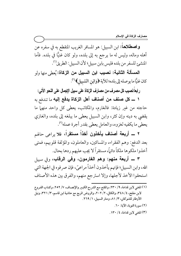واصطلاحا: ابن السبيل: هو المسافر الغريب المنقطع به في سفره عن أهله وماله، وليس له ما يرجع به إلى بلده، ولو كان غنيًا في بلده. فأما المنشئ للسفر من بلده فليس بابن سبيل؟ لأن السبيل: الطريق<sup>(י)</sup>.

المسألة الثانية: نصيب ابن السبيل من الزكاة: يُعطى منها ولو كان غنيًّا ما يوصله إلى بلده؛ للآية ﴿وَابْنِ السَّبِيلِ﴾ ("). .<br>.<br>. ʻ  $\overline{\phantom{a}}$ 

ر ابعاً:نصيب كل مصر ف من مصار ف الزكاة على سبيل الإجمال على النحو الآتي:

**١ ـــ كل صنف من أصناف أهل الزكاة يدفع إليه** ما تندفع به حاجته من غير زيادة: فالغارم، والمكاتب، يعطي كل واحد منهما ما يقضي به دينه وإن كثر، وابن السبيل يعطى ما يبلغه إلى بلده، والغازي يعطي ما يكفيه لغزوه، والعامل يعطي بقدر أجرة عمله''".

۲ ـــ أ**ربعة أصناف يأخذون أخذا مستقرا،** فلا يراعى حالهم بعد الدفع: وهم الفقراء، والمساكين، والعاملون، والمؤلفة قلوبهم، فمتى أخذوا ملكوها ملكاً دائماً، مستقراً لا يجب عليهم ردها بحال.

٣ ــــ أربعة منهم: وهم الغارمون، وفي الرقاب، وفي سبيل الله، وابن السبيل؛ فإنهم يأخذون أخذا مراعيً، فإن صرفوه في الجهة التي استحقوا الاخذ لأجلها، وإلا استرجع منهم، والفرق بين هذه الاصناف

- ــــــــــــــــــــــــــــــــــــــــــــــــــــــــــــــــــــــــــــ (١) المغني لابن قدامة، ٩/ ٢٣٠، والمقنع مـع الشرح الكبـير والإنصـاف، ٧/ ٢٥٢، وكتـاب الفـروع لابن مفلح، ٤/ ٣٤٨، والكافي، ٢/ ٢٠٢، والروض المربع مع حاشية ابن قاسم، ٣/ ٣٢١، ونيل الأوطار للشوكاني، ٣/ ٨١، ومنار السبيل، ١/ ٢٦٩.
	- (۲) سورة التوبة، الآية: ۲۰.
	- (۳) المغني لابن قدامة، ٤/ ١٣٠.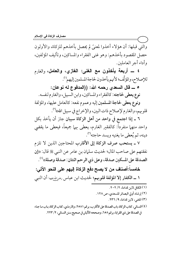والتي قبلها: أن هؤلاء أخذوا لمعنيً لم يحصل بأخذهم للزكاة، والأولون حصل المقصود بأخذهم: وهو غني الفقراء والمساكين، وتأليف المؤلفين، وأداء أجر العاملين.

٤ ــــ أ**ربعة يأخذون مع الغني: الغازي، والعامل**، والغارم للإصلاح، والمؤلَّف؛ لأنهم يأخذون لحاجة المسلمين إليهم''.

ه ــــ قال السعدى رحمه الله: ((المدفوع له نوعان:

نوع يعطي لحاجته: كالفقراء والمساكين، وابن السبيل، والغارم لنفسه.

ونوع يعطي لحاجة المسلمين إليه وعموم نفعه: كالعامل عليها، والمؤلفة قلوبهم، والغارم لإصلاح ذات البين، والإخراج في سبيل الله»'".

٦ ـ إذا اجتمع في واحد من أهل الزكاة سببان جاز أن يأخذ بكا ً واحد منهما منفرداً: كالفقير الغارم، يعطي بهما جميعاً، فيعطي ما يقضي دينه، ثم يُعطي ما يغنيه ويسد حاجته<sup>(٣)</sup>.

٧ ـ يستحب صرف الزكاة إلى الأقارب المحتاجين الذين لا تلزم نفقتهم على صاحب المال؛ لحديث سلمان بن عامر عن النبي ﷺ قال: «إن الصدقة على المسكين صدقة، وعلى ذي الرحم اثنتان: صدقة وصلة)،'<sup>٤)</sup>.

خامساً:أصناف من لا يصح دفع الزكاة إليهم على النحو الآتي: ١ ــ الكفار إلا المؤلفة قلوبهم؛ لحديث ابن عباس رضرِالله عنهما أن النبي

- (١) الكافي لابن قدامة، ٢/ ٢٠٢.
- (٢) إرشاد أولى البصائر للسعدي، ص ١٢٨.
	- (٣) المغنى، لابن قدامة، ٩/ ٢٣٦.
- (٤) النسائي، كتاب الزكاة، باب الصدقة على الأقارب، برقم ٢٥٨١، والترمذي، كتاب الزكاة، بـاب مـا جـاء في الصدقة على ذي القرابة، برقم ٦٥٨، وصححه الألباني في صحيح سنن النسائي، ٢/ ٢٢٣ .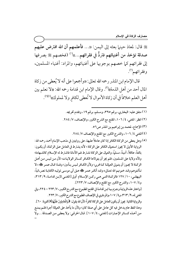ﷺ قال: لمعاذ حينها بعثه إلى اليمن: ((... فأعلمهم أن الله افترض عليهم صدقة تؤخذ من أغنيائهم فتردٌّ في فقرائهم...))(') (فخصهم ﷺ بصرفها إلى فقرائهم كما خصهم بوجوبها على أغنيائهم، والمراد: أغنياء المسلمين، وفقرائهم".

قال الإمام ابن المنذر رحمه الله تعالى: «وأجمعوا على أنه لا يُعطى من زكاة المال أحد من أهل الذمة»'". وقال الإمام ابن قدامة رحمه الله: «لا نعلم بين أهل العلم خلافاً في أن زكاة الأموال لا تُعطى لكافرِ ولا لمملوك»<sup>(٤)(٥)</sup>.

 $(1)$ 

... ولا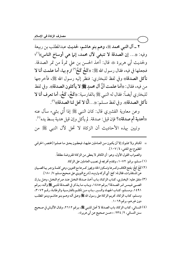٢ ــ آل النبي محمد ﷺ، وهم بنو هاشم، لحديث عبدالمطلب بن ربيعة وفيه: «... إن الصدقة لا تنبغي لآل محمد، إنها هي أوساخ الناس»<sup>(י)</sup>؛ ولحديث أبي هريرة ﷺ قال: أخذ الحسن بن على تمرةً من تمر الصدقة. فجعلها في فيه، فقال رسول الله ﷺ: «كَخْ كَخْر<sup>ا)</sup> ارم بها، أما علمت أنا لا نأكل الصدقة» وفي لفظ للبخاري: فنظر إليه رسول الله ﷺ، فأخرجها من فيه، فقال: «أما علمت أنَّ آل محمدٍ صلى الله لا يأكلون الصدقة». وفي لفظ للبخاري أيضاً: فقال له النبي ﷺ بالفارسية: «كَخْم، كَخْم، أما تعرف أنا لا نأكل الصدقة)). وفي لفظ مسلم: ((. . . أَنَّا لا تحل لنا الصدقة)) (").

وعن معاوية القشيري قال: كان النبي ﷺ إذا أُتي بشيء سأل عنه «أهدية أم صدقة»؟ فإن قيل: صدقة. لم يأكل وإن قيل هدية بسط يده<sup>(٤)</sup>. وتبين بهذه الأحاديث أن الزكاة لا تحل لآل النبي ﷺ من

- = لكـافر ولا مملوك إلا أن يكـون مـن العـاملين عليهـا، فيعطـون بحـق مـا عملـوا [مختصر ـ الخرقـي المطبوع مع المغنى، ١٠٧/٤. والصواب القول الأول، وهو: أن الكافر لا يعطي من الزكاة المفروضة مطلقاً. (١) مسلم، برقم: ١٠٧٢، وتقدم تخريجه في نصيب العاملين على الزكاة.
- (٢) كَـخْ كِخْ: بفتح الكاف وكسرها وتسكين الخاء ويجوز كسرها مع التنوين، وهي كلمـة يزجـر بهـا الصـبيان عن المستقذرات، فقال له: كخ: أي أتركه وارم به، [شرح النووي على صحيح مسلم، ٧/ ١٨٠].
- (٣) متفق عليه: البخـاري، كتـاب الزكـاة، بـاب أخـذ صـدقة النخـل عنـد صر ام النخـل، وهـل يـترك الصبي فيمس تمر الصدقة؟ برقم ١٤٨٥، وباب ما يذكر في الصدقة للنبي ﷺ وآلـه، بـرقم ١٤٩١، ومسلم، كتـاب الجهـاد والسـير، بـاب مـن تكلـم بالفارسـية والرطانـة، رقـم ٣٠٧٢، ومسلم، كتاب الزكاة، تحريم الزكاة على رسول الله ﷺ وعـلى آلـه وهـم بنـو هاشـم وبنـو المطلـب دون غیرهم، برقم ۱۰۶۹.
- (٤) النسائي، كتاب الزكاة، باب الصدقة لا تحل للنبي ﷺ، برقم ٢٦١٢، وقال الألباني في صحيح سنن النسائي، ٢/ ٢٣٤: ((حسن صحيح عن أبي هريرة)).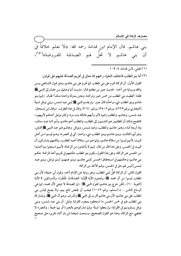بني هاشم. قال الإمام ابن قدامة رحمه الله: «لا نعلم خلافاً في أن بني هاشم لا تحلّ لهم الصدقة المفروضة))<sup>(٢)(٢)</sup>،

(١) المغنى، لابن قدامة، ٤/ ١٠٩.

(٢) أما بنو المطلب فاختلف العلماء رحمهم الله تعالى في تحريم الصدقة عليهم على قولين: القول الأول: أن الزكاة تحرم على بني المطلب كما تحرم على بني هاشم، وهـو قـول الشـافعي ومـن وافقه ورواية عن أحمد؛ لحديث جبير بن مطعم قـال: مشـيت أنـا وعـثمان بـن عفـان إلى النبـي ﷺ فقلنا: أعطيت بني المطلب من خمس خيبر وتركتنا، ونحن بمنزلة واحدة منك؟ فقـال: «إنـما بنـو هاشم وبنو المطلب شيء واحدٌ» قال جبير : ولم يقسم النبي ﷺ لبني عبد شمس، وبني نوفل شيئاً [البخاري برقم ٤٢٢٩، ورقم ٣٥٠٢، ورقم ٣١٤٠، وقال في هذا الطرف: «وقال ابن إسحاق: عبد شمس، وهاشم، والمطلب إخوة لأم، وأمهم عاتكة بنت مرة، وكان نوفل أخـاهم لأبيهم))، فاتضح بذلك أن المطلبيين هم المنتسبون إلى المطلب، والمطلب أخو هاشم، وأبو هما عبد مناف، وله أربعة أبناء، وهم: هاشم، والمطلب، وعبد شمس، ونوفل. وهاشم هـو جـد النبـي ﷺ الثـاني، وهو أبوه الثالث، وبنو هاشم وبنو المطلب شيء واحد: أي في النصرية، وهـم ليسـوا مـن أهـل البيت؛ لأنهم ليسوا من سلالة هاشم، وإنها هم من سلالة أخيه المطلب، ولكنهم يشاركون آل البيت في الخمس، وعلى هذا قال من قال: إنهم لا يأخذون من الزكاة؛ لأنهم استغنوا بما أخذوا من الخمس عن الزكاة، وعلى هذا القول، يكون بنو المطلب حكمهم في تحريم أخذ الزكاة حكـم بني هاشم، وحكمهم في استحقاق الخمس كبني هاشم، وبنو عمهـم: [بنو نوفل، وبنو عبد شمس] ليس لهم حق في الخمس، ولهم الأخذ من الزكاة.

القول الثاني: أن الزكاة تحلُّ لبني المطلب، وهو رواية عن الإمام أحمد، وقول أبي حنيفة؛ لأن بني المطلب ليسوا من آل محمد ﷺ؛ ولعموم الآية ﴿إِنَّمَا الصَّدَقَاتُ لِلْفُقَرَاءِ وَالْمَسَاكِين ﴾ الآية [التوبة: ٦٠] ، لكن خرج بنو هاشم؛ لقول النبي ﷺ: «إن الصدقة لا تنبغي لآل محمد، إنها هي أوساخ الناس... » [مسلم، برقم ١٠٧٢] فيجب أن يختص المنع بهم، ولا يصح قياس بني المطلب على بني هاشم؛ لأن بني هاشم أقرب إلى النبي ﷺ وأشرف، وهم آل النبي ﷺ، ومشاركة بني المطلب لهم في خمس الخمس ما استحقوه بمجرد القرابة بدليل: أن بني عبد شمس، وبني نوفل يساوونهم في القرابة، ولم يعطوا شيئاً؛ وإنيا شاركوهم بالنصرة أو بهما جميعاً ، والنصرة لا تقتضي منع الزكاة، وهذا هو القول الصحيح، وسمعت شيخنا ابن باز أثناء تقريره على صحيح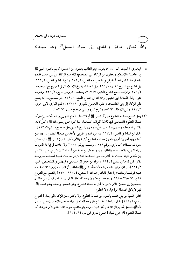والله تعـالى الموفق والهادي إلى سواء السبيل'' وهو سبحانه

ــــــــــــــــــــــــــــــــــــــــــــــــــــــــــــــــــــــــــــ

- = البخاري، الحديث رقم ٣١٤٠، يقول: «بنو المطلب يعطون من الخمس؛ لأنهم ناصروا النبي ﷺ في الجاهلية والإسلام، ويعطون من الزكاة على الصحيح؛ لأنه منع الزكاة عن بني هاشم فقط» واختار هذا القول أيضاً الخرقي في مختصره مع المغني، ٤/ ١٠٩، وابن قدامة في المغني، ٤/ ١١١، وفي المقنع مع الشرح الكبير، ٧/ ٢٨٩، وفي العمدة، وشيخ الإسلام كما في الفروع مع تصحيحه، ٤/ ٣٧٠، والإنصاف مع الشرح الكبير، ٣٠٧/٧، وصاحب الروض المربع، ٣/ ٣٢٩، وغيرهم كثير، وقال العلامة ابن عثيمين رحمه الله في الشرح الممتع، ٦/ ٢٥٩: «والصحيح... أنه يصح دفع الزكاة إلى بني المطلب». وانظر: المجموع للنووي، ٦/ ١٦٧، وفتح الباري لابن حجر، ٣/ ٢٢٧، ونيل الأوطار، ٣/ ٨٧، وشرح النووي على صحيح مسلم، ٧/ ١٨٢ .
	- (١) وهل تصح صدقة التطوع على آل النبي ﷺ أم لا؟ قال الإمام النووي رحمه الله تعالى: «وأما صدقة التطوع فللشافعي فيها ثلاثـة أقـوال: أصـحها: أنهـا تحـرم عـلى رسـول الله ﷺ وتحـلُّ لآلـه، والثاني تحرم عليه وعليهم، والثالث:تحل له ولهم» [شرح النووي على صحيح مسلم،٧/ ١٨٢ ]. وقال ابن قدامة في المغني، ٤ / ١١٣ : «ويجوز لذوي القربى الأخذ من صـدقة التطـوع … » وعـن أحمد رواية أخرى: أنهم يمنعـون صـدقة التطـوع أيضـاً والأول أظهـر؛ فـإن النبـي ﷺ قـال: «كـل معروف صدقة» [البخاري، برقم ٦٠٢١، ومسلم، برقم: ١٠٠٥] ولا خلاف في إباحة المعروف إلى الهاشمي، والعفو عنه، وإنظاره. وروى جعفر بن محمد عن أبيه أنه كـان يشر ب مـن سـقاياتٍ بين مكة والمدينة، فقلت لـه: أتشر ب مـن الصـدقة؛ فقـال: إنـما حرمـت علينـا الصـدقة المفروضـة [ذكره ابن قدامة في المغني ٤/ ١١٤، وعزاه ابن حجر إلى الشافعي والبيهقي في التلخيص الحبير ٣/ ١١٥] قال الإمام ابن قدامة رحمه الله: «فأما النبي ﷺ فالظاهر أن الصدقة جميعها كانت محرمـة عليـه فرضـها ونفلهـا» واختـار ذلـك رحمـه الله: [المغنـي، ٤/ ١١٥ – ١١٧] والمقنـع مـع الشر\_ح الكبير، ٧/ ٢٩٥ – ٢٩٨، ورجحه ابن عثيمين رحمه الله تعالى فقال: «بهـذا نعـرف أن بنـي هاشـم ينقسمون إلى قسمين: الأول: من لا تحل له صدقة التطوع، وهو شخص واحد، وهـو محمد ﷺ، فهو لا يأكل الصدقة الواجبة، ولا التطوع.

الثاني: البقية من بني هاشم ياكلون من صدقة التطوع، ولا ياكلون مـن الزكـاة الواجبـة، [الشر\_ح الممتع، ٦/ ٢٥٨] وقال سماحة شيخنا ابن باز رحمه الله تعالى: «قد صحت الأحاديث عـن رسـول الله صلى الله على تحريم الزكاة على أهل البيت، وهم بنو هاشم، سواء كانت نقـوداً أو غيرهـا، أمـا صدقة التطوع فلا حرج فيها» [مجموع فتاوى ابن باز، ١٤ / ١٣٤].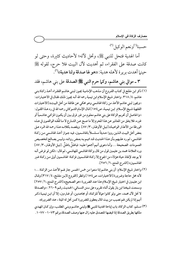حسبنا<sup>(י)</sup>ونعم الوكيل<sup>(٢).</sup>

أما الهدية فتحل للنبي ﷺ، وتحل لآله؛ لأحاديث كثيرة، وحتى لو كانت صدقة على الفقراء، ثم أهديت لآل البيت فلا حرج، لقوله ﷺ حينها أهدت بريرة لأهله هدية: ((هو لها صدقة ولنا هدية))'".

٣ ــ موالي بني هاشم، وكما حرم النبي ﷺ الصدقة على بني هاشم، فقد

- (١) ذكر ابن مفلح في كتاب الفروع أن مذهب الإمامية يجوز لبني هاشم الفقراء أخذ زكاة بني هاشم، ٤/ ٣١٨. واختار شيخ الإسلام ابن تيمية رحمه الله أنـه يجـوز ذلـك فقـال في الاختيـارات: «ويجوز لبني هاشم الأخذ من زكاة الهاشمي وهو محكى عن طائفة من أهل البيت» [الاختيارات الفقهية شيخ الإسلام ابن تيمية، ص١٥٤] قال الإمام الشـوكاني رحمه الله في رد هـذا القـول: «والحاصل أن تحريم الزكاة على بني هاشم معلوم من غير فرق بين أن يكون المزكـي هاشـمياً أو غيره، فلا يتفق من المعاذير عن هذا المحرم إلا ما صـح عـن الشـارع لا مـا لفَّقـه الواقعـون في هـذه الورطة من الأعذار الواهية» [نيل الأوطار، ٣/ ٨٧]. ويقصد بكلامه هذا رحمه الله الرد على بعض أهل البيت الـذين رووا حـديثاً مسلسـلاً بالهاشـميين، فيـه جـواز أخـذ الهاشـمي مـن زكـاة الهاشمي، ثم رد عليهم بأن هـذا الحديث قـد اتهـم بـه بعـض رواتـه، ولـيس بصـالح لتخصـيص العمومات الصحيحة … وأما دعوى أنهم أجمعوا عليه: فباطلٌ باطلٌ. [نيل الأوطار، ٣/ ٨٧] ورد العلامة محمد بن عثيمين قول من قال بزكاة الهاشمي للهاشمي، ثم قال: «لكن لو فرض أنـه لا يوجد لإنقاذ حياة هؤلاء من الجوع إلا زكـاة الهاشـميين فزكـاة الهاشـميين أولى مـن زكـاة غـير الهاشميين» [الشرح الممتع، ٦/ ٢٥٦].
- (٢) واختار شيخ الإسلام: أن بني هاشم إذا منعوا من خمس الخمس جاز لهم الأخذ من الزكاة ...؛ لأنه محل حاجة وضرورة [الاختيارات، ص١٥٤] وانظر [الفروع لابـن مفلـح، ٤/ ٣١٧] وقـال ابن عثيمين في اختيار شيخ الإسلام هذا عند الضرورة ‹‹هو الصحيح›› [الشرح الممتع، ٦/ ٢٥٧] وسمعت شيخنا ابن باز يقول أثناء تقريره على سنن النسائي، الحديث رقم ٢٦٠٩: «والصدقة لا تحل لآل محمد، حتى ولو كانوا عمالاً للزكاة، أو مجاهـدين، أو غـارمين، إلا أن ابـن تيميـة ذكـر أنهم إذا لم يكن لهم نصيب من بيت المال يعطون للضرورة كمن تحل له الميتة ، عند الضرورة».
- (٣) مسلم، كتاب الزكاة، باب إباحة الهدية للنبي ﷺ ولبني هاشم وبني المطلب، وإن كـان المهـدي ملكها بطريق الصدقة إذا قبضها المتصدق عليه زال عنها وصف الصدقة،برقم ١٠٧٣ - ١٠٧٧.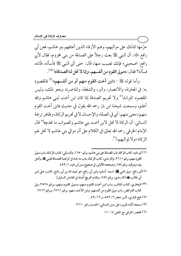حرَّمها كذلك على مواليهم، وهم الأرقاء الذين أعتقهم بنو هاشم، فعن أبي رافع ﷺ: أن النبي ﷺ بعث رجلاً على الصدقة من بني مخزوم، فقال لأبي رافع: اصحبني؛ فإنك تصيب منها، قال: حتى آتي النبي ﷺ فأسأله، فأتاه، فسأله؟ فقال: ((مولى القوم من أنفسهم، وإنا لا تحل لنا الصدقة))(١)(٢).

وأما قوله ﷺ : «ابن أخت القوم منهم أو من أنفسهم» (" فالمقصود به: في المعاونة، والانتصار، والبر، والشفقة، والمناصرة، ونحو ذلك، وليس المقصود الميراث<sup>(؛</sup>) ولا تحريم الصدقة إذا كان ابن أخت لبنى هاشم والله أعلم، وسمعت شيخنا ابن باز رحمه الله يقول في حديث «ابن أخت القوم منهم›› معنى منهم: أي في الصلة، والإحسان لا في تحريم الزكاة، وظاهر ترجمة النسائي: أن الزكاة لا تحل لابن أخت بني هاشم والصواب ما تقدم»<sup>(٥)</sup> قال الإمام الخرقي رحمه الله تعالى في الكلام على أن موالي بني هاشم لا تحل لهم الزكاة «ولا لمواليهم»<sup>(٦)</sup>.

- (١) أبو داود، كتاب الزكاة، باب الصدقة على بني هاشم، برقم ١٦٥٠، والنسـائي، كتـاب الزكـاة، بـاب مـولى القوم منهم، برقم ٢٦١١، والترمذي، كتاب الزكاة، بـاب مـا جـاء في كراهيـة الصـدقة للنبـي ﷺ، وأهـل بيته، ومواليه، برقم ٦٥٧، وصححه الألباني، في صحيح سنن أبي داود، ١/ ٤٥٩.
- (٢)أبو رافع: مولى النبيﷺ، اسمه: أسلم، وابن أبي رافع، هو عبيد الله بن أبي رافـع، كاتـب عـلي ابـن أبي طالب هَلَه [الترمذي، برقم ٦٥٧، وتقدم تخريج أصله في الهامش السابق].
- (٣) البخاري، كتاب المناقب، بـاب ابـن أخـت القـوم مـنهم، ومـولى القـوم مـنهم، بـرقم ٣٥٢٨، وفي كتاب الفرائض، باب مولى القوم من أنفسهم، وابن الأخت منهم، برقم ٢٧٦١، ورقم ٦٧٦٢.
	- (٤) فتح الباري، لابن حجر ٦/ ٥٥٢، و ١٢/ ٤٩.
	- (٥) سمعته أثناء تقريره على سنن النسائي، الحديث رقم ٢٦١٠.
		- (٦) مختصر الخرقي مع المغني ٤/ ١١٠.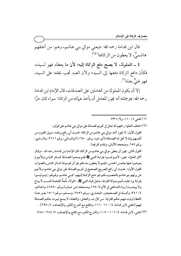قال ابن قدامة رحمه الله: «يعني موالي بني هاشم، وهم: من أعتقهم هاشميٌّ، لا يعطون من الزكاة))(')'.

٤ ـ المملوك، لا يصح دفع الزكاة إليه؛ لأن ما يعطاه فهو لسيده، فكأن دافع الزكاة دفعها إلى السيد؛ ولأن العبد تجب نفقته على السيد، فهو غنيٌّ بغناه<sup>(٣)</sup>.

إلا أن يكون المملوك من العاملين على الصدقات، قال الإمام ابن قدامة رحمه الله: «وجملته أنه يجوز للعامل أن يأخذ عمالته من الزكاة: سواء كان حرًّا

### (١) المغنى ١١٠/٤، و٩/ ٣٣٦.

(٢) اختلف العلماء رحمهم الله تعالى في تحريم الصدقة على موالي بني هاشم على قولين: القول الأول: لا يجوز أخذ موالي بني هاشم من الزكاة؛ لحديث أبي رافع يرفعه ‹‹مـولى القـوم مـن أنفسهم وإنا لا تحل لنا الصدقة» [أبو داود، برقم: ١٦٥٠] [والنسائي، برقم ٢٦١١، والترمذي، برقم ٦٥٧، وصححه الألباني، وتقدم تخريجه]. القول الثاني: يجوز أن يعطي موالي بني هاشم من الزكاة، قال الإمام ابـن قدامـة رحمه الله: «وقـال أكثر العلماء: يجوز، لأنهـم ليسـوا بقرابـة النبـي ﷺ فلـم يمنعـوا الصـدقة كسـائر النـاس؛ولأنهم لم يعوضوا عنها بخمس الخمس؛ فإنهم لا يعطون منه،فلم يجز أن يحرموها كسائر الناس والصواب القول الأول؛ لحديث أبي رافع الصريح الصحيح في تحريم الصدقة على موالي بني هاشم؛ ولأنهـم ممن يرثهم بنو هاشم بالتعصيب،فلم يجز دفع الزكاة إليهم، كبني هاشـم، وقـولهم: إنهـم ليسـوا بقرابة يرد عليه:بأنهم بمنزلة القرابة، بدليل قوله النبي ﷺ: «الولاء لحُمَةٌ كلحمـة النسـب لا يبـاع ولا يوهب» [رواه الشـافعي في الأم،٤/ ١٢٥،وصـححه ابـن حبـان،[بـرقم ٤٩٥٠]، والحـاكم، ٤/ ٣٤١، وأصله في الصحيحين: البخـاري، بـرقم ٦٧٥٦، ومسـلم، بـرقم ١٥٠٢ بغـير هـذا اللفظ] وثبت فيهم حكم القرابة: من الإرث، والعقل، والنفقة، لا يمنع ثبوت حكم الصدقة فيهم [المغني لابن قدامة، ٤/ ١١٠ –١١١، والمقنع مع الشرح الكبير والإنصاف، ٧/ ٢٩٧].

(٣) المغنى، لابن قدامة، ٤/ ١٠٦ – ١٠٧، والشرح الكبير،مع المقنع،والإنصاف، ٧/ ٢٨٤ – ٢٨٥.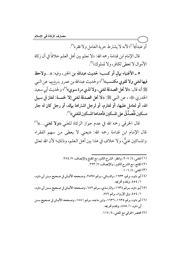أو عبداً»''؛ لأنه لا يشترط حرية العامل ولا فقره''.

قال الإمام ابن قدامة رحمه الله: «لا نعلم بين أهل العلم خلافاً في أن زكاة الأموال لا تعطي لكافر ، ولا لمملوك»(").

٥ \_ الأغنياء بيال أو كسب؛ لحديث عبدالله بن الخير، وفيه: «...ولاحظ فيها لغني ولا لقوى مكتسب»<sup>(٤)</sup>؛ ولحديث عبدالله بن عمرو رض<sub>ط</sub>لهُ عهما عن النبي عَلَيْنَ أنه قال: «لا تحل الصدقة لغني، ولا لذي مرة سوي»<sup>(٥)</sup>؛ ولحديث أبي سعيد الخدري ﷺ، ، عن النبي ﷺ: «لا تحل الصدقة لغني إلا لخمسة: لغاز في سبيل الله، أو لعامل عليها، أو لغارم، أو لرجل اشتراها بهاله، أو رجل كان له جار مسكين فَتُصدِّقَ على المسكين فأهداها المسكين للغني»<sup>(٦)</sup>.

قال الخرقي رحمه الله في عدم جواز الزكاة للغنى «**ولا لغن**ى…»<sup>(٧)</sup> قال الإمام ابن قدامة رحمه الله: «يعني لا يعطي من سهم الفقراء والمساكين غنيٌّ، ولا خلاف في هذا بين أهل العلم، وذلك؛ لأن الله تعالى

(١) المغنى، ٤/ ٢٠٧، وانظر: الشرح الكبير مع المقنع والإنصاف، ٧/ ٢٨٤. (٢) المقنع، مع الشرح الكبير، والإنصاف، ٧/ ٢٢٣. (٣) المغنى، ١٠٦/٤. (٤) أبو داود، برقم، ١٦٣٣، والنسائي، بـرقم ٢٥٩٧، وصـححه الألبـاني في صـحيح سـنن أبي داود، ١ / ٤٥٤، وتقدم تخريجه. (٥) أبـو داود، بـرقم ١٦٣٤، والترمـذي، بـرقم ٦٥٢، وصـححه الألبـاني في صـحيح سـنن أبي داود، ١/ ٥٤، وفي الإرواء، برقم ٨٧٧. (٦) أبو داود، برقم ١٦٣٥، ١٦٣٦، وابن ماجـه، بـرقم ١٨٤١، وصـححه الألبـاني في صـحيح سـنن أبي داود، ١/ ٤٥٥، وتقدم تخريجه.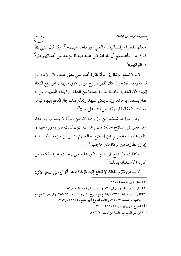جعلها للفقراء والمساكين، والغني غير داخل فيهم››'')، وقد قال النبي ﷺ لمعاذ: «...فأعلمهم أن الله افترض عليه صدقةً تؤخذ من أغنيائهم فتردُّ في فقرائهم»ا``.

٦ ـ لا تدفع الزكاة إلى امرأة فقيرة تحت غني ينفق عليها. قال الإمام ابن قدامة رحمه الله: «وإذا كان للمرأة زوج موسر ينفق عليها لم يجز دفع الزكاة إليها؛ لأن الكفاية حاصلة لها بها يصلها من النفقة الواجبة، فأشبهت من له عقار يستغني بأجرته، وإن لم ينفق عليها، وتعذر ذلك جاز الدفع إليها، كما لو تعطلت منفعة العقار، وقد نص أحمد على هذا»(").

وقال سباحة شيخنا ابن باز رحمه الله عن امرأة لا يهتم بها زوجها، وقد تعبوا في إصلاح حاله: قال رحمه الله: «إن كانت فقيرة، وزوجها لا ينفق عليها، وعجزتم عن إصلاح حاله، ولم يتيسر من يلزمه بذلك، فإنه <u>مجوز</u> إعطاؤها من الزكاة قدر حاجتها»<sup>(٤)</sup>.

وكذلك لا تدفع إلى فقير ينفق عليه من وجبت عليه نفقته، من أقاربه؛ لاستغنائه بذلك (°).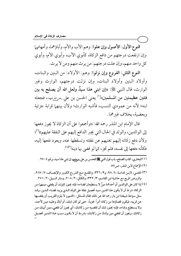النوع الأول: الأصول وإن علوا: وهم الأب والأم، وآباؤهما، وأمهاتهما وإن ارتفعت درجتهم من دافع الزكاة، كأبوي الأب، وأبوي الأم، وأبوي كل واحد منهم، وإن علت درجتهم: من يرث منهم ومن لا يرث.

النوع الثاني: الفروع وإن نزلوا: وهم: الأولاد: من البنين والبنات، وأولاد البنين وأولاد البنات، وإن نزلت درجتهم، الوارث وغير الوارث، قال النبي ﷺ: «إن ابني هذا سيدٌ ولعل الله أن يصلح به بين فئتين عظيمتين من المسلمين))<sup>(١)</sup> يعني الحسن بن على رض<sub>ر</sub>الله عنها، فجعله ابنه؛ لأنه من عمودي النسب، فأشبه الوارث؛ ولأن بينهما قرابة جزئية ويعضية، بخلاف غيرهما.

قال الإمام ابن المنذر رحمه الله: «وأجمعوا على أن الزكاة لا يجوز دفعها إلى الوالدين، والولد في الحال التي يجبر الدافع إليهم على النفقة عليهم»(٢). ولأن دفع زكاته إليهم تغنيهم عن نفقته وتسقطها عنه، ويعود نفعها إليه، فكأنه دفعها إلى نفسه، فلم تجز، كما لو قضي بها دينه'')ا').

(١) البخاري، كتاب الصلح، باب قول النبي صلى الله على الله على رض الله عنها إن ابني هذا سيد، برقم ٢٧٠٤. (٢) الإجماع لابن المنذر، ص٧٥.

(٣) المغنـي، لابــن قدامــة، ٤/ ٩٨، و٩/ ٣٣٦، والمقنــع مــع الشر\_ح الكبــير والإنصــاف، ٧/ ٢٨٧، والروض المربع مع حاشية ابن القاسم، ٣/ ٣٣٢، والكافي، ٢/ ٢٠٨، ومنار السبيل، ٢/ ٢٧١.

(٤) إذا كان على الوالدين أو أحدهما دينٌ لا يستطيعان قضاءه؛ فإنه يجوز للولد أن يقضي. دينهها مـن الزكاة؛ شرط أن لا يكون هذا الدين سببه تحصيل نفقة على الولد الذي يريد قضـاء الـدين، وقـد سئل سماحة شيخنا ابن باز رحمه الله عن ذلك فقال للسائل: ((الديون لا يلزم القريب أن يقضيها عن قريبه، فيكون قضاؤها من زكاته أمراً مجزياً، حتى لو كان ابنك، أو أباك وعليه دين لأحد، ولا يستطيع وفـاءه، فإنـه يجـوز لـك أن تقضـيه مـن زكاتـك، أي يجـوز أن تقضي- ديـن أبيـك مـن زكاتك، ويجوز أن تقضي دين ولدك من زكاتك، بشر ط أن لا يكـون سـبب هـذا الـدين تحصـيل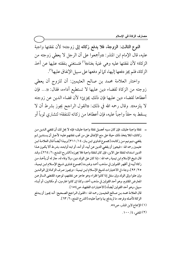النوع الثالث: الزوجة، فلا يدفع زكاته إلى زوجته؛ لأن نفقتها واجبة عليه، قال الإمام ابن المنذر: «وأجمعوا على أن الرجل لا يعطي زوجته من الزكاة؛ لأن نفقتها عليه وهي غنية بغناه»<sup>(י)</sup> فتستغنى بنفقته عليها عن أخذ الزكاة، فلم يجز دفعها إليها، كما لو دفعها على سبيل الإنفاق عليها'').

واختار العلامة محمد بن صالح العثيمين: أن للزوج أن يعطي زوجته من الزكاة لقضاء دين عليها لا تستطيع أداءه، فقال: «.... فإن أعطاها لقضاء دين عليها فإن ذلك يجزئ؛ لأن قضاء الدين عن زوجته لا يلزمه». وقال رحمه الله في ذلك: «القول الراجح يجوز بشرط أن لا يسقط به حقاً واجباً عليه، فإن أعطاها من زكاته للنفقة؛ لتشتري ثوباً أو

= نفقة واجبة عليك، فإن كان سببه تحصيل نفقة واجبة عليك؛ فإنه لا يحل لك أن تقضى الـدين مـن زكاتك؛ لئلا يتخذ ذلك حيلة على منع الإنفاق على من تجب نفقتهم عليه؛ لأجـل أن يسـتدين ثـم يقضي- ديونهم مـن زكاتـه» [مجمـوع فتـاوى ابـن بـاز، ١٤/ ٣١١] وبهـذا أيضـاً قـال العلامـة ابـن عثيمين رحمه الله: «فيجوز أن يقضي الدين عن أبيه، أو أمه، أو ابنه أوابنتـه، بشر ط ألا يكـون هـذا الدين استدانه لنفقة على الابن، فإن كان لنفقة واجبة فلا يجوز» [الشر-ح الممتـع، ٦/ ٢٦٤]، وقـد قال شيخ الإسلام ابن تيمية رحمه الله: «إذا كان على الولد دين، ولا وفاء له، جاز له أن يأخـذ مـن زكاة أبيه في أظهر القولين في مذهب أحمد وغيره» [مجموع فتاوى شيخ الإسلام ابن تيمية، ٢٥/ ٩٢]، وجاء في الاختيارات لشيخ الإسلام ابن تيمية: «ويجوز صرف الزكاة إلى الوالدين وإن علوا وإلى الولد وإن سفل إذا كانوا فقراء وهو عاجز عن نفقتهم، لوجود المقتضى السالم عن المعارض المقاوم، وهو أحد القولين في مذهب أحمد، وكذا إن كانوا غارمين، أو مكاتبين، أو أبنـاء سبيل، وهو أحد القولين أيضاً» [الاختيارات الفقهية، ص ١٥٤]. قال العلامة محمد بن صـالح العثيمـين رحمه الله: «القـول الـراجح الصـحيح: أنـه يجـوز أن يـدفع الزكاة لأصله وفرعه، ما لم يدفع بها واجباً عليه» [الشرح الممتع، ٦/ ٦٣]. (١) الإجماع لابن المنذر، ص٥٨. (٢) المغنى، ٤/ ١٠٠.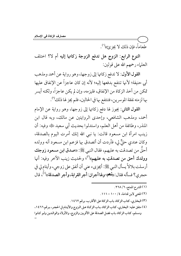طَعَاماً، فإن ذلك لا يجزئ»(''.

النوع الرابع: الزوج هل تدفع الزوجة زكاتها إليه أم لا؟ اختلف العلماء رحمهم الله على قولين:

القول الأول: لا تدفع زكاتها إلى زوجها، وهو رواية عن أحمد ومذهب أبي حنيفة؛ لأنها تنتفع بدفعها إليه؛ لأنه إن كان عاجزاً عن الإنفاق عليها تمكن من أخذ الزكاة من الإنفاق، فليزمه، وإن لم يكن عاجزاً، ولكنه أيسر بها لزمته نفقة الموسرين، فتنتفع بها في الحالين، فلم يجز لها ذلك (").

القول الثاني: يجوز لها دفع زكاتها إلى زوجها، وهو رواية عن الإمام أحمد، ومذهب الشافعي، وإحدى الروايتين عن مالك، وبه قال ابن المنذر، وطائفة من أهل العلم، واستدلوا بحديث أبي سعيد ﷺ، وفيه: أن زينب امرأة ابن مسعود قالت: يا نبي الله إنك أمرت اليوم بالصدقة، وكان عندي حلٌّ لي، فأردت أن أتصدق بها فزعم ابن مسعود أنه وولده أحقُّ من تصدقت به عليهم، فقال النبي ﷺ: «صدق ابن مسعود زوجك وولدك أحق من تصدقتِ به عليهم»<sup>(٣)</sup>؛ ولحديث زينب الآخر وفيه: أنها أرسلت بلالاً يسأل النبي ﷺ: أيجزيء عني أن أنفق على زوجي، وأيتام لي في حجري؟ فسأله فقال: ((**نُــعم، و**لها أجران: أجر القرابة، وأجر الصدقة))<sup>(٤)</sup>، قال

- (١) الشرح الممتع، ٦/ ٢٦٨.
- (٢) المغنى لابن قدامة، ٤/ ١٠٠- ١١١١.
- (٣) البخاري، كتاب الزكاة، باب الزكاة على الأقارب، برقم ١٤٦٢.
- (٤) متفق عليه: البخاري، كتاب الزكاة، بـاب الزكـاة عـلى الـزوج والأيتـام في الحجـر، بـرقم ١٤٦٦، ومسلم، كتاب الزكاة، باب فضل الصدقة على الأقربين والزوج، والأولاد والوالدين ولـو كـانوا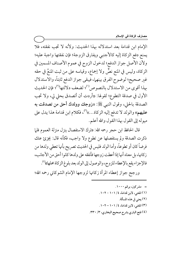الإمام ابن قدامة بعد استدلاله بهذا الحديث: ولأنه لا تجب نفقته، فلا يمنع دفع الزكاة إليه كالأجنبي ويفارق الزوجة؛ فإن نفقتها واجبة عليه؛ ولأن الأصل جواز الدفع؛ لدخول الزوج في عموم الأصناف المسمين في الزكاة، وليس في المنع نصٌّ ولا إجماع، وقياسه على من ثبت المنعُ في حقه غير صحيح؛ لوضوح الفرق بينهما، فيبقى جواز الدفع ثابتاً، والاستدلال بهذا أقوى من الاستدلال بالنصوص<sup>(י)</sup>؛ لضعف دلالتها<sup>(٢)</sup>؛ فإن الحديث الأول في صدقة التطوع؛ لقولها: «أردت أن أتصدق بحلي لي، ولا تجب الصدقة بالحلي، وقول النبي ﷺ: «زوجك وولدك أحق من تصدقت به عليهم›› والولد لا تدفع إليه الزكاة....))'``، فكلام ابن قدامة هذا يدل على ميوله إلى القول بهذا القول والله أعلم.

قال الحافظ ابن حجر رحمه الله: «ترك الاستفصال ينزل منزلة العموم فلما ذكرت الصدقة ولم يستفصلها عن تطوع ولا واجب، فكأنه قال: يجزئ عنك فرضاً كان أو تطوعاً، وأما الولد فليس في الحديث تصريح بأنها تعطي ولدها من زكاتها، بل معناه انها إذا اعطت زوجها فانفقه على ولدها كانوا احق من الاجانب، فالإجزاء يقع بالإعطاء للزوج، والوصول إلى الولد بعد بلوغ الزكاة محلها»<sup>(؛)</sup>.

ورجح جواز إعطاء المرأة زكاتها لزوجها الإمام الشوكاني رحمه الله؛

 $3 \cdot 1 \cdot 1 \cdot 1$ مشركين، برقم ۱۰۰۰. (۱) المغني، لابن قدامة، ٤/ ١٠١ – ١٠٢. (٢) يعني في هذه المسألة. (۳) المغني، لابن قدامة، ٤/ ١٠١ – ١٠٢. (٤) فتح الباري بشرح صحيح البخاري، ٣/ ٣٣٠.

ــــــــــــــــــــــــــــــــــــــــــــــــــــــــــــــــــــــــــــ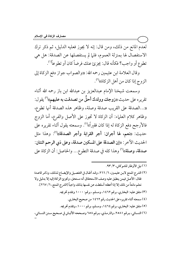لعدم المانع من ذلك، ومن قال: إنه لا يجوز فعليه الدليل، ثم ذكر ترك الاستفصال لها بمنزلة العموم، فلما لم يستفصلها عن الصدقة: هل هي تطوع أو واجب؟ فكأنه قال: يجزئ عنك فرضاً كان أو تطوعاً'''.

وقال العلامة ابن عثيمين رحمه الله: «والصواب جواز دفع الزكاة إلى الزوج إذا كان من أهل الزكاة))<sup>(٢)</sup>.

وسمعت شيخنا الإمام عبدالعزيز بن عبدالله ابن باز رحمه الله أثناء تقريره على حديث «**زوجك وولدك أحقُّ من تصدقت به عليهم**»<sup>(٣)</sup> يقول: ((…الصدقة على القريب صدقة وصلة، وظاهر هذه الصدقة أنها تطوع، وظاهر كلام العلماء: أن الزكاة لا تجوز على الأصل والفرع، أما الزوج فالأرجح دفع الزكاة له إذا كان فقيراً»<sup>(؛)</sup>. وسمعته يقول أثناء تقريره على حديث: «نعم، لها أجران: أجر القرابة وأجر الصدقة»<sup>(٥)</sup>: وهذا مثل الحديث الاخر: «إن الصدقة على المسكين صدقة، وعلى ذي الرحم اثنتان: صدقة، وصلة»<sup>(٦)</sup> وهذا كله في صدقة التطوع... والحاصل: أن الزكاة على

ــــــــــــــــــــــــــــــــــــــــــــــــــــــــــــــــــــــــــــ (١) نيل الأوطار للشوكاني، ٣/ ٩٣.

(٢) الشرح الممتع لابـن عثيمـين، ٦/ ٢٦٦، وقـد أطـال في التفصـيل والإيضـاح لـذلك، وذكـر قاعـدة فقال: الأصل فيمن ينطبق عليه وصف الاستحقاق أنه مستحق، وتجزئ الزكاة إليه إلا بدليل ولا نعلم مانعاً من ذلك إلا إذا أعطته أسقطت عن نفسها بذلك واجباً [الشرح الممتع، ٦/ ٢٦٧]. (۳) متفق عليه: البخاري، برقم ١٤٦٢، ومسلم ، برقم: ١٠٠٠ وتقدم تخريجه. (٤) سمعته أثناء تقريره على الحديث رقم ١٤٦٢ من صحيح البخاري. ٥٥) متفق عليه: البخاري، برقم ١٤٦٤، ومسلم، برقم ١٠٠٠، وتقدم تخريجه. (٦) النسـائي، بـرقم ٢٥٨١، والترمـذي، بـرقم ٦٥٨ وصـححه الألبـاني في صـحيح سـنن النسـائي، =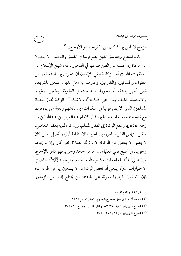مصارف الزكاة في الإسلام

الزوج لا بأس بها إذا كان من الفقراء، وهو الأرجح»<sup>(י)</sup>.

٨ ـ المبتدع والفاسق الذين يصرفونها في الفسق والعصيان لا يعطون من الزكاة إذا غلب على الظن صر فها في الفجور ، قال شيخ الإسلام ابن تيمية رحمه الله: «وأما الزكاة فينبغي للإنسان أن يتحرى بها المستحقين: من الفقراء، والمساكين، والغارمين، وغيرهم من أهل الدين، المتبعين للشريعة، فمن أظهر بدعة، أو فجوراً؛ فإنه يستحق العقوبة: بالهجر، وغيره، والاستتابة، فكيف يعان على ذلك»<sup>(٢)</sup>، ولاشك أن الزكاة تجوز لعصاة المسلمين الذين لا يصرفونها في المنكرات، بل نفقتهم ونفقة من يمونون، مع نصيحتهم، وتعليمهم الخير، قال الإمام عبدالعزيز بن عبدالله ابن باز رحمه الله: «يجوز دفع الزكاة إلى الفقير المسلم، وإن كان لديه بعض المعاصي، ولكن التياس الفقراء المعروفين بالخير والاستقامة أولى وأفضل، ومن كان لا يصلى لا يعطي من الزكاة؛ لأن ترك الصلاة كفر أكبر وإن لم يجحد وجوبها، في أصح قولي العلماء … أما من جحد وجوبها فهو كافر بالإجماع، وإن صلى؛ لأنه بفعله ذلك مكذب لله سبحانه، ولرسوله ﷺ»ا وقال في الاختيارات: «ولا ينبغي أن تعطي الزكاة لمن لا يستعين بها على طاعة الله؛ فإن الله تعالى فرضها معونة على طاعته؛ لمن يحتاج إليها من المؤمنين:

> = 7/ ٢٢٣، وتقدم تخريجه. (١) سمعته أثناء تقريره على صحيح البخاري، الحديث رقم ١٤٦٤. (٢) مجموع فتاوى ابن تيمية، ٢٥/ ٨٧، وانظر : نفس المجموع، ٢٤/ ٢٧٨. (۳) مجموع فتاوی این باز ۱٤/ ۲۷۳ - ٢٧٤.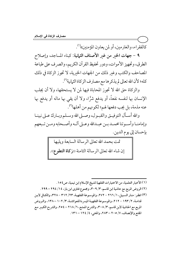كالفقراء، والغارمين، أو لمن يعاون المؤمنين»(').

٩ - جهات الخير من غير الأصناف الثمانية: كبناء المساجد، وإصلاح الطرق، وتجهيز الأموات، ودور تحفيظ القرآن الكريم، والصرف على طباعة المصاحف والكتب وغير ذلك من الجهات الخيرية، لا تجوز الزكاة في ذلك كله؛ لأن الله تعالى لم يذكرها مع مصارف الزكاة الثمانية<sup>(٢)</sup>.

والزكاة حق الله لا تجوز المحاباة فيها لمن لا يستحقها، ولا أن يجلب الإنسان بها لنفسه نفعاً، أو يدفع شرًّا، ولا أن يقى بها ماله أو يدفع بها عنه مذمة، بل يجب دفعها لهم؛ لكونهم من أهلها<sup>(٣)</sup>.

والله أسـأل التوفيــق والقبـول، وصــلى الله وسـلم وبـارك عـلى نبينــا وإمامنــا وأســوتنا محمــد بــن عبــدالله وعــلى آلــه وأصــحابه ومــن تــبعهم بإحسان إلى يوم الدين.

> تمت بحمد الله تعالى الرسالة السابعة ويليها إن شاء الله تعالى الرسالة الثامنة ((زكاة التطوع)). |

(١) الأخبار العلمية، من الاختيارات الفقهية لشيخ الإسلام ابن تيمية، ص ١٥٤. (٢) الروض المربع مع حاشية ابن قاسم، ٣/ ٣٠٩، ومجموع فتاوى ابن باز، ٢١٤ / ٢٩٤ - ٢٩٩. (٣) انظر : منار السبيل، ١/ ٢٦٦ - ٢٧٢، والموسوعة الفقهية، ٢١٢ / ٣١٢ - ٣٢٨، والكافي لابن قدامـة، ٢/ ١٩٣ – ٢١٢، والموسـوعة الفقهيـة الميسر ـة للعوائشـة، ٣/ ١٠٢ – ١٣٨، والـروض المربع مع الحاشية لابن قاسم، ٣٠٨/٣، والشرح الممتع، ٦/ ٢١٨ – ٢٥٤، والشر-ح الكبير مع المقنع والإنصاف، ٧/ ٢٠٥ - ٢٨٣، والمغنى، ٤/ ١٢٤ - ١٣١.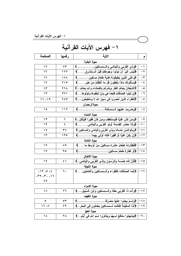# ١ – فهرس الآيات القرآنية

| الصفحة                                                                                                      | رقمها                                                                               | الاية                                                                                 | م                 |
|-------------------------------------------------------------------------------------------------------------|-------------------------------------------------------------------------------------|---------------------------------------------------------------------------------------|-------------------|
| سورة البقرة                                                                                                 |                                                                                     |                                                                                       |                   |
| $\sqrt{2}$                                                                                                  | 83                                                                                  |                                                                                       | $\rightarrow$     |
| ﴿لَيْسَ الَّبِرُّ أَنْ تَوَلُّوا وُجُوهَكُمْ قِبَلَ الْــمَشْرِقِ﴾<br>$\gamma$<br>1 V V                     |                                                                                     |                                                                                       | $-7$              |
| $\sqrt{2}$                                                                                                  | <b>1AE</b>                                                                          | ﴿وَعَلَى الَّذِينَ يُطِيقَونَهُ فِدْيَةً طَعَامُ مِسْكِين﴾                            | $-\tau$           |
| $\sqrt{}$                                                                                                   | 710                                                                                 | ﴿يَسْأَلُونَكَ مَاذًا يُنْفِقُونَ قُلْ مَا أَنْفَقْتُمْ مِنْ خَيْرِ ﴾                 | $-\xi$            |
| $\gamma$                                                                                                    | ۲٦٨                                                                                 | ﴿الشَّيْطَانُ يَعِدُكُمُ الْفَقَرَ وَيَأْمُرُكُمْ بِالْفَحَتْنَاءِ وَالله يَعِدُكُمْ﴾ | $-\bullet$        |
| $\gamma$                                                                                                    | ﴿إِنْ تَبْدُوا الصَّدَقَاتِ فَنِعِمَّا هِيَ وَإِنْ تَخَفُّوهَا وَتَوْتُوهَا﴾<br>271 |                                                                                       | -٦                |
| 15.17                                                                                                       | <b>YV۳</b>                                                                          | ﴿للْفَقَرَاءِ الَّذِينَ أَحْصِرُوا فِي سَبِيلِ الله لا يَسْتَطْيِعُونَ﴾               | $-\mathsf{v}$     |
| سورة آل عمران                                                                                               |                                                                                     |                                                                                       |                   |
| ه ۱                                                                                                         | 117                                                                                 | ﴿وَصَٰرِيَتَ عَلَيْهِمُ الْـــمَسَكَنَةُ<br>$\left(\ldots,\ldots,\ldots\right)$       | $-\,\mathsf{A}\,$ |
|                                                                                                             |                                                                                     | سورة النساء                                                                           |                   |
| ۱۳                                                                                                          | ٦                                                                                   | ﴿وَمَنْ كَانَ غَنِيًّا فَلْيَسْتَعْفِفْ وَمَنْ كَانَ فَقِيرًا فَلْيَأْكُلْ…﴾          | $-9$              |
| ۱۹                                                                                                          | ۸                                                                                   | ﴿وَإِذَا حَضَرَ الْقِسْمَةَ أُولُو الْقَرْبَى وَاليَتَامَى﴾                           | $-1.$             |
| $\lambda$                                                                                                   | ۳٦                                                                                  | ﴿وَبِالْوَالدَيْنِ إِحْسَانًا وَبَذِي الْقَرْبَى وَالْيَتَامَى وَالْمَسَاكِينِ.﴾      | $-11$             |
| $\gamma$                                                                                                    | ه ۳ ه                                                                               | ﴿إِنْ يَكُنْ غَنِيًّا أَوْ فَقِيرًا فَالله أُولَى بِهِمَا﴾                            | $-11$             |
|                                                                                                             |                                                                                     | سورة المائدة                                                                          |                   |
| $\lambda$                                                                                                   | ۸۹                                                                                  | ﴿فَكَفَارَتَهُ إِطْعَامُ عَشْرَةِ مَسَاكِينَ مِنْ أَوْسَطِ مَا……﴾                     | $-14$             |
| ۱۹                                                                                                          | ه ۹                                                                                 |                                                                                       |                   |
| سورة الأنفال                                                                                                |                                                                                     |                                                                                       |                   |
| $\lambda$                                                                                                   | ٤١                                                                                  | ﴿فَأَنَّ لَلَّهِ خَمُسَهُ وَلَلرَّسُولَ وَلَذِي الْقَرْبَى وَالْيَتَامَى﴾             | $ -$ ۱٥           |
| سورة التوبة                                                                                                 |                                                                                     |                                                                                       |                   |
| $(11)$ $(0)$ $(1)$                                                                                          | ٦.                                                                                  | ﴿إِنَّمَا الصَّدَقَاتُ لِلْفَقَرَاءِ وَالسَّمَسَاكِينَ وَالْعَامِلِينَ﴾               | $ -$ ۱ ٦          |
| CT3.77.117                                                                                                  |                                                                                     |                                                                                       |                   |
| $\epsilon$ 0                                                                                                |                                                                                     |                                                                                       |                   |
| سورة الإسراء                                                                                                |                                                                                     |                                                                                       |                   |
| ۱۸                                                                                                          | 27                                                                                  | 1٧ – ﴿وَأَتِ ذَا الْقُرْبَى حَقَّهُ وَالسَّمِسْكِينَ وَابْنَ السَّبِيلِ﴾              |                   |
| سورة الكهف                                                                                                  |                                                                                     |                                                                                       |                   |
| ٥                                                                                                           | ٥٣                                                                                  | ١٨-   ﴿وَلَـــمْ يَجِدُوا عَنْـهَا مَصَرْفًا                                          |                   |
| 17.4                                                                                                        | 79                                                                                  | ﴿أَمَّا السَّفِينَةُ فَكَانَتْ لِــمَسَاكِينَ يَعْمَلُونَ فِى الْبَحْرِ . ﴾           | $-19$             |
| سورة ا <del>لحج</del><br>← ٢ – ﴿لِيَتَنْـهَدُوا مَنَـافِعَ لــــَهُمْ وَيَذْكَرُوا اسْمَ الله فِي أَيَّام…﴾ |                                                                                     |                                                                                       |                   |
| $\lambda$                                                                                                   | ۲۸                                                                                  |                                                                                       |                   |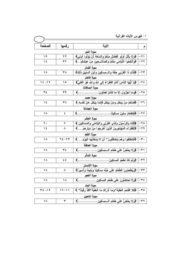|        |           | ڪرس (ميت اڪرائي                                                                       |       |
|--------|-----------|---------------------------------------------------------------------------------------|-------|
| الصفحة | رقمها     | الاية                                                                                 |       |
|        |           | سورة اللور                                                                            |       |
| ۱۹     | 27        | ٢١ –   ﴿وَلَا يَأْتَلْ أُولُو الْفَضْلُ مِنْكُمْ وَالسَّعَةِ أَنْ يُؤْتُوا أُولِي﴾    |       |
| ۱٤     | ۳۲        | ٢٢–  ﴿وَأَنكِحُوا اللَّيَامَى مِنكمْ وَالصَّالـــحِينَ مِنْ عِبَادِكمْ﴾               |       |
|        |           | سورة لقمان                                                                            |       |
| ۱۸     | ۳۸        | ٢٣ –   ﴿فَأَت ِذَا الْقَرْبَى حَقَّهُ وَالـــْمِسْكِينَ وَابْنَ السَّبِيلِ ذَلِكَ﴾    |       |
|        |           | سورة فاطر                                                                             |       |
| 15.17  | ه ۱       | ٢٤ –   ﴿يَا أَيُّهَا النَّاسُ أَنْتَمُ الْفَقَرَاءُ إِلَى الله والله هُوَ الْغَنِيُّ﴾ |       |
|        |           | سورة الصافات                                                                          |       |
| ۳٤     | ۳۹        |                                                                                       |       |
|        |           | سورة محمد                                                                             |       |
| ءَ ١   | ۳۸        | ٢٦ – ﴿ فَمِنْكُمْ مَنْ يَبْحُلُ وَمَنْ يَبْحُلُ فَإِنَّمَا يَبْحُلُ عَنْ نَفْسِهِ ﴾   |       |
|        |           | سورة المجادلة                                                                         |       |
| ۱۸     | ٤         |                                                                                       |       |
|        |           | سورة الحشر                                                                            |       |
| ۲.     | ٧         | ٢٨ –   ﴿فَلِلَّهِ وَلِلرَّسُولِ وَلَذِي الْقَرْبَى وَاليَتَامَى وَالعَسَاكِينِ.﴾      |       |
| ءَ ١   | ۸         | ٢٩ –   ﴿للفقرَاءِ المُهَاجِرِينَ الَّذِينَ أَخْرِجُوا مِنْ دِيَارِ هِمْ﴾              |       |
|        |           | سورة القلم                                                                            |       |
| ۱۸     | 21-22     | ٣٠   ﴿فَانْطَلَقُوا وَهُمْ يَتَخَافَتُونَ* أَنْ لَا يَدْخُلُنَّهَا الْيَوْمَ﴾         |       |
|        |           | سورة الحاقة                                                                           |       |
| ۱۸     | $\tau$ ź  |                                                                                       |       |
|        |           | سورة المدثر                                                                           |       |
| ۱۸     | 5.5       | ٣٢-   ﴿وَلَمْ نَكُ نَطْعِمُ الْمِسْكِينَ<br>(………………………                                |       |
|        |           | سورة الإنسان                                                                          |       |
| ۱۸     | ۸         | ٣٣   ﴿وَيُطْعِمُونَ الطَّعَامَ عَلَى حُبِّهِ مِسكِينًا وَيَتِيمًا وَأَسِيرًا﴾         |       |
|        |           | سورة الفحر                                                                            |       |
| ۱۸     | ۱۸        | ﴿وَلَا تَحَاضُونَ عَلَى طَعَامِ الْمِسْكِينِ                                          | ځ ۳-  |
|        |           | سورة البلد                                                                            |       |
| ٣٤ ،١٩ | $11 - 11$ | ﴿فَلا اقْتَحَمَ الْعَقَبَةَ *وَمَا أَدْرَاكَ مَا الْعَقَبَةَ *فَكُ رَقَبَةٍ * ﴾       | ه ۳ - |
|        |           | سورة الماعون                                                                          |       |
| ۱۸     | ٣         | ﴿وَلَا يَحۡضُ عَلَى طَعَامِ الْـــمسِكِينِ.<br>€.                                     | 7 س   |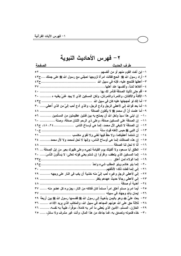### ٢ – فهرس الأحاديث النبوية

#### الصفحة ط ف الحديث ٢ – أراد رسول الله ﷺ الحج فقالت امرأة لزوجها احجَّني مع رسول الله ﷺ على جملك ....ح٣ ٤ ٦ – الأكلةُ و الأكلتان، و التمر ة و التمر تان، ولكن المسكين الذي لا يجد غنيٍّ يغنيه م............ ٢٠ ٨– أما بعد فوالله إني لأعطى الرجل وأدع الرجل، والذي أدع أحب إليَّ من الذي أعطى..... ٣٠ ١٠ – إن ابني هذا سيدٌ ولعل الله أن يصلح به بين فئتين عظيمتين من المسلمين .......... ٥٦ -1١– إن الصدقة على المسكين صدقة، وعلى ذي الرحم اثنتان صدقة، وصلة ............... ٢٠ ١٢ – إن الصدقة لا تنبغي لآل محمد، إنما هي أوساخ الناس ...................٢٤، ٤٨، ح٤٩ ١٥– إن هذه الصدقات إنما هي أوساخ الناس، وإنها لا تحل لمحمد ولا لآل محمد.......... ٢٤ ١٧ – انطلق أبا مسعود ولا ألفينك يوم القيامة تجيء وعلى ظهرك بعير من إبل الصدقة ... ٢٦ ١٨ – إنما المسكين الذي يتعفف، واقرأوا إن شئتم يعني قوله تعالى: لا يَسأَلُونَ النَّاسَ..... ٢٠ ٢٢ - إني لأعطي الرجل وغيره أحب إليَّ منه خشية أن يكب في النار على وجهه ......... ٢٩ ٢٥ – أيما امر ئ مسلم أعتق امرأً مسلماً كان فكاكه من النار ، يجزىء كل عضو منه ...... ٣٧ ٢٧ - بعث عليٌّ ﷺ وهو باليمن بذهيبةِ إلى رسول الله ﷺ فقسمها رسول الله ﷺ بين أربعة ٢٩ ٢٨ - ثلاثة حق على الله عونهم المجاهد في سبيل الله، والمكاتب الذي يريد الأداء، ....... ٣٦ ٢٩ – الخازن، المسلم، الأمين الذي يُعطى ما أمر به كاملاً، موفَّراً، طيبةً به نفسه، ........ ٢٦ ٣٠ – خذه فتموله وتصدق به، فما جاءك من هذا المال، وأنت غير مشرف ولا سائل، ..... ٢٥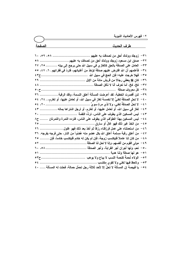| <u>الصفحة</u>                                                                          |                                                                 |
|----------------------------------------------------------------------------------------|-----------------------------------------------------------------|
|                                                                                        |                                                                 |
| ٣١– زوجك وولدك أحق من تصدقت به عليهم  ٥٩، ٥٩، ٦٠،                                      |                                                                 |
| ٣٢– صدق ابن مسعود زوجك وولدك أحق من تصدقتِ به عليهم  ٥٨                                |                                                                 |
| ٣٣ –  العامل على الصدقة بالحق كالغاز ي في سبيل الله حتى يرجع إلى بيته  ٢٥ ، ٢٧         |                                                                 |
| ٣٤ – فأعلمهم أن الله افترض عليهم صدقة تؤخذ من أغنيائهم، فتردّ في فقرائهم . ٦، ٤٧، ٥٥   |                                                                 |
|                                                                                        | ٣٥ –  فهلا خرجت عليه؛ فإن الحج في سبيل الله                     |
|                                                                                        |                                                                 |
|                                                                                        |                                                                 |
|                                                                                        | ٣٨ - كل معروف صدقة                                              |
| لئن أقصرت الخطبة، لقد أعرضت المسألة أعتق النسمة، وفك الرقبة.<br><b>٣٦</b>              | -39                                                             |
| لا تحلٍ الصدقة لغنيٍّ إلا لخمسة لغازٍ في سبيل الله، أو لعاملٍ عليها، أو لغارمٍ، ٢٤، ٥٤ | $-\epsilon$ .                                                   |
|                                                                                        | لا تحل الصدقة لغني، ولا لذي مرةٍ سويٍّ ……….<br>$-\epsilon$ )    |
| لغاز في سبيل الله، أو لعامل عليها، أو لغارم، أو لرجل اشتراها بماله ……………. ٤٣           | -12                                                             |
| T                                                                                      | ليس المسكين الذي يطوف على الناس، تردُّه اللقمة<br>$-\epsilon$ ۳ |
| ليس المسكين بهذا الطوّافٍ الذي يطوِف على الناس، فترده التمرة والتمرتان  ح٨             | $-$ £ £                                                         |
|                                                                                        | من اتخذ غير ذلك فهو غال أو سارق ……<br>$-\epsilon$ o             |
| من استعملناه على عمل فرزقناه رزقا ثم أخذ بعد ذلك فهو غلول ……………… ٢٦                    | $-\epsilon$ ٦                                                   |
| من أعتق رقبة مسلمة أعتق الله بكل عضو منه عُضوْا من النار ، حتى فرجه بفرجه . ٣٦         | – £ Y                                                           |
| من كان لنا عاملاً فليكتسب زوجة، فإن لم يكن له خادم فليكتسب خادما، فإن ……… ٢٥           | – ٤ ٨                                                           |
|                                                                                        | $-\xi$ ٩                                                        |
|                                                                                        | $- \circ$ .                                                     |
| $\circ$ \                                                                              | هو لها صدقة ولنا هدية<br>$-$ 0 $\lambda$                        |
|                                                                                        | $-$ 0 $\theta$                                                  |
|                                                                                        | ۳ ه –<br>ولاحظ فيها لغنى ولا لقوي مكتسب                         |
| يا قبيصة إن المسألة لا تحِل إلا لأحد ثلاثة رجل تحمَّل حمالة، فحلت له المسألة …… ٤٠     | <u>¢ ه –</u>                                                    |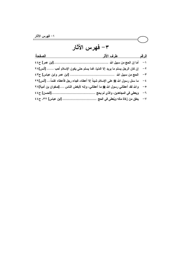## ٣– فهرس الآثار

| الصفحة                                                                          | طرف الأثر المستخدمات المستخدمات المستخدمات | <u>الرقم</u> |
|---------------------------------------------------------------------------------|--------------------------------------------|--------------|
|                                                                                 |                                            | $-1$         |
| إن كان الرجل يسلم ما يريد إلا الدنيا، فما يسلم حتى يكون الإسلام أحب …… [أنس]٢٨  |                                            | $-\tau$      |
|                                                                                 |                                            | $-\tau$      |
| ما سئل رسول الله ﷺ على الإسلام شيئاً إلا أعطاه، فجاء رجل فأعطاه غنماً،  [أنس]٢٩ |                                            | $-\xi$       |
| والله لقد أعطاني رسول الله ﷺ ما أعطاني، وإنه لأبغض الناس ….[صفوان بن أمية]٢٨    |                                            | $-\circ$     |
|                                                                                 | ويعطي في المجاهدين، والذي لم يحج           | $-1$         |
|                                                                                 |                                            | $-\gamma$    |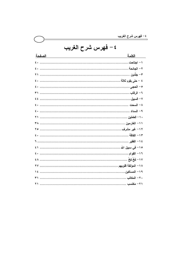|                     | ، یکرس سرح سریب |
|---------------------|-----------------|
| ٤ – فهرس شرح الغريب |                 |
| الصفحة              | الكلمة          |
|                     |                 |
|                     |                 |
|                     |                 |
|                     |                 |
|                     |                 |
|                     |                 |
|                     |                 |
|                     |                 |
|                     |                 |
|                     |                 |
|                     |                 |
|                     |                 |
|                     |                 |
|                     |                 |
|                     |                 |
|                     |                 |
|                     |                 |
|                     |                 |
|                     |                 |
|                     |                 |
|                     |                 |

<u> 1980 - Johann Barbara, martin a</u>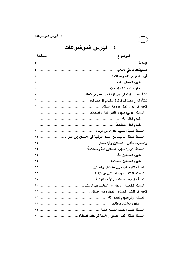| ٤ – فهرس الموضوعات |  |
|--------------------|--|
|--------------------|--|

| <u>الصفحة</u> | <u>الموضوع</u>                                                        |
|---------------|-----------------------------------------------------------------------|
|               |                                                                       |
|               |                                                                       |
|               |                                                                       |
|               |                                                                       |
|               |                                                                       |
|               |                                                                       |
|               |                                                                       |
|               |                                                                       |
|               |                                                                       |
|               |                                                                       |
|               |                                                                       |
|               |                                                                       |
|               | المسألة الثالثة: ما جاء من الآيات القرآنية في الإحسان إلى الفقراء  ١٣ |
|               |                                                                       |
|               |                                                                       |
|               |                                                                       |
|               |                                                                       |
|               |                                                                       |
|               | المسألة الثالثة: نصيب المساكين من الزكاة:                             |
|               | المسألة الرابعة: ما جاء من الآيات القرآنية                            |
|               |                                                                       |
|               |                                                                       |
|               |                                                                       |
|               |                                                                       |
|               |                                                                       |
|               |                                                                       |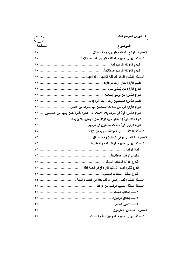|                                                                                   | ےرس سوتصوصت |
|-----------------------------------------------------------------------------------|-------------|
| <u>الصفحة الصفحة</u>                                                              |             |
|                                                                                   |             |
|                                                                                   |             |
|                                                                                   |             |
|                                                                                   |             |
|                                                                                   |             |
|                                                                                   |             |
|                                                                                   |             |
|                                                                                   |             |
|                                                                                   |             |
| النوع الأول: قومٌ من سادات المسلمين لهم نظراء من الكفار ٢٩                        |             |
| النوع الثاني: قومٌ في طرف بلاد الإسلام إذا أعطوا دفعوا عمن يليهم من المسلمين.  ٢٩ |             |
| النوع الثالث:قومٌ إذا أعطوا جبوا الزكاة ممن لا يعطيها إلا أن يخاف  ٢٩             |             |
|                                                                                   |             |
|                                                                                   |             |
|                                                                                   |             |
|                                                                                   |             |
|                                                                                   |             |
|                                                                                   |             |
|                                                                                   |             |
|                                                                                   |             |
|                                                                                   |             |
|                                                                                   |             |
|                                                                                   |             |
|                                                                                   |             |
|                                                                                   |             |
|                                                                                   |             |
|                                                                                   |             |
|                                                                                   |             |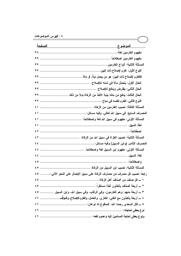| <u>الصفحة</u><br><u>الموضوع </u>                                                 |  |
|----------------------------------------------------------------------------------|--|
|                                                                                  |  |
|                                                                                  |  |
|                                                                                  |  |
|                                                                                  |  |
|                                                                                  |  |
|                                                                                  |  |
|                                                                                  |  |
| الحال الثالث: يدفع من ماله بنية الأخذ من الزكاة بدلاً من ذلك.  ٣٩                |  |
|                                                                                  |  |
|                                                                                  |  |
|                                                                                  |  |
|                                                                                  |  |
|                                                                                  |  |
|                                                                                  |  |
|                                                                                  |  |
|                                                                                  |  |
|                                                                                  |  |
|                                                                                  |  |
|                                                                                  |  |
|                                                                                  |  |
| رابعاً: نصيب كل مصرف من مصارف الزكاة على سبيل الإجمال على النحو الآتي: ٥ ٤       |  |
|                                                                                  |  |
|                                                                                  |  |
| ٣ ــــ أربعة منـهم: وهم الـغارمون، وفمي الرقاب، وفمي سبيل الله، وابن السبيل  ٥ ٤ |  |
| ٤ ــــ أربعة يأخذون مع الغنى: الغازي، والعامل، والغارم للإصلاح، والمؤلِّف ٢ ٤    |  |
|                                                                                  |  |
|                                                                                  |  |
|                                                                                  |  |
|                                                                                  |  |

 $\overline{\phantom{0}}$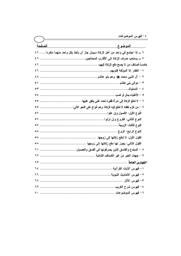|                                                                                        | י− ∪י |
|----------------------------------------------------------------------------------------|-------|
|                                                                                        |       |
| الصفحة                                                                                 |       |
| ٦ ـــــ إذا اجتمع في واحد من أهل الزكاة سببان جاز أن يأخذ بكل واحد منهما منفرداً…… ٢ ٤ |       |
|                                                                                        |       |
|                                                                                        |       |
|                                                                                        |       |
|                                                                                        |       |
|                                                                                        |       |
|                                                                                        |       |
|                                                                                        |       |
|                                                                                        |       |
|                                                                                        |       |
|                                                                                        |       |
|                                                                                        |       |
|                                                                                        |       |
|                                                                                        |       |
|                                                                                        |       |
|                                                                                        |       |
|                                                                                        |       |
|                                                                                        |       |
|                                                                                        |       |
|                                                                                        |       |
|                                                                                        |       |
|                                                                                        |       |
|                                                                                        |       |
|                                                                                        |       |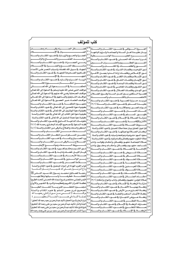| كتب للمؤلف                                                                                                       |     |                                                                                                           |
|------------------------------------------------------------------------------------------------------------------|-----|-----------------------------------------------------------------------------------------------------------|
| فضـــــــــــائل الصـــــــــــــــيام وقيــــــــــــــام رمضـــــــــــــان                                    |     | العـــــــــروة الــــــــــوثقى _2 ضـــــــــوء الكتــــــــاب والســـــــــنة                           |
|                                                                                                                  |     | بيسان عقيسدة أهسل السسنة والجماعسة ولسزوم اتباعهسا                                                        |
| العمسرة والحسج والزيسارة فخسوء الكتساب والسسنة                                                                   |     |                                                                                                           |
|                                                                                                                  |     | شسرح أسمساء الله الحسسنى في ضسوء الكتساب والسسنة                                                          |
| رمـــــــــى الجمــــــــــرات في ضــــــــــوء الكتـــــــــاب والســـــــــنة                                  |     |                                                                                                           |
|                                                                                                                  | ع ہ | النـــــــــــــــور والظلمــــــــــــات في الكتــــــــــــاب والســــــــــــنة                        |
| الجهـاد _ سـبيل الله: فضـله، وأسـباب النصـر علـى الأعـداء                                                        |     |                                                                                                           |
| الفساهيم الصبحيحة للجهساد فج ضسوء الكتساب والسسنة                                                                |     | نسور التوحيسد وظلمسات الشسرك فجاضسوء الكتساب والسسنة<br>نسور الإخسلاص وظلمسات إرادة السدنيا بعمسل الأخسرة |
|                                                                                                                  |     | نسور الإسلام وظلمسات الكفسرية ضسوء الكتساب والسسنة                                                        |
| الربسا: أضــــراره وآشـــاره في ضــــوء الكتــــاب والســــنة                                                    |     | نسور الإبمسان وظلمسات النفساق فج ضسوء الكتساب والسسنة                                                     |
|                                                                                                                  |     | نسور السسنة وظلمسات البدعسة فج ضسوء الكتساب والسسنة   <sup>0 م</sup>                                      |
|                                                                                                                  |     |                                                                                                           |
| مواقف النبي صلى اللّه عليـه وسـلم في الـدعوة إلى اللّه تعـالى                                                    |     | نسور التقسوي وظلمسات المعاصسي في ضسوء الكتساب والسسنة   *                                                 |
| مواقـف الصـحابـة رضـى الله عـنهم _2 الـدعوة إلى الله تعــالى                                                     |     | نسور الهسدى وظلمسات الضسلال في ضسوء الكتساب والسسنة                                                       |
|                                                                                                                  |     | قضسية الستكفير بسين أهسل السسنة وفسرق الضسلال                                                             |
| مواقسف التسابعين وأتبساعهم في السدعوة إلى الله تعسالي<br>مواقسف العلمساء عسبر العصسور فج السدعوة إلى الله تعسالي |     | <sup>0</sup> \  الاعتصـــــــــــــــام بالكتـــــــــــــــاب والســــــــــــــــــنة                   |
| مفهــــوم الحكمــــة في ضــــوء الكتــــاب والســــنة                                                            |     | تبريسد حسرارة المسسيبة فجضوء الكتساب والسسنة                                                              |
|                                                                                                                  |     | عقيـــــدة المســــــلم في ضـــــــوء الكتــــــاب والســــــنة (٢/١)                                     |
| كيفية دعوة الملحدين إلى الله تعالى في ضوء الكتاب والسنة                                                          |     | أنسواع الصسبر ومجالاتسه فخسوء الكتساب والسسنة                                                             |
| كيفية دعوة الـوثنيين إلى الله تعـالى _ ضوء الكتـاب والسـنة                                                       |     | آفـــات اللســــان في ضــــوء الكتــــاب والســــنة<br>۲,                                                 |
| كيفيـة دعوة أهل الكتاب إلى الله تعالى في ضوء الكتاب والسنــة                                                     |     | طهــــــــــور المســـــــــلم في ضــــــــــوء الكتـــــــــاب والســـــــــنة                           |
| كيفية دعوة عصاة المسلمين إلى الله تعالى في ضوء الكتاب والسنة                                                     |     |                                                                                                           |
| مقومسات الداعيسة النساجح فجضوء الكتساب والسسنة                                                                   |     | الأذان والإقامـــــة فج ضـــــــــوء الكتــــــــاب والســــــــنة                                        |
| فقـــه الـــدعوة _2 صـــحـيح الإمـــام البـخـــاري رحمـــه اللّه (٢/١)                                           |     | ۲ ۲<br>شـــــــروط الصـــــــــــلاة في ضــــــــوء الكتــــــــاب والســــــــنة                         |
| لـنكر والـدعاء والعـلاج بـالرقى مـن الكتـاب والسـنة (٤/١)                                                        |     | قرة عيون المصلين ببيان صفة صلاة المحسنين في ضوء الكتاب والسنة                                             |
| السمسمسدعاء مسممسمن الكتسمسمساب والسمسمسمنة                                                                      | ٧٤  | أركسان الصللاة وواجباتها فج ضوء الكتساب والسنسنة                                                          |
| حصسسن المسسلم مسسن أذكسار الكتسساب والسسسنة                                                                      | ٧٥  | سجود السهو: مشروعيته ومواضعه وأسبابه في ضوء الكتاب والسنة                                                 |
| ورد الصهياح والمساء في ضهوء الكتــاب والســــنة                                                                  | ٧٦  | ۲۷<br>صلاة التطوع: مفهوم وفضائل وأقسام وأنواع في ضوء الكتاب والسنة                                        |
| العسسلاج بسسالرقي مسسن الكتسساب والسسسنة                                                                         |     | ۲۸<br>صـــلاة الجماعـــة: مفهـــو، وفضـــائل، وأحكــام، وفوائـــد، وآداب                                  |
|                                                                                                                  |     | ۲۹<br>المســــاجد، مفهـــــوم، وفضـــــائل، وأحكـــــام، وحقـــــوق، وآداب                                |
| نسور الشسيب وحكسم تغسييره فجضسوء الكتساب والسسنة                                                                 |     | $\mathsf{r}$<br>الإمامـــة في الصـــــــــلاة في ضـــــــوء الكتـــــــاب والســــــنة                    |
| قيسام الليسل: فضسله وآدابسه في ضسوء الكتساب والسسنة                                                              |     | ۳۱                                                                                                        |
| صعسلة الأرحسام في ضعيوء الكتـــاب والســـــنة                                                                    |     | ۳۲                                                                                                        |
| \ ^  ســـــــــــر الوالـــــــــــدين في ضــــــــــــوءِ الكتــــــــــاب والســــــــــنة                     |     | ٣٢                                                                                                        |
| ستسلامة الصيدرية ضيدوء الكتيساب والسيسنة                                                                         | ۸۲  | ځ ۳<br>ـــنة                                                                                              |
| ثواب القرب المداة إلى أموات المسلمين في ضوء الكتاب والسنسة                                                       |     | ۳٥<br>صيسلاة العيسيدين فج ضيسوء الكتيساب والسيسنة                                                         |
| وداع الــرســــــــول صـــــــلى الله علـــدٍــــــــــــه وســـــــلم لأمــــتـــــــــه                        |     | ٣٦<br>سلاة الكسيسوف في ضيسوءِ الكتيسابِ والسيسنة<br>$\mathsf{r}\mathsf{v}$                                |
| ـة للعـــــــــا لمين محمــــــد رســــــول الله ســــــيد النــــــــاس ﷺ                                       | ۸٥  | ـلاة الاستســــــقاء _2 ضـــــــــوء الكتــ<br>ـــاب ەالس                                                 |
| الغفلـــــــــة: خطرهــــــــــا وأســـــــــبابها وعلاجهــــــــا                                               |     | ۳۸<br>أحكــــــــام الجنـــــــــائز _2 ضــــــــــوء الكتـــــــــاب والســــــــــنة $ \wedge\uparrow $ |
| الثمر المجتنى مختصر شرح أسماء الله الحسني (تحت الطبع)                                                            |     | صلاة المؤمن: مفهـوم، وفضـائل، وآداب، وأنـواع، وأحكـام (٣/١) $\mathsf{N}^\mathsf{V}$                       |
| عظمـة القــرآن الكـريم وتعظيمـه وأشـره في النفــوس والأرواح                                                      |     | $\epsilon$ .                                                                                              |
| محمسوع الخطيسيا المنبر يسسية (تحسست الطيسيع)                                                                     |     | ٤١<br>ـاة بهميــــة الأنعــــام _2 ضــــوء الكتــــاب والســــنة $\mathbin{ \Lambda^{\mathsf{q}} }$       |
| تصحيح شرح حصن المسلم في ضوء الكتاب والسنة                                                                        |     | ٤٢<br>زكساة الخسارج مسن الأرض في ضسوء الكتساب والسسنة المله                                               |
| ـــــف لا تنـــــــــسى مــــن ســـيرة والـدتى رحمهـــــــا الله                                                 | ۹۱  | ٤٣<br>زكياة الأثميان: البذهب والفضية في ضيوءِ الكتباب والسينة                                             |
|                                                                                                                  |     | ـــاة عــــروض التجــــارة في ضــــوء الكتــــاب والســــنة $\vert$ ٩٢<br>٤٤                              |
| أبراج الزجاج ⊈ سيرة الحجاج: تأليف عبدالرحمن بن سعيد رحمه الله (تحقيق )                                           |     | ه ٤<br>سنة ۹۳<br>____اة الفط____رقح ضـــــــوءِ الكتــــــــاب والسه                                      |
| الجنـة والنـار: تـأليف عبـدالـرحمن بـن سـعيد بـن علـى رحمـه الله (تحقيـق)                                        | ۹ ٤ | ٤٦<br>مصارف الزكاة في الإسلام في ضروء الكتساب والسينة                                                     |
| غـزوة فـتح مكـة: تـأليف عبـدالرحمن بـن سـعيد بـن علـى رحمـه الله (تحقيـق)                                        |     | ٤٧<br>ـــدقة التطـــــــــوع _2 ضـــــــــــوء الكتـــــــــاب والســــــــــنة $\vert \circ \rho \vert$  |
| سيرة الشـاب الصـالح عبـدالرحمن بـن سـعيد بـن بـن علـى وهـف رحمـه الله                                            |     | سنة ۹٦<br><sup>۶۸</sup> انزک<br>ــــاة في الإســــــــــلام في ضــــــــوء الكتــــــــاب والســ          |
|                                                                                                                  |     |                                                                                                           |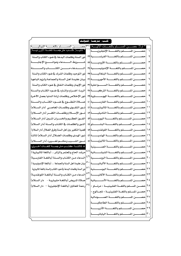| * اولا: حصـــــــن المســــــلم باللغــــــات الانيــــــة: ٣١]حصــــــــــــن المســــــــــلم باللغـــــــــة النيباليـــــــــة<br>* ثانيــــا: كَتــــب مترجمـــــة للغــــة الأورديــــة:<br>نور السنة وظلمات البدعة في ضوء الكتاب والسنة<br>شــــــــــروط الـــــــــــدعاء وموانـــــــــــع الإجابــــــــة<br>المستسدعاء مستسن الكتسستاب والسمسسنة<br>نور التوحيد وظلمات الشرك فخضوء الكتاب والسنة<br>٥ |
|-------------------------------------------------------------------------------------------------------------------------------------------------------------------------------------------------------------------------------------------------------------------------------------------------------------------------------------------------------------------------------------------------------------------|
|                                                                                                                                                                                                                                                                                                                                                                                                                   |
|                                                                                                                                                                                                                                                                                                                                                                                                                   |
|                                                                                                                                                                                                                                                                                                                                                                                                                   |
|                                                                                                                                                                                                                                                                                                                                                                                                                   |
|                                                                                                                                                                                                                                                                                                                                                                                                                   |
|                                                                                                                                                                                                                                                                                                                                                                                                                   |
| بيان عقيدة أهل السنة والجماعة ولزوم اتباعها<br>حصـــــــن المســـــــلم باللغــــــــة الأمهريــــــــة  ٣                                                                                                                                                                                                                                                                                                        |
| نور الإيمان وظلمات النفاق فخ ضوء الكتاب والسنة                                                                                                                                                                                                                                                                                                                                                                    |
| الربــا: أضــراره وآشــاره في ضــوء الكتــاب والســنة<br>٨                                                                                                                                                                                                                                                                                                                                                        |
| نور الإخلاص وظلمات إرادة الدنيا بعمل الآخرة                                                                                                                                                                                                                                                                                                                                                                       |
| حصـــــــن المســــــــلم باللغــــــــة الفارســــــــية ٤٠<br>صللاة التطوع في ضوء الكتساب والسسنة<br>١.                                                                                                                                                                                                                                                                                                         |
| نور التقوى وظلمات المعاصلي (دار السللام)<br>۱۱                                                                                                                                                                                                                                                                                                                                                                    |
| نسور الإسلام وظلمات الكفر (دار السلام)<br>حصــــــــن المســــــــــلم بـاللغــــــــــة التـّاميليــــــــــة  ٤٢<br>۲ (                                                                                                                                                                                                                                                                                         |
| الفوز العظيم والخسران المبين (دار السلام)<br>۱۲                                                                                                                                                                                                                                                                                                                                                                   |
| النور والظلمات في الكتاب والسنة (دار السلام)<br>$\frac{1}{2}$                                                                                                                                                                                                                                                                                                                                                     |
| قضية التكفير بين أهل السنة وفرق الضلال (دار السلام)<br>$\mathcal{L}$                                                                                                                                                                                                                                                                                                                                              |
| نــور الهـدى وظلمــات الضــلال (دار الســلام) ثـالثــاً                                                                                                                                                                                                                                                                                                                                                           |
| نسور الشسيب وحكسم تغسييره (دار السلسلام)                                                                                                                                                                                                                                                                                                                                                                          |
| * ثالثــــا: كتــــب مترجمــــة للغــــات أخــــرى:<br>١٨ حصـــــــن المســــــــلم بـاللغــــــــــة الصـــــــــينية                                                                                                                                                                                                                                                                                            |
| ا المحصيلين المستسملم باللغيسية الشيشيسسانية $\left  \wedge^2 \right $<br>مرشد الحاج والمتمر والزائر (باللغة الماليبارية)                                                                                                                                                                                                                                                                                         |
| الدعاء مـن الكتـاب والسـنة (باللغـة الفارسـية)<br>۲.                                                                                                                                                                                                                                                                                                                                                              |
| بيان عقيدة أهل السنة والجماعة  (باللغة الإندونيسية )                                                                                                                                                                                                                                                                                                                                                              |
| نور السنة وظلمات البدعة فج ضوء الكتاب والسنة باللغة الماليبارية<br>٢٢ حصــــــــــن المســـــــــــلم بـاللغـــــــــــة البوســــــــــنية  <sup>٥١</sup>                                                                                                                                                                                                                                                        |
| الدعاء من الكتاب والسنة (باللغـة اللوغنديـة)<br>ا ت<br>حصير السيطيع باللغيسية الألمانيسية<br>۲۳                                                                                                                                                                                                                                                                                                                   |
| صلاة المريض (باللغة مليباريية - دار السلام)<br>۲٤                                                                                                                                                                                                                                                                                                                                                                 |
| ع ہ<br>رحمة للعالمين (باللغة الإنجليزية — دار السلام)<br>حصـــن المســلم باللغـــة الفلبينيـــة « مرنـــاو »<br>م ۲                                                                                                                                                                                                                                                                                               |
| ۲٦<br>حصــن المســلم باللغــة الفلبينيــة « تجــالوج »                                                                                                                                                                                                                                                                                                                                                            |
| $\mathsf{Y}\mathsf{V}$<br>حصير المسلم باللغية الصيومالية                                                                                                                                                                                                                                                                                                                                                          |
| حصين المسلم باللغية الطاجكينة<br>۲۸                                                                                                                                                                                                                                                                                                                                                                               |
| حصيصن المستسلم باللغيسة الأذرينية<br>۲۹                                                                                                                                                                                                                                                                                                                                                                           |
| حصيرالمسلم باللغيسة اليابانيسة<br>$\mathfrak{r}$ .                                                                                                                                                                                                                                                                                                                                                                |